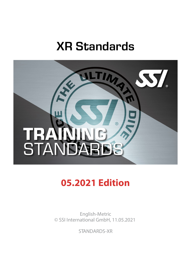# XR Standards



# **05.2021 Edition**

English-Metric © SSI International GmbH, 11.05.2021

STANDARDS-XR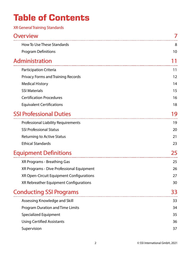# **Table of Contents**

| <b>XR General Training Standards</b>       |    |
|--------------------------------------------|----|
| <b>Overview</b>                            |    |
| How To Use These Standards                 | 8  |
| <b>Program Definitions</b>                 | 10 |
| Administration                             |    |
| Participation Criteria                     | 11 |
| <b>Privacy Forms and Training Records</b>  | 12 |
| <b>Medical History</b>                     | 14 |
| <b>SSI Materials</b>                       | 15 |
| <b>Certification Procedures</b>            | 16 |
| <b>Equivalent Certifications</b>           | 18 |
| <b>SSI Professional Duties</b>             | 19 |
| <b>Professional Liability Requirements</b> | 19 |
| <b>SSI Professional Status</b>             | 20 |
| <b>Returning to Active Status</b>          | 21 |
| <b>Ethical Standards</b>                   | 23 |
| <b>Equipment Definitions</b>               | 25 |
| XR Programs - Breathing Gas                | 25 |
| XR Programs - Dive Professional Equipment  | 26 |
| XR Open-Circuit Equipment Configurations   | 27 |
| XR Rebreather Equipment Configurations     | 30 |
| <b>Conducting SSI Programs</b>             | 33 |
| Assessing Knowledge and Skill              | 33 |
| Program Duration and Time Limits           | 34 |
| <b>Specialized Equipment</b>               | 35 |
| <b>Using Certified Assistants</b>          | 36 |
| Supervision                                | 37 |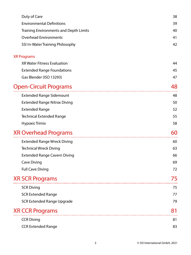| Duty of Care                                  | 38 |
|-----------------------------------------------|----|
| <b>Environmental Definitions</b>              | 39 |
| <b>Training Environments and Depth Limits</b> | 40 |
| <b>Overhead Environments</b>                  | 41 |
| SSI In-Water Training Philosophy              | 42 |
| <b>XR Programs</b>                            |    |
| <b>XR Water Fitness Evaluation</b>            | 44 |
| <b>Extended Range Foundations</b>             | 45 |
| Gas Blender (ISO 13293)                       | 47 |
| <b>Open-Circuit Programs</b>                  | 48 |
| <b>Extended Range Sidemount</b>               | 48 |
| <b>Extended Range Nitrox Diving</b>           | 50 |
| <b>Extended Range</b>                         | 52 |
| <b>Technical Extended Range</b>               | 55 |
| <b>Hypoxic Trimix</b>                         | 58 |
| <b>XR Overhead Programs</b>                   | 60 |
| <b>Extended Range Wreck Diving</b>            | 60 |
| <b>Technical Wreck Diving</b>                 | 63 |
| <b>Extended Range Cavern Diving</b>           | 66 |
| <b>Cave Diving</b>                            | 69 |
| <b>Full Cave Diving</b>                       | 72 |
| <b>XR SCR Programs</b>                        | 75 |
| <b>SCR Diving</b>                             | 75 |
| <b>SCR Extended Range</b>                     | 77 |
| <b>SCR Extended Range Upgrade</b>             | 79 |
| <b>XR CCR Programs</b>                        | 81 |
| <b>CCR Diving</b>                             | 81 |
| <b>CCR Extended Range</b>                     | 83 |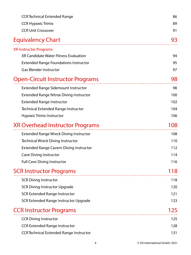| <b>CCR Technical Extended Range</b><br><b>CCR Hypoxic Trimix</b> | 86  |
|------------------------------------------------------------------|-----|
|                                                                  | 89  |
| <b>CCR Unit Crossover</b>                                        | 91  |
| <b>Equivalency Chart</b>                                         | 93  |
| <b>XR Instructor Programs</b>                                    |     |
| XR Candidate Water Fitness Evaluation                            | 94  |
| <b>Extended Range Foundations Instructor</b>                     | 95  |
| <b>Gas Blender Instructor</b>                                    | 97  |
| <b>Open-Circuit Instructor Programs</b>                          | 98  |
| <b>Extended Range Sidemount Instructor</b>                       | 98  |
| <b>Extended Range Nitrox Diving Instructor</b>                   | 100 |
| <b>Extended Range Instructor</b>                                 | 102 |
| Technical Extended Range Instructor                              | 104 |
| Hypoxic Trimix Instructor                                        | 106 |
| <b>XR Overhead Instructor Programs</b>                           | 108 |
| <b>Extended Range Wreck Diving Instructor</b>                    | 108 |
| <b>Technical Wreck Diving Instructor</b>                         | 110 |
| <b>Extended Range Cavern Diving Instructor</b>                   | 112 |
| <b>Cave Diving Instructor</b>                                    | 114 |
| <b>Full Cave Diving Instructor</b>                               | 116 |
| <b>SCR Instructor Programs</b>                                   | 118 |
| <b>SCR Diving Instructor</b>                                     | 118 |
| <b>SCR Diving Instructor Upgrade</b>                             | 120 |
| <b>SCR Extended Range Instructor</b>                             | 121 |
| SCR Extended Range Instructor Upgrade                            | 123 |
| <b>CCR Instructor Programs</b>                                   | 125 |
| <b>CCR Diving Instructor</b>                                     | 125 |
| <b>CCR Extended Range Instructor</b>                             | 128 |
| <b>CCR Technical Extended Range Instructor</b>                   | 131 |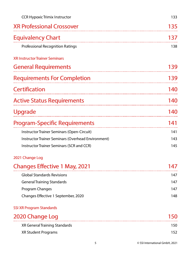| <b>CCR Hypoxic Trimix Instructor</b>               | 133       |
|----------------------------------------------------|-----------|
| <b>XR Professional Crossover</b>                   | 135       |
| <b>Equivalency Chart</b>                           | 137       |
| <b>Professional Recognition Ratings</b>            | 138       |
| <b>XR Instructor Trainer Seminars</b>              |           |
| <b>General Requirements</b>                        | 139       |
| <b>Requirements For Completion</b>                 | 139       |
| <b>Certification</b>                               | 140       |
| <b>Active Status Requirements</b>                  | 140       |
| <b>Upgrade</b>                                     | 140       |
|                                                    |           |
| <b>Program-Specific Requirements</b>               | 141       |
| Instructor Trainer Seminars (Open-Circuit)         | 141       |
| Instructor Trainer Seminars (Overhead Environment) | 143       |
| Instructor Trainer Seminars (SCR and CCR)          | 145       |
| 2021 Change Log                                    |           |
| <b>Changes Effective 1 May, 2021</b>               | <b>47</b> |
| <b>Global Standards Revisions</b>                  | 147       |
| <b>General Training Standards</b>                  | 147       |
| Program Changes                                    | 147       |

## SSI XR Program Standards

| 2020 Change Log               | 150. |
|-------------------------------|------|
| XR General Training Standards | 150. |
| XR Student Programs           | 152. |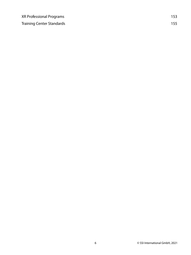| <b>XR Professional Programs</b>  | 153 |
|----------------------------------|-----|
| <b>Training Center Standards</b> | 155 |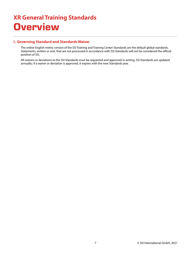## <span id="page-6-0"></span>**XR General Training Standards Overview**

## **I. Governing Standard and Standards Waiver**

The online English-metric version of the SSI Training and Training Center Standards are the default global standards. Statements, written or oral, that are not processed in accordance with SSI Standards will not be considered the official position of SSI.

All waivers or deviations to the SSI Standards must be requested and approved in writing. SSI Standards are updated annually; if a waiver or deviation is approved, it expires with the new Standards year.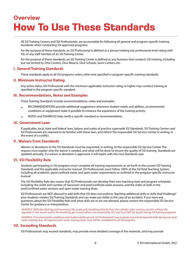## <span id="page-7-0"></span>**Overview How To Use These Standards**

All SSI Training Centers and SSI Professionals, are accountable for following all general and program-specific training standards when conducting SSI approved programs.

For the purpose of these standards, an SSI Professional is defined as a person holding any professional-level rating with SSI, or any staff member of an SSI Training Center.

For the purpose of these standards, an SSI Training Center is defined as any business that conducts SSI training, including but not limited to: Dive Centers, Dive Resorts, Dive Schools, Swim Centers, etc.

## **I. General Training Standards**

These standards apply to all SSI programs unless otherwise specified in program-specific training standards.

## **II. Minimum Instructor Rating**

Any active status SSI Professional with the minimum applicable instructor rating or higher may conduct training as specified in the program-specific standard.

### **III. Recommendations, Notes and Examples**

These Training Standards include recommendations, notes and examples.

- RECOMMENDATIONS provide additional suggestions whenever student needs and abilities, environmental conditions or equipment make it possible to enhance the experience of the training activity.
- NOTES and EXAMPLES help clarify a specific standard or recommendation.

## **IV. Government Laws**

If applicable, local, state and federal laws, bylaws and codes of practice supersede SSI Standards. SSI Training Centers and SSI Professionals are required to be familiar with these laws, and inform the responsible SSI Service Center, in writing, in the event of a conflict.

### **V. Waivers from Standards**

Waivers or deviations to the SSI Standards must be requested, in writing, to the responsible SSI Service Center. The request must explain why the waiver is needed, and what will be done to ensure the quality of SSI training. Standards are updated annually; if a waiver or deviation is approved, it will expire with the new Standards year.

### **VI. SSI Flexibility Rule**

Students participating in SSI programs must complete all training requirements as set forth in the current SSI Training Standards and the applicable instructor manual. SSI Professionals must follow 100% of the SSI Total Teaching System; including all academic, pool/confined water, and open water requirements as outlined in the program-specific instructor manual.

The SSI Flexibility Rule also means that SSI Professionals can develop their own teaching style and program schedules including; the order and number of classroom and pool/confined water sessions, and the order of skills in the pool/confined water sessions and open water training dives.

SSI Professionals are NOT allowed to add skills that SSI does not endorse. Teaching additional skills or skills that "challenge" your students violates SSI Training Standards and can make you liable in the case of an accident. If you have any questions about the SSI Flexibility Rule and what skills are or are not allowed, please contact the responsible SSI Service Center for guidance or interpretation.

EXAMPLE: Skills like ditching and recovering the scuba unit, breathing directly from the cylinder valve, and any ascents without the regulator in the mouth and/or the breathing gas turned off are not endorsed by SSI, and must NOT be taught during SSI training programs.

EXAMPLE: If environmental conditions and student ability permit, SSI Professionals may evaluate any and all required skills during any open water training dive. All required open water training dives must still be completed for all SSI programs.

## **VII. Exceeding Standards**

SSI Professionals may exceed standards, may provide more detailed coverage of the materials, and may provide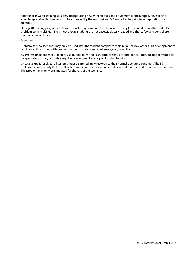additional in-water training sessions. Incorporating newer techniques and equipment is encouraged. Any specific knowledge and skills changes must be approved by the responsible SSI Service Center prior to incorporating the changes.

During XR training programs, SSI Professionals may combine skills to increase complexity and develop the student's problem-solving abilities. They must ensure students are not excessively task-loaded and that safety and control are maintained at all times.

a. Scenarios

Problem-solving scenarios may only be used after the student completes their initial shallow water skills development to test their ability to deal with problems at depth under simulated emergency conditions.

SSI Professionals are encouraged to use bubble guns and flash cards to simulate emergences. They are not permitted to incapacitate, turn off, or disable any diver's equipment at any point during training.

Once a failure is resolved, all systems must be immediately restored to their normal operating condition. The SSI Professional must verify that the all systems are in normal operating condition, and that the student is ready to continue. The problem may only be simulated for the rest of the scenario.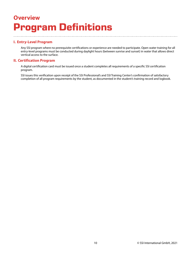## <span id="page-9-0"></span>**Overview Program Definitions**

## **I. Entry-Level Program**

Any SSI program where no prerequisite certifications or experience are needed to participate. Open water training for all entry-level programs must be conducted during daylight hours (between sunrise and sunset) in water that allows direct vertical access to the surface.

## **II. Certification Program**

A digital certification card must be issued once a student completes all requirements of a specific SSI certification program.

SSI issues this verification upon receipt of the SSI Professional's and SSI Training Center's confirmation of satisfactory completion of all program requirements by the student, as documented in the student's training record and logbook.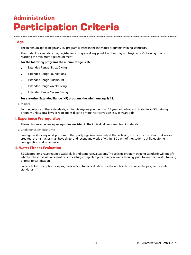## <span id="page-10-1"></span><span id="page-10-0"></span>**Administration Participation Criteria**

## **I. Age**

The minimum age to begin any SSI program is listed in the individual program's training standards.

The student or candidate may register for a program at any point, but they may not begin any SSI training prior to reaching the minimum age requirement.

### **For the following programs the minimum age is 16:**

- Extended Range Nitrox Diving
- Extended Range Foundations
- Extended Range Sidemount
- Extended Range Wreck Diving
- Extended Range Cavern Diving

### **For any other Extended Range (XR) program, the minimum age is 18**.

a. Minors

For the purpose of these standards, a minor is anyone younger than 18 years old who participates in an SSI training program unless local laws or regulations dictate a more-restrictive age (e.g. 15 years old).

### **II. Experience Prerequisites**

The minimum experience prerequisites are listed in the individual program's training standards.

a. Credit for Experience Dives

Issuing credit for any or all portions of the qualifying dives is entirely at the certifying instructor's discretion. If dives are credited, the instructor must have direct and recent knowledge (within 180 days) of the student's skills, equipment configuration and experience.

## **III. Water Fitness Evaluation**

SSI XR programs have required water skills and stamina evaluations. The specific program training standards will specify whether these evaluations must be successfully completed prior to any in-water training, prior to any open water training or prior to certification.

For a detailed description of a program's water fitness evaluation, see the applicable section in the program-specific standards.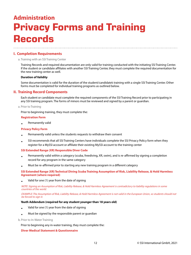## <span id="page-11-0"></span>**Administration Privacy Forms and Training Records**

## **I. Completion Requirements**

#### a. Training with an SSI Training Center

Training Records and required documentation are only valid for training conducted with the initiating SSI Training Center. If the student or candidate affiliates with another SSI Training Center, they must complete the required documentation for the new training center as well.

#### **Duration of Validity**

Some documentation is valid for the duration of the student/candidate's training with a single SSI Training Center. Other forms must be completed for individual training programs as outlined below.

## **II. Training Record Components**

Each student or candidate must complete the required components of the SSI Training Record prior to participating in any SSI training program. The forms of minors must be reviewed and signed by a parent or guardian.

### a. Prior to Training

Prior to beginning training, they must complete the:

#### **Registration Form**

• Permanently valid

#### **Privacy Policy Form**

- Permanently valid unless the students requests to withdraw their consent
- SSI recommends that all SSI Training Centers have individuals complete the SSI Privacy Policy form when they register for a MySSI account or affiliate their existing MySSI account to the training center

#### **SSI Extended Range (XR) Responsible Diver Code**

- Permanently valid within a category (scuba, freediving, XR, swim), and is re-affirmed by signing a completion record for any program in the same category
- Must be re-affirmed prior to starting any new training program in a different category

### **SSI Extended Range (XR) Technical Diving Scuba Training Assumption of Risk, Liability Release, & Hold Harmless Agreement (where required)**

• Valid for one (1) year from the date of signing

NOTE: Signing an Assumption of Risk, Liability Release, & Hold Harmless Agreement is contradictory to liability regulations in some countries of the world.

EXAMPLE: The Assumption of Risk, Liability Release, & Hold Harmless Agreement is not valid in the European Union, so students should not be forced to sign it.

### **Youth Addendum (required for any student younger than 18 years old)**

- Valid for one (1) year from the date of signing
- Must be signed by the responsible parent or guardian

b. Prior to In-Water Training

Prior to beginning any in-water training, they must complete the:

### **Diver Medical Statement & Questionnaire**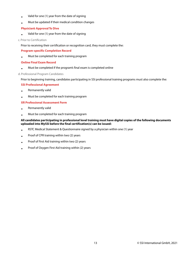- Valid for one (1) year from the date of signing
- Must be updated if their medical condition changes

### **Physician's Approval To Dive**

• Valid for one (1) year from the date of signing

### c. Prior to Certification

Prior to receiving their certification or recognition card, they must complete the:

### **Program-specific Completion Record**

• Must be completed for each training program

### **Online Final Exam Record**

• Must be completed if the program's final exam is completed online

### d. Professional Program Candidates

Prior to beginning training, candidates participating in SSI professional training programs must also complete the:

### **SSI Professional Agreement**

- Permanently valid
- Must be completed for each training program

### **XR Professional Assessment Form**

- Permanently valid
- Must be completed for each training program

### **All candidates participating in professional level training must have digital copies of the following documents uploaded into MySSI before the final certification(s) can be issued:**

- RSTC Medical Statement & Questionnaire signed by a physician within one (1) year
- Proof of CPR training within two (2) years
- Proof of First Aid training within two (2) years
- Proof of Oxygen First Aid training within (2) years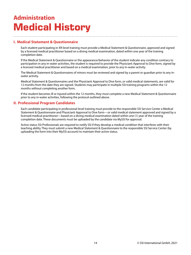## <span id="page-13-0"></span>**Administration Medical History**

## **I. Medical Statement & Questionnaire**

Each student participating in XR-level training must provide a Medical Statement & Questionnaire, approved and signed by a licensed medical practitioner based on a diving medical examination, dated within one year of the training completion date.

If the Medical Statement & Questionnaire or the appearance/behavior of the student indicate any condition contrary to participation in any in-water activities, the student is required to provide the Physician's Approval to Dive form, signed by a licensed medical practitioner and based on a medical examination, prior to any in-water activity.

The Medical Statement & Questionnaires of minors must be reviewed and signed by a parent or guardian prior to any inwater activity.

Medical Statement & Questionnaires and the Physician's Approval to Dive form, or valid medical statements, are valid for 12 months from the date they are signed. Students may participate in multiple SSI training programs within the 12 months without completing another form.

If the student becomes ill or injured within the 12 months, they must complete a new Medical Statement & Questionnaire prior to any in-water activities, following the protocol outlined above.

## **II. Professional Program Candidates**

Each candidate participating in professional-level training must provide to the responsible SSI Service Center a Medical Statement & Questionnaire and Physician's Approval to Dive form—or valid medical statement approved and signed by a licensed medical practitioner—based on a diving medical examination dated within one (1) year of the training completion date. These documents must be uploaded by the candidate via MySSI for approval.

Active status SSI Professionals are required to notify SSI if they develop a medical condition that interferes with their teaching ability. They must submit a new Medical Statement & Questionnaire to the responsible SSI Service Center (by uploading the form into their MySSI account) to maintain their active status.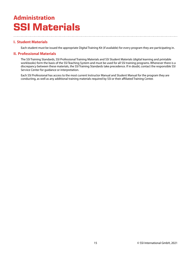## <span id="page-14-0"></span>**Administration SSI Materials**

## **I. Student Materials**

Each student must be issued the appropriate Digital Training Kit (if available) for every program they are participating in.

## **II. Professional Materials**

The SSI Training Standards, SSI Professional Training Materials and SSI Student Materials (digital learning and printable workbooks) form the basis of the SSI Teaching System and must be used for all SSI training programs. Whenever there is a discrepancy between these materials, the SSI Training Standards take precedence. If in doubt, contact the responsible SSI Service Center for guidance or interpretation.

Each SSI Professional has access to the most current Instructor Manual and Student Manual for the program they are conducting, as well as any additional training materials required by SSI or their affiliated Training Center.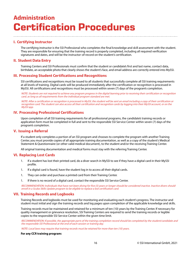## <span id="page-15-0"></span>**Administration Certification Procedures**

## **I. Certifying Instructor**

The certifying instructor is the SSI Professional who completes the final knowledge and skill assessment with the student. They are responsible for ensuring that the training record is properly completed, including all required verification signatures and dates, and will be the instructor-of-record on the student's certification.

## **II. Student Data Entry**

Training Centers and SSI Professionals must confirm that the student or candidate's first and last name, contact data, birthdate, an acceptable photo that clearly shows the student's face, and email address are correctly entered into MySSI.

## **III. Processing Student Certifications and Recognitions**

SSI certifications and recognitions must be issued to all students that successfully complete all SSI training requirements at all levels of training. Digital cards will be produced immediately after the certification or recognition is processed in MySSI. All certifications and recognitions must be processed within seven (7) days of the program's completion.

NOTE: Students are not required to achieve any program progress in the digital learning prior to receiving their certification or recognition card, as long as all requirements from the individual program standard are met.

NOTE: After a certification or recognition is processed in MySSI, the student will be sent an email including a copy of their certification or recognition card. The student can also access all their certification and recognition cards by logging into their MySSI account, or on the MySSI app.

## **IV. Processing Professional Certifications**

Upon completion of all SSI training requirements for all professional programs, the candidate's training records or application form must be completed in full and sent to the responsible SSI Service Center within seven (7) days of the program's completion.

## **V. Issuing a Referral**

If a student only completes a portion of an SSI program and chooses to complete the program with another Training Center, you must provide copies of all appropriate training documentation, as well as a copy of the student's Medical Statement & Questionnaire (or other valid medical document), to the student and/or the receiving Training Center.

All original training documentation and medical forms must stay with the referring Training Center.

## **VI. Replacing Lost Cards**

- 1. If a student has lost their printed card, do a diver search in MySSI to see if they have a digital card in their MySSI profile.
- 1. If a digital card is found, have the student log in to access all their digital cards.
- 1. They can order and purchase a printed card from their Training Center.
- 1. If there is no record of a digital card, contact the responsible SSI Service Center.

RECOMMENDATION: Individuals that have not been diving for five (5) years or longer should be considered inactive. Inactive divers should enroll in a Scuba Skills Update program to be eligible to replace a lost certification card.

## **VII. Training Records and Logbooks**

Training Records and logbooks must be used for monitoring and evaluating each student's progress. The instructor and student must initial and sign the training records and log pages upon completion of the applicable knowledge and skills.

Training records must be maintained and retained for a minimum of ten (10) years by the Training Center. If necessary for quality management or grievance resolution, SSI Training Centers are required to send the training records or legible copies to the responsible SSI Service Center within the given time limit.

RECOMMENDATION: If possible, the appropriate parts of the training completion record should be completed by the student/candidate and the responsible SSI Professional at the end of each session or training day.

NOTE: Local laws may require that training records must be retained for more than ten (10) years.

### **For any CCR training program:**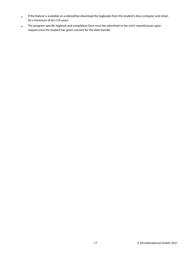- If the feature is available on a rebreather, download the logbooks from the student's dive computer and retain for a minimum of ten (10) years.
- The program-specific logbook and completion form must be submitted to the unit's manufacturer upon request once the student has given consent for the data transfer.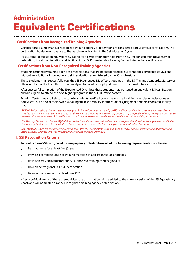## <span id="page-17-0"></span>**Administration Equivalent Certifications**

## **I. Certifications from Recognized Training Agencies**

Certifications issued by an SSI-recognized training agency or federation are considered equivalent SSI certifications. The certification holder may advance to the next level of training in the SSI Education System.

If a customer requests an equivalent SSI rating for a certification they hold from an SSI-recognized training agency or federation, it is at the discretion and liability of the SSI Professional or Training Center to issue that certification.

## **II. Certifications from Non-Recognized Training Agencies**

Students certified by training agencies or federations that are not recognized by SSI cannot be considered equivalent without an additional knowledge and skill evaluation administered by the SSI Professional.

These students must successfully pass the SSI Experienced Diver Test as outlined in the SSI Training Standards. Mastery of all diving skills of the level the diver is qualifying for must be displayed during the open water training dives.

After successful completion of the Experienced Diver Test, these students may be issued an equivalent SSI certification, and are eligible to attend the next higher program in the SSI Education System.

Training Centers may still elect to recognize students certified by non-recognized training agencies or federations as equivalent, but do so at their own risk, taking full responsibility for the student's judgment and the associated liability risk.

EXAMPLE: If an actively diving customer with your Training Center loses their Open Water Diver certification card that was issued by a certification agency that no longer exists, but the diver has other proof of diving experience (e.g. a signed logbook), then you may choose to issue this customer a new SSI certification based on your personal knowledge and verification of their diving experience.

The Training Center must issue a Digital Open Water Diver Kit and assess the diver's knowledge and skills before issuing a new certification. The Training Center must decide what level of assessment is required before issuing an equivalent SSI certification.

RECOMMENDATION: If a customer requests an equivalent SSI certification card, but does not have adequate verification of certification, issue a Digital Open Water Diver Kit and conduct an Experienced Diver Test.

## **III. SSI Recognition Criteria**

#### **To qualify as an SSI-recognized training agency or federation, all of the following requirements must be met:**

- Be in business for at least five (5) years
- Provide a complete range of training materials in at least three (3) languages
- Have at least 250 instructors and 50 authorized training centers globally
- Hold an active global EUF/ISO certification
- Be an active member of at least one RSTC

After proof/fulfillment of these prerequisites, the organization will be added to the current version of the SSI Equivalency Chart, and will be treated as an SSI-recognized training agency or federation.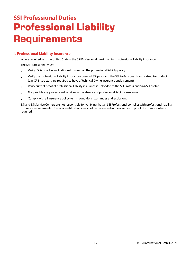## <span id="page-18-1"></span><span id="page-18-0"></span>**SSI Professional Duties Professional Liability Requirements**

## **I. Professional Liability Insurance**

Where required (e.g. the United States), the SSI Professional must maintain professional liability insurance. The SSI Professional must:

- Verify SSI is listed as an Additional Insured on the professional liability policy
- Verify the professional liability insurance covers all SSI programs the SSI Professional is authorized to conduct (e.g. XR Instructors are required to have a Technical Diving insurance endorsement)
- Verify current proof of professional liability insurance is uploaded to the SSI Professional's MySSI profile
- Not provide any professional services in the absence of professional liability insurance
- Comply with all insurance policy terms, conditions, warranties and exclusions

SSI and SSI Service Centers are not responsible for verifying that an SSI Professional complies with professional liability insurance requirements. However, certifications may not be processed in the absence of proof of insurance where required.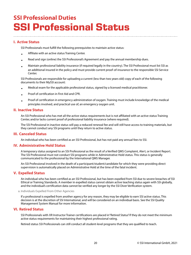## <span id="page-19-0"></span>**SSI Professional Duties SSI Professional Status**

## **I. Active Status**

SSI Professionals must fulfill the following prerequisites to maintain active status:

- Affiliate with an active status Training Center.
- Read and sign (online) the SSI Professional's Agreement and pay the annual membership dues.
- Maintain professional liability insurance (if required legally in the country). The SSI Professional must list SSI as an additional insured in the policy and must provide current proof-of-insurance to the responsible SSI Service Center.

SSI Professionals are responsible for uploading a current (less than two years old) copy of each of the following documents to their MySSI account:

- Medical exam for the applicable professional status, signed by a licensed medical practitioner.
- Proof of certification in First Aid and CPR.
- Proof of certification in emergency administration of oxygen. Training must include knowledge of the medical principles involved, and practical use of, an emergency oxygen unit.

## **II. Inactive Status**

An SSI Professional who has met all the active status requirements but is not affiliated with an active status Training Center, and/or lacks current proof of professional liability insurance (where required).

The SSI Professional in inactive status will pay a reduced renewal fee and will still have access to training materials, but they cannot conduct any SSI programs until they return to active status.

## **III. Canceled Status**

An individual who has been certified as an SSI Professional, but has not paid any annual fees to SSI.

## **IV. Administrative Hold Status**

A temporary status assigned to an SSI Professional as the result of a Verified QMS Complaint, Alert, or Incident Report. The SSI Professional must not conduct SSI programs while in Administrative Hold status. This status is generally communicated to the professional by the International QMS Manager.

An SSI Professional involved in the death of a participant/student/candidate for which they were providing direct supervision is automatically placed on Administrative Hold at the time of the fatal incident.

## **V. Expelled Status**

An individual who has been certified as an SSI Professional, but has been expelled from SSI due to severe breaches of SSI Ethical or Training Standards. A member in expelled status cannot obtain active teaching status again with SSI globally, and the individual's certification data cannot be verified any longer by the SSI Diver Verification system.

#### a. Individuals Expelled From Other Agencies

If a professional is expelled from another agency for any reason, they may be eligible to earn SSI active status. This decision is at the discretion of SSI International, and will be considered on an individual basis. See the SSI Quality Management System Manual for more information.

## **VI. Retired Status**

SSI Professionals with XR Instructor Trainer certifications are placed in "Retired Status" if they do not meet the minimum active status requirements for maintaining their highest professional rating.

Retired status SSI Professionals can still conduct all student-level programs that they are qualified to teach.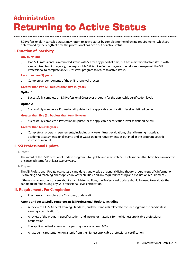## <span id="page-20-0"></span>**Administration Returning to Active Status**

SSI Professionals in canceled status may return to active status by completing the following requirements, which are determined by the length of time the professional has been out of active status.

## **I. Duration of Inactivity**

### **Any duration:**

• If an SSI Professional is in canceled status with SSI for any period of time, but has maintained active status with a recognized training agency, the responsible SSI Service Center may—at their discretion—permit the SSI Professional to complete an SSI Crossover program to return to active status.

### **Less than two (2) years:**

• Complete all components of the online renewal process.

### **Greater than two (2), but less than five (5) years:**

### **Option 1**

• Successfully complete an SSI Professional Crossover program for the applicable certification level.

### **Option 2**

• Successfully complete a Professional Update for the applicable certification level as defined below.

#### **Greater than five (5), but less than ten (10) years:**

• Successfully complete a Professional Update for the applicable certification level as defined below.

#### **Greater than ten (10) years:**

• Complete all program requirements, including any water fitness evaluations, digital learning materials, academic assessments, final exams, and in-water training requirements as outlined in the program-specific instructor manual.

## **II. SSI Professional Update**

#### a. Intent

The intent of the SSI Professional Update program is to update and reactivate SSI Professionals that have been in inactive or canceled status for at least two (2) years.

#### b. Purpose

The SSI Professional Update evaluates a candidate's knowledge of general diving theory, program-specific information, SSI training and teaching philosophies, in-water abilities, and any required teaching and evaluation requirements.

If there is any doubt or concern about a candidate's abilities, the Professional Update should be used to evaluate the candidate before issuing any SSI professional-level certification.

## **III. Requirements For Completion**

• Purchase and complete the Crossover/Update Kit

#### **Attend and successfully complete an SSI Professional Update, including:**

- A review of all SSI General Training Standards, and the standards related to the XR programs the candidate is earning a certification for.
- A review of the program-specific student and instructor materials for the highest applicable professional certification.
- The applicable final exams with a passing score of at least 90%.
- An academic presentation on a topic from the highest applicable professional certification.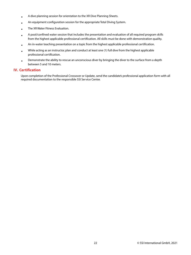- A dive planning session for orientation to the XR Dive Planning Sheets.
- An equipment configuration session for the appropriate Total Diving System.
- The XR Water Fitness Evaluation.
- A pool/confined water session that includes the presentation and evaluation of all required program skills from the highest applicable professional certification. All skills must be done with demonstration quality.
- An in-water teaching presentation on a topic from the highest applicable professional certification.
- While acting as an instructor, plan and conduct at least one (1) full dive from the highest applicable professional certification.
- Demonstrate the ability to rescue an unconscious diver by bringing the diver to the surface from a depth between 5 and 10 meters.

## **IV. Certification**

Upon completion of the Professional Crossover or Update, send the candidate's professional application form with all required documentation to the responsible SSI Service Center.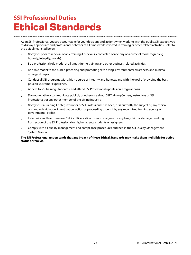## <span id="page-22-0"></span>**SSI Professional Duties Ethical Standards**

As an SSI Professional, you are accountable for your decisions and actions when working with the public. SSI expects you to display appropriate and professional behavior at all times while involved in training or other related activities. Refer to the guidelines listed below:

- Notify SSI prior to renewal or any training if previously convicted of a felony or a crime of moral regret (e.g. honesty, integrity, morals).
- Be a professional role model at all times during training and other business-related activities.
- Be a role model to the public, practicing and promoting safe diving, environmental awareness, and minimal ecological impact.
- Conduct all SSI programs with a high degree of integrity and honesty, and with the goal of providing the best possible customer experience.
- Adhere to SSI Training Standards, and attend SSI Professional updates on a regular basis.
- Do not negatively communicate publicly or otherwise about SSI Training Centers, Instructors or SSI Professionals or any other member of the diving industry.
- Notify SSI if a Training Center, Instructor or SSI Professional has been, or is currently the subject of, any ethical or standards violation, investigation, action or proceeding brought by any recognized training agency or governmental bodies.
- Indemnify and hold harmless SSI, its officers, directors and assignee for any loss, claim or damage resulting from action of the SSI Professional or his/her agents, students or assignees.
- Comply with all quality management and compliance procedures outlined in the SSI Quality Management System Manual.

### **The SSI Professional understands that any breach of these Ethical Standards may make them ineligible for active status or renewal**.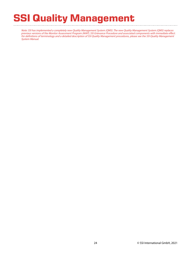# **SSI Quality Management**

Note: SSI has implemented a completely new Quality Management System (QMS). The new Quality Management System (QMS) replaces previous versions of the Monitor Assessment Program (MAP), SSI Grievance Procedure and associated components with immediate effect. For definitions of terminology and a detailed description of SSI Quality Management procedures, please see the SSI Quality Management System Manual.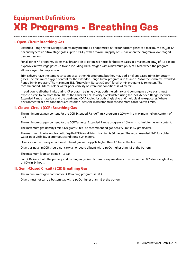## <span id="page-24-1"></span><span id="page-24-0"></span>**Equipment Definitions XR Programs - Breathing Gas**

## **I. Open-Circuit Breathing Gas**

Extended Range Nitrox Diving students may breathe air or optimized nitrox for bottom gases at a maximum ppO<sub>2</sub> of 1.4 bar and hyperoxic nitrox stage gases up to 50%  ${\rm O}_2$  with a maximum pp ${\rm O}_2$  of 1.6 bar when the program allows staged decompression.

For all other XR programs, divers may breathe air or optimized nitrox for bottom gases at a maximum ppO<sub>2</sub> of 1.4 bar and hyperoxic nitrox stage gases up to and including 100% oxygen with a maximum ppO $_2$  of 1.6 bar when the program allows staged decompression.

Trimix divers have the same restrictions as all other XR programs, but they may add a helium-based trimix for bottom gases. The minimum oxygen content for the Extended Range Trimix program is 21%, and 18% for the Technical Extended Range Trimix program. The maximum END (Equivalent Narcotic Depth) for all trimix programs is 30 meters. The recommended END for colder water, poor visibility or strenuous conditions is 24 meters.

In addition to all other limits during XR program training dives, both the primary and contingency dive plans must expose divers to no more than 80% of the limits for CNS toxicity as calculated using the SSI Extended Range/Technical Extended Range materials and the pertinent NOAA tables for both single dive and multiple dive exposures. Where environmental or dive conditions are less than ideal, the instructor must choose more conservative limits.

## **II. Closed-Circuit (CCR) Breathing Gas**

The minimum oxygen content for the CCR Extended Range Trimix program is 20% with a maximum helium content of 35%.

The minimum oxygen content for the CCR Technical Extended Range program is 16% with no limit for helium content.

The maximum gas density limit is 6.0 grams/liter. The recommended gas density limit is 5.2 grams/liter.

The maximum Equivalent Narcotic Depth (END) for all trimix training is 30 meters. The recommended END for colder water, poor visibility, or strenuous conditions is 24 meters.

Divers should not carry an onboard diluent gas with a ppO2 higher than 1.1 bar at the bottom.

Divers using an mCCR should not carry an onboard diluent with a ppO<sub>2</sub> higher than 1.3 at the bottom

The maximum loop set point is 1.3 bar.

For CCR divers, both the primary and contingency dive plans must expose divers to no more than 80% for a single dive, or 80% in 24 hours.

## **III. Semi-Closed Circuit (SCR) Breathing Gas**

The minimum oxygen content for SCR training programs is 30%.

Divers must not carry a bottom gas with a ppO<sub>2</sub> higher than 1.6 at the bottom.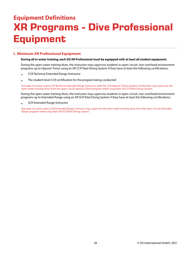## <span id="page-25-0"></span>**Equipment Definitions XR Programs - Dive Professional Equipment**

## **I. Minimum XR Professional Equipment**

### **During all in-water training, each SSI XR Professional must be equipped with at least all student equipment**.

During the open water training dives, the instructor may supervise students in open-circuit, non-overhead environment programs up to Hypoxic Trimix using an XR CCR Total Diving System if they have at least the following certifications:

- CCR Technical Extended Range Instructor
- The student-level CCR certification for the program being conducted

Example: An active status CCR Technical Extended Range Instructor with the CCR Hypoxic Trimix student certification may supervise the open water training dives from the open-circuit Hypoxic Trimix program while using their XR CCR Total Diving System.

During the open water training dives, the instructor may supervise students in open-circuit, non-overhead environment programs up to Extended Range using an XR SCR Total Diving System if they have at least the following certifications:

• SCR Extended Range Instructor

Example: An active status SCR Extended Range Instructor may supervise the open water training dives from the open-circuit Extended Range program while using their XR SCR Total Diving System.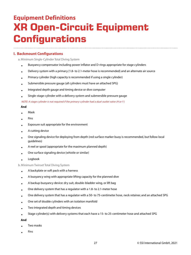## <span id="page-26-0"></span>**Equipment Definitions XR Open-Circuit Equipment Configurations**

## **I. Backmount Configurations**

a. Minimum Single-Cylinder Total Diving System

- Buoyancy compensator including power inflator and D-rings appropriate for stage cylinders
- Delivery system with a primary (1.8- to 2.1-meter hose is recommended) and an alternate air source
- Primary cylinder (high capacity is recommended if using a single cylinder)
- Submersible pressure gauge (all cylinders must have an attached SPG)
- Integrated depth gauge and timing device or dive computer
- Single-stage cylinder with a delivery system and submersible pressure gauge

NOTE: A stage cylinder is not required if the primary cylinder had a dual-outlet valve (H or Y )

#### **And**

- Mask
- Fins
- Exposure suit appropriate for the environment
- A cutting device
- One signaling device for deploying from depth (red surface marker buoy is recommended, but follow local guidelines)
- A reel or spool (appropriate for the maximum planned depth)
- One surface signaling device (whistle or similar)
- Logbook

b. Minimum Twinset Total Diving System

- A backplate or soft pack with a harness
- A buoyancy wing with appropriate lifting capacity for the planned dive
- A backup buoyancy device: dry suit, double-bladder wing, or lift bag
- One delivery system that has a regulator with a 1.8- to 2.1-meter hose
- One delivery system that has a regulator with a 50- to 75-centimeter hose, neck retainer, and an attached SPG
- One set of double cylinders with an isolation manifold
- Two integrated depth and timing devices
- Stage cylinder(s) with delivery systems that each have a 15- to 25-centimeter hose and attached SPG

#### **And**

- Two masks
- Fins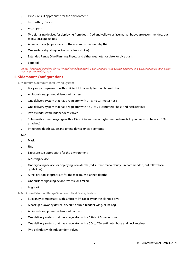- Exposure suit appropriate for the environment
- Two cutting devices
- A compass
- Two signaling devices for deploying from depth (red and yellow surface marker buoys are recommended, but follow local guidelines)
- A reel or spool (appropriate for the maximum planned depth)
- One surface signaling device (whistle or similar)
- Extended Range Dive Planning Sheets, and either wet notes or slate for dive plans
- Logbook

NOTE: The second signaling device for deploying from depth is only required to be carried when the dive plan requires an open water decompression obligation.

## **II. Sidemount Configurations**

a. Minimum Sidemount Total Diving System

- Buoyancy compensator with sufficient lift capacity for the planned dive
- An industry-approved sidemount harness
- One delivery system that has a regulator with a 1.8- to 2.1-meter hose
- One delivery system that has a regulator with a 50- to 75-centimeter hose and neck retainer
- Two cylinders with independent valves
- Submersible pressure gauge with a 15- to 25-centimeter high-pressure hose (all cylinders must have an SPG attached)
- Integrated depth gauge and timing device or dive computer

### **And**

- Mask
- Fins
- Exposure suit appropriate for the environment
- A cutting device
- One signaling device for deploying from depth (red surface marker buoy is recommended, but follow local guidelines)
- A reel or spool (appropriate for the maximum planned depth)
- One surface signaling device (whistle or similar)
- Logbook

### b. Minimum Extended Range Sidemount Total Diving System

- Buoyancy compensator with sufficient lift capacity for the planned dive
- A backup buoyancy device: dry suit, double-bladder wing, or lift bag
- An industry-approved sidemount harness
- One delivery system that has a regulator with a 1.8- to 2.1-meter hose
- One delivery system that has a regulator with a 50- to 75-centimeter hose and neck retainer
- Two cylinders with independent valves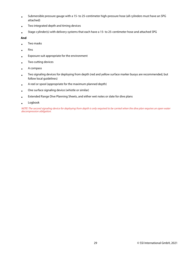- Submersible pressure gauge with a 15- to 25-centimeter high-pressure hose (all cylinders must have an SPG attached)
- Two integrated depth and timing devices
- Stage cylinder(s) with delivery systems that each have a 15- to 25-centimeter hose and attached SPG

### **And**

- Two masks
- Fins
- Exposure suit appropriate for the environment
- Two cutting devices
- A compass
- Two signaling devices for deploying from depth (red and yellow surface marker buoys are recommended, but follow local guidelines)
- A reel or spool (appropriate for the maximum planned depth)
- One surface signaling device (whistle or similar)
- Extended Range Dive Planning Sheets, and either wet notes or slate for dive plans
- Logbook

NOTE: The second signaling device for deploying from depth is only required to be carried when the dive plan requires an open water decompression obligation.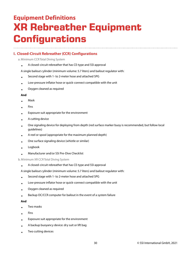## <span id="page-29-0"></span>**Equipment Definitions XR Rebreather Equipment Configurations**

## **I. Closed-Circuit Rebreather (CCR) Configurations**

a. Minimum CCR Total Diving System

• A closed-circuit rebreather that has CE-type and SSI approval

A single bailout cylinder (minimum volume: 5.7 liters) and bailout regulator with:

- Second stage with 1- to 2-meter hose and attached SPG
- Low-pressure inflator hose or quick-connect compatible with the unit
- Oxygen cleaned as required

#### **And**

- Mask
- Fins
- Exposure suit appropriate for the environment
- A cutting device
- One signaling device for deploying from depth (red surface marker buoy is recommended, but follow local guidelines)
- A reel or spool (appropriate for the maximum planned depth)
- One surface signaling device (whistle or similar)
- Logbook
- Manufacturer and/or SSI Pre-Dive Checklist

#### b. Minimum XR CCR Total Diving System

• A closed-circuit rebreather that has CE-type and SSI approval

A single bailout cylinder (minimum volume: 5.7 liters) and bailout regulator with:

- Second stage with 1- to 2-meter hose and attached SPG
- Low-pressure inflator hose or quick-connect compatible with the unit
- Oxygen cleaned as required
- Backup OC/CCR computer for bailout in the event of a system failure

#### **And**

- Two masks
- Fins
- Exposure suit appropriate for the environment
- A backup buoyancy device: dry suit or lift bag
- Two cutting devices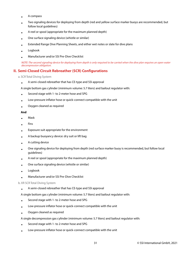- A compass
- Two signaling devices for deploying from depth (red and yellow surface marker buoys are recommended, but follow local guidelines)
- A reel or spool (appropriate for the maximum planned depth)
- One surface signaling device (whistle or similar)
- Extended Range Dive Planning Sheets, and either wet notes or slate for dive plans
- Logbook
- Manufacturer and/or SSI Pre-Dive Checklist

NOTE: The second signaling device for deploying from depth is only required to be carried when the dive plan requires an open water decompression obligation.

## **II. Semi-Closed Circuit Rebreather (SCR) Configurations**

a. SCR Total Diving System

• A semi-closed rebreather that has CE-type and SSI approval

A single bottom gas cylinder (minimum volume: 5.7 liters) and bailout regulator with:

- Second stage with 1- to 2-meter hose and SPG
- Low-pressure inflator hose or quick-connect compatible with the unit
- Oxygen cleaned as required

### **And**

- Mask
- Fins
- Exposure suit appropriate for the environment
- A backup buoyancy device: dry suit or lift bag
- A cutting device
- One signaling device for deploying from depth (red surface marker buoy is recommended, but follow local guidelines)
- A reel or spool (appropriate for the maximum planned depth)
- One surface signaling device (whistle or similar)
- Logbook
- Manufacturer and/or SSI Pre-Dive Checklist

#### b. XR SCR Total Diving System

- A semi-closed rebreather that has CE-type and SSI approval
- A single bottom gas cylinder (minimum volume: 5.7 liters) and bailout regulator with:
- Second stage with 1- to 2-meter hose and SPG
- Low-pressure inflator hose or quick-connect compatible with the unit
- Oxygen cleaned as required

A single decompression gas cylinder (minimum volume: 5.7 liters) and bailout regulator with:

- Second stage with 1- to 2-meter hose and SPG
- Low-pressure inflator hose or quick-connect compatible with the unit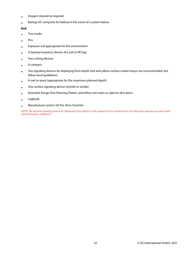- Oxygen cleaned as required
- Backup OC computer for bailout in the event of a system failure

### **And**

- Two masks
- Fins
- Exposure suit appropriate for the environment
- A backup buoyancy device: dry suit or lift bag
- Two cutting devices
- A compass
- Two signaling devices for deploying from depth (red and yellow surface marker buoys are recommended, but follow local guidelines)
- A reel or spool (appropriate for the maximum planned depth)
- One surface signaling device (whistle or similar)
- Extended Range Dive Planning Sheets, and either wet notes or slate for dive plans
- Logbook
- Manufacturer and/or SSI Pre-Dive Checklist

NOTE: The second signaling device for deploying from depth is only required to be carried when the dive plan requires an open water decompression obligation.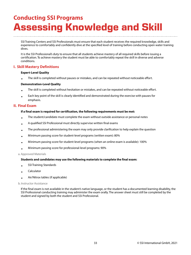## <span id="page-32-1"></span><span id="page-32-0"></span>**Conducting SSI Programs Assessing Knowledge and Skill**

SSI Training Centers and SSI Professionals must ensure that each student receives the required knowledge, skills and experience to comfortably and confidently dive at the specified level of training before conducting open water training dives.

It is the SSI Professional's duty to ensure that all students achieve mastery of all required skills before issuing a certification. To achieve mastery the student must be able to comfortably repeat the skill in diverse and adverse conditions.

## **I. Skill Mastery Definitions**

### **Expert-Level Quality**

• The skill is completed without pauses or mistakes, and can be repeated without noticeable effort.

### **Demonstration-Level Quality**

- The skill is completed without hesitation or mistakes, and can be repeated without noticeable effort.
- Each key point of the skill is clearly identified and demonstrated during the exercise with pauses for emphasis.

## **II. Final Exam**

### **If a final exam is required for certification, the following requirements must be met:**

- The student/candidate must complete the exam without outside assistance or personal notes
- A qualified SSI Professional must directly supervise written final exams
- The professional administering the exam may only provide clarification to help explain the question
- Minimum passing score for student-level programs (written exam): 80%
- Minimum passing score for student-level programs (when an online exam is available): 100%
- Minimum passing score for professional-level programs: 90%

### a. Approved Materials

### **Students and candidates may use the following materials to complete the final exam:**

- SSI Training Standards
- Calculator
- Air/Nitrox tables (if applicable)

### b. Instructor Assistance

If the final exam is not available in the student's native language, or the student has a documented learning disability, the SSI Professional conducting training may administer the exam orally. The answer sheet must still be completed by the student and signed by both the student and SSI Professional.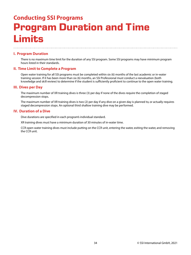## <span id="page-33-0"></span>**Conducting SSI Programs Program Duration and Time Limits**

## **I. Program Duration**

There is no maximum time limit for the duration of any SSI program. Some SSI programs may have minimum program hours listed in their standards.

## **II. Time Limit to Complete a Program**

Open water training for all SSI programs must be completed within six (6) months of the last academic or in-water training session. If it has been more than six (6) months, an SSI Professional must conduct a reevaluation (both knowledge and skill review) to determine if the student is sufficiently proficient to continue to the open water training.

## **III. Dives per Day**

The maximum number of XR training dives is three (3) per day if none of the dives require the completion of staged decompression stops.

The maximum number of XR training dives is two (2) per day if any dive on a given day is planned to, or actually requires staged decompression stops. An optional third shallow training dive may be performed.

## **IV. Duration of a Dive**

Dive durations are specified in each program's individual standard.

XR training dives must have a minimum duration of 30 minutes of in-water time.

CCR open water training dives must include putting on the CCR unit, entering the water, exiting the water, and removing the CCR unit.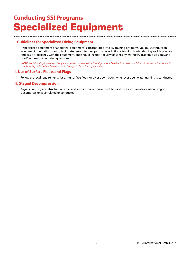## <span id="page-34-0"></span>**Conducting SSI Programs Specialized Equipment**

## **I. Guidelines for Specialized Diving Equipment**

If specialized equipment or additional equipment is incorporated into SSI training programs, you must conduct an equipment orientation prior to taking students into the open water. Additional training is intended to provide practice and basic proficiency with the equipment, and should include a review of specialty materials, academic sessions, and pool/confined water training sessions.

NOTE: Additional cylinders and buoyancy systems or specialized configurations like full face masks and dry suits must be introduced to students in pool/confined water prior to taking students into open water.

## **II. Use of Surface Floats and Flags**

Follow the local requirements for using surface floats or diver down buoys whenever open water training is conducted.

### **III. Staged Decompression**

A guideline, physical structure or a reel and surface marker buoy must be used for ascents on dives where staged decompression is simulated or conducted.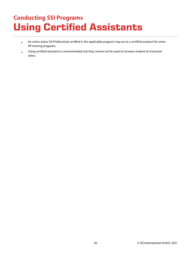## <span id="page-35-0"></span>**Conducting SSI Programs Using Certified Assistants**

- An active status SSI Professional certified in the applicable program may act as a certified assistant for some XR training programs.
- Using certified assistants is recommended, but they cannot not be used to increase student-to-instructor ratios.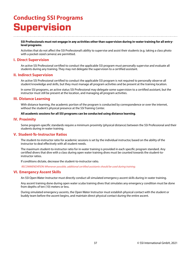# **Conducting SSI Programs Supervision**

#### **SSI Professionals must not engage in any activities other than supervision during in-water training for all entrylevel programs**.

Activities that do not affect the SSI Professional's ability to supervise and assist their students (e.g. taking a class photo with a pocket-sized camera) are permitted.

### **I. Direct Supervision**

An active SSI Professional certified to conduct the applicable SSI program must personally supervise and evaluate all students during any training. They may not delegate the supervision to a certified assistant.

#### **II. Indirect Supervision**

An active SSI Professional certified to conduct the applicable SSI program is not required to personally observe all student knowledge and skills, but they must manage all program activities and be present at the training location.

In some SSI programs, an active status SSI Professional may delegate some supervision to a certified assistant, but the instructor must still be present at the location, and managing all program activities.

### **III. Distance Learning**

With distance learning, the academic portion of the program is conducted by correspondence or over the internet, without the student's physical presence at the SSI Training Center.

#### **All academic sessions for all SSI programs can be conducted using distance learning**.

#### **IV. Proximity**

Some program-specific standards require a minimum proximity (physical distance) between the SSI Professional and their students during in-water training.

## **V. Student-To-Instructor Ratios**

The student-to-instructor ratio for academic sessions is set by the individual instructor, based on the ability of the instructor to deal effectively with all student needs.

The maximum student-to-instructor ratio for in-water training is provided in each specific program standard. Any certified divers that dive with a class during open water training dives must be counted towards the student-toinstructor ratios.

If conditions dictate, decrease the student-to-instructor ratio.

RECOMMENDATION: Whenever possible, additional certified assistants should be used during training.

#### **VI. Emergency Ascent Skills**

An SSI Open Water Instructor must directly conduct all simulated emergency ascent skills during in-water training.

Any ascent training done during open water scuba training dives that simulates any emergency condition must be done from depths of ten (10) meters or less.

During simulated emergency ascents, the Open Water Instructor must establish physical contact with the student or buddy team before the ascent begins, and maintain direct physical contact during the entire ascent.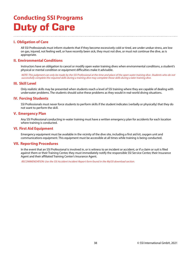# **Conducting SSI Programs Duty of Care**

# **I. Obligation of Care**

All SSI Professionals must inform students that if they become excessively cold or tired, are under undue stress, are low on gas, injured, not feeling well, or have recently been sick, they must not dive, or must not continue the dive, as is appropriate.

# **II. Environmental Conditions**

Instructors have an obligation to cancel or modify open water training dives when environmental conditions, a student's physical or mental condition or equipment difficulties make it advisable.

NOTE: This judgment can only be made by the SSI Professional at the time and place of the open water training dive. Students who do not successfully complete the required skills during a training dive may complete those skills during a later training dive.

### **III. Skill Level**

Only realistic skills may be presented when students reach a level of SSI training where they are capable of dealing with underwater problems. The students should solve these problems as they would in real-world diving situations.

## **IV. Forcing Students**

SSI Professionals must never force students to perform skills if the student indicates (verbally or physically) that they do not want to perform the skill.

### **V. Emergency Plan**

Any SSI Professional conducting in-water training must have a written emergency plan for accidents for each location where training is conducted.

## **VI. First Aid Equipment**

Emergency equipment must be available in the vicinity of the dive site, including a first aid kit, oxygen unit and communications equipment. This equipment must be accessible at all times while training is being conducted.

## **VII. Reporting Procedures**

In the event that an SSI Professional is involved in, or is witness to an incident or accident, or if a claim or suit is filed against them or their Training Center, they must immediately notify the responsible SSI Service Center, their Insurance Agent and their affiliated Training Center's Insurance Agent.

RECOMMENDATION: Use the SSI Accident Incident Report form found in the MySSI download section.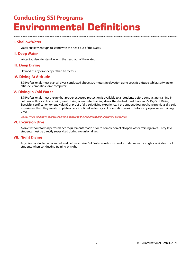# **Conducting SSI Programs Environmental Definitions**

# **I. Shallow Water**

Water shallow enough to stand with the head out of the water.

#### **II. Deep Water**

Water too deep to stand in with the head out of the water.

### **III. Deep Diving**

Defined as any dive deeper than 18 meters.

### **IV. Diving At Altitude**

SSI Professionals must plan all dives conducted above 300 meters in elevation using specific altitude tables/software or altitude-compatible dive computers.

## **V. Diving in Cold Water**

SSI Professionals must ensure that proper exposure protection is available to all students before conducting training in cold water. If dry suits are being used during open water training dives, the student must have an SSI Dry Suit Diving Specialty certification (or equivalent) or proof of dry suit diving experience. If the student does not have previous dry suit experience, then they must complete a pool/confined water dry suit orientation session before any open water training dives.

NOTE: When training in cold water, always adhere to the equipment manufacturer's guidelines.

### **VI. Excursion Dive**

A dive without formal performance requirements made prior to completion of all open water training dives. Entry-level students must be directly supervised during excursion dives.

## **VII. Night Diving**

Any dive conducted after sunset and before sunrise. SSI Professionals must make underwater dive lights available to all students when conducting training at night.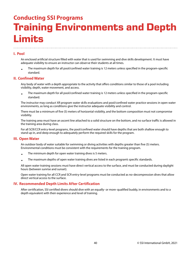# **Conducting SSI Programs Training Environments and Depth Limits**

## **I. Pool**

An enclosed artificial structure filled with water that is used for swimming and dive skills development. It must have adequate visibility to ensure an instructor can observe their students at all times.

• The maximum depth for all pool/confined water training is 12 meters unless specified in the program-specific standard.

### **II. Confined Water**

Any body of water with a depth appropriate to the activity that offers conditions similar to those of a pool including visibility, depth, water movement, and access.

• The maximum depth for all pool/confined water training is 12 meters unless specified in the program-specific standard.

The instructor may conduct XR program water skills evaluations and pool/confined water practice sessions in open water environments, as long as conditions give the instructor adequate visibility and control.

There must be a minimum of five (5) meters of horizontal visibility, and the bottom composition must not compromise visibility.

The training area must have an ascent line attached to a solid structure on the bottom, and no surface traffic is allowed in the training area during class.

For all SCR/CCR entry-level programs, the pool/confined water should have depths that are both shallow enough to stand up in, and deep enough to adequately perform the required skills for the program.

#### **III. Open Water**

An outdoor body of water suitable for swimming or diving activities with depths greater than five (5) meters. Environmental conditions must be consistent with the requirements for the training program.

- The minimum depth for open water training dives is 5 meters.
- The maximum depths of open water training dives are listed in each program's specific standards.

All open water training sessions must have direct vertical access to the surface, and must be conducted during daylight hours (between sunrise and sunset).

Open water training for all CCR and SCR entry-level programs must be conducted as no-decompression dives that allow direct vertical access to the surface.

## **IV. Recommended Depth Limits After Certification**

After certification, SSI certified divers should dive with an equally- or more-qualified buddy, in environments and to a depth equivalent with their experience and level of training.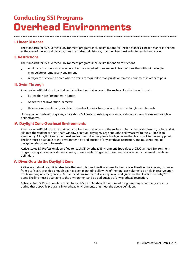# **Conducting SSI Programs Overhead Environments**

# **I. Linear Distance**

The standards for SSI Overhead Environment programs include limitations for linear distances. Linear distance is defined as the sum of the vertical distance, plus the horizontal distance, that the diver must swim to reach the surface.

## **II. Restrictions**

The standards for SSI Overhead Environment programs include limitations on restrictions.

- A minor restriction is an area where divers are required to swim one in front of the other without having to manipulate or remove any equipment.
- A major restriction is an area where divers are required to manipulate or remove equipment in order to pass.

## **III. Swim Through**

A natural or artificial structure that restricts direct vertical access to the surface. A swim through must:

- Be less than ten (10) meters in length
- At depths shallower than 30 meters
- Have separate and clearly visible entry and exit points, free of obstruction or entanglement hazards

During non entry-level programs, active status SSI Professionals may accompany students through a swim through as defined above.

## **IV. Daylight Zone Overhead Environments**

A natural or artificial structure that restricts direct vertical access to the surface. It has a clearly visible entry point, and at all times the student can see a safe window of natural day light, large enough to allow access to the surface in an emergency. All daylight zone overhead environment dives require a fixed guideline that leads back to the entry point. The line must be suitable to the environment, be tied outside of any overhead restriction, and must not require navigation decisions to be made.

Active status SSI Professionals certified to teach SSI Overhead Environment Specialties or XR Overhead Environment programs may accompany students during these specific programs in overhead environments that meet the above definition.

# **V. Dives Outside the Daylight Zone**

A dive in a natural or artificial structure that restricts direct vertical access to the surface. The diver may be any distance from a safe exit, provided enough gas has been planned to allow 1/3 of the total gas volume to be held in reserve upon exit (assuming no emergencies). All overhead environment dives require a fixed guideline that leads to an entry/exit point. The line must be suitable to the environment and be tied outside of any overhead restriction.

Active status SSI Professionals certified to teach SSI XR Overhead Environment programs may accompany students during these specific programs in overhead environments that meet the above definition.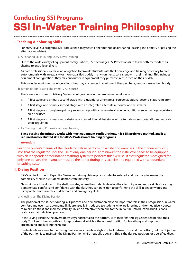# **Conducting SSI Programs SSI In-Water Training Philosophy**

# **I. Teaching Air Sharing Skills**

For entry-level SSI programs, SSI Professionals may teach either method of air sharing (passing the primary or passing the alternate regulator).

#### a. Air Sharing Skills During Entry-Level Training

Due to the wide variety of equipment configurations, SSI encourages SSI Professionals to teach both methods of air sharing to entry-level divers.

As dive professionals, we have an obligation to provide students with the knowledge and training necessary to dive autonomously with an equally- or more-qualified buddy in environments consistent with their training. This includes equipment configurations they may encounter in equipment they purchase, rent, or see on their buddy.

This includes equipment configurations they may encounter in equipment they purchase, rent, or see on their buddy.

b. Rationale For Passing The Primary Air Source

There are four common Delivery System configurations in modern recreational scuba:

- 1. A first stage and primary second-stage with a traditional alternate air source (additional second-stage regulator)
- 1. A first stage and primary second-stage with an integrated alternate air source and BC inflator
- 1. A first stage and long hose primary second-stage with an alternate air source (additional second-stage regulator) on a necklace
- 1. A first stage and primary second-stage, and an additional first stage with alternate air source (additional secondstage regulator)

c. Air Sharing During Professional-Level Training

#### **Since passing the primary works with most equipment configurations, it is SSI's preferred method, and is a required and evaluated skill for all SSI Professional training programs**.

#### **Attention:**

Read the owner's manual of the regulator before performing air sharing exercises. If the manual explicitly says that the regulator is for the use of only one person, at minimum the instructor needs to be equipped with an independent redundant breathing system to perform this exercise. If that regulator is designed for only one person, the instructor must be the donor during this exercise and equipped with a redundant breathing system.

## **II. Diving Position**

SSI's "Comfort through Repetition" in-water training philosophy is student-centered, and gradually increases the complexity of skills as students demonstrate mastery.

New skills are introduced in the shallow water, where the students develop their technique and motor skills. Once they demonstrate comfort and confidence with the skill, they can transition to performing the skill in deeper water, and incorporate more complex buddy team and emergency skills.

#### a. Kneeling vs. The Diving Position

The position of the student during skill practice and demonstration plays an important role in their progression, in-water comfort, and eventual autonomy. Skills are usually introduced to students who are kneeling and/or negatively buoyant to minimize stress and increase stability. This is an effective technique for the initial skill introduction, but it is not a realistic or natural diving position.

In the Diving Position, the diver's body stays horizontal to the bottom, with their fins and legs extended behind their body. This keeps their mouth and lungs horizontal, which is the optimal position for breathing, and improves streamlining and kicking technique.

Students who are new to the Diving Position may maintain slight contact between fins and the bottom, but the objective of the position is to maintain the Diving Position while neutrally buoyant. This is the desired position for a certified diver,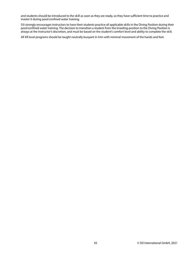and students should be introduced to the skill as soon as they are ready, so they have sufficient time to practice and master it during pool/confined water training.

SSI strongly encourages instructors to have their students practice all applicable skills in the Diving Position during their pool/confined water training. The decision to transition a student from the kneeling position to the Diving Position is always at the instructor's discretion, and must be based on the student's comfort level and ability to complete the skill.

All XR level programs should be taught neutrally buoyant in trim with minimal movement of the hands and feet.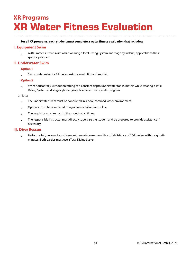# **XR Programs XR Water Fitness Evaluation**

#### **For all XR programs, each student must complete a water fitness evaluation that includes:**

## **I. Equipment Swim**

• A 400-meter surface swim while wearing a Total Diving System and stage cylinder(s) applicable to their specific program.

## **II. Underwater Swim**

### **Option 1**

• Swim underwater for 25 meters using a mask, fins and snorkel.

### **Option 2**

• Swim horizontally without breathing at a constant depth underwater for 15 meters while wearing a Total Diving System and stage cylinder(s) applicable to their specific program.

#### a. Notes

- The underwater swim must be conducted in a pool/confined water environment.
- Option 2 must be completed using a horizontal reference line.
- The regulator must remain in the mouth at all times.
- The responsible instructor must directly supervise the student and be prepared to provide assistance if necessary.

## **III. Diver Rescue**

• Perform a full, unconscious-diver-on-the-surface rescue with a total distance of 100 meters within eight (8) minutes. Both parties must use a Total Diving System.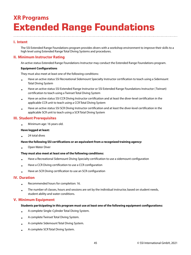# **XR Programs Extended Range Foundations**

# **I. Intent**

The SSI Extended Range Foundations program provides divers with a workshop environment to improve their skills to a high level using Extended Range Total Diving Systems and procedures.

# **II. Minimum Instructor Rating**

An active status Extended Range Foundations Instructor may conduct the Extended Range Foundations program.

#### **Equipment Configurations**

They must also meet at least one of the following conditions:

- Have an active status SSI Recreational Sidemount Specialty Instructor certification to teach using a Sidemount Total Diving System
- Have an active status SSI Extended Range Instructor or SSI Extended Range Foundations Instructor ( Twinset) certification to teach using a Twinset Total Diving System
- Have an active status SSI CCR Diving Instructor certification and at least the diver-level certification in the applicable CCR unit to teach using a CCR Total Diving System
- Have an active status SSI SCR Diving Instructor certification and at least the diver-level certification in the applicable SCR unit to teach using a SCR Total Diving System

## **III. Student Prerequisites**

• Minimum age: 16 years old.

#### **Have logged at least:**

• 24 total dives

## **Have the following SSI certifications or an equivalent from a recognized training agency:**

• Open Water Diver

#### **They must also meet at least one of the following conditions:**

- Have a Recreational Sidemount Diving Specialty certification to use a sidemount configuration
- Have a CCR Diving certification to use a CCR configuration
- Have an SCR Diving certification to use an SCR configuration

## **IV. Duration**

- Recommended hours for completion: 16.
- The number of classes, hours and sessions are set by the individual instructor, based on student needs, student ability and water conditions.

## **V. Minimum Equipment**

#### **Students participating in this program must use at least one of the following equipment configurations:**

- A complete Single-Cylinder Total Diving System.
- A complete Twinset Total Diving System.
- A complete Sidemount Total Diving System.
- A complete SCR Total Diving System.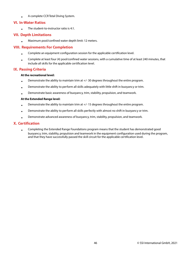• A complete CCR Total Diving System.

# **VI. In-Water Ratios**

• The student-to-instructor ratio is 4:1.

# **VII. Depth Limitations**

• Maximum pool/confined water depth limit: 12 meters.

# **VIII. Requirements For Completion**

- Complete an equipment configuration session for the applicable certification level.
- Complete at least four (4) pool/confined water sessions, with a cumulative time of at least 240 minutes, that include all skills for the applicable certification level.

# **IX. Passing Criteria**

### **At the recreational level:**

- Demonstrate the ability to maintain trim at +/- 30 degrees throughout the entire program.
- Demonstrate the ability to perform all skills adequately with little shift in buoyancy or trim.
- Demonstrate basic awareness of buoyancy, trim, stability, propulsion, and teamwork.

### **At the Extended Range level:**

- Demonstrate the ability to maintain trim at +/- 15 degrees throughout the entire program.
- Demonstrate the ability to perform all skills perfectly with almost no shift in buoyancy or trim.
- Demonstrate advanced awareness of buoyancy, trim, stability, propulsion, and teamwork.

# **X. Certification**

• Completing the Extended Range Foundations program means that the student has demonstrated good buoyancy, trim, stability, propulsion and teamwork in the equipment configuration used during the program, and that they have successfully passed the skill circuit for the applicable certification level.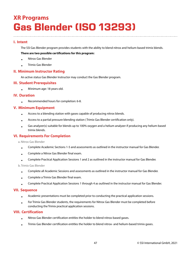# **XR Programs Gas Blender (ISO 13293)**

# **I. Intent**

The SSI Gas Blender program provides students with the ability to blend nitrox and helium-based trimix blends.

### **There are two possible certifications for this program:**

- Nitrox Gas Blender
- Trimix Gas Blender

## **II. Minimum Instructor Rating**

An active status Gas Blender Instructor may conduct the Gas Blender program.

## **III. Student Prerequisites**

• Minimum age: 18 years old.

### **IV. Duration**

• Recommended hours for completion: 6-8.

## **V. Minimum Equipment**

- Access to a blending station with gases capable of producing nitrox blends.
- Access to a partial pressure blending station ( Trimix Gas Blender certification only).
- Gas analyzer(s) suitable for blends up to 100% oxygen and a helium analyzer if producing any helium-based trimix blends.

# **VI. Requirements For Completion**

a. Nitrox Gas Blender

- Complete Academic Sections 1-5 and assessments as outlined in the instructor manual for Gas Blender.
- Complete a Nitrox Gas Blender final exam.
- Complete Practical Application Sessions 1 and 2 as outlined in the instructor manual for Gas Blender.

b. Trimix Gas Blender

- Complete all Academic Sessions and assessments as outlined in the instructor manual for Gas Blender.
- Complete a Trimix Gas Blender final exam.
- Complete Practical Application Sessions 1 through 4 as outlined in the instructor manual for Gas Blender.

## **VII. Sequence**

- Academic presentations must be completed prior to conducting the practical application sessions.
- For Trimix Gas Blender students, the requirements for Nitrox Gas Blender must be completed before conducting the Trimix practical application sessions.

## **VIII. Certification**

- Nitrox Gas Blender certification entitles the holder to blend nitrox-based gases.
- Trimix Gas Blender certification entitles the holder to blend nitrox- and helium-based trimix gases.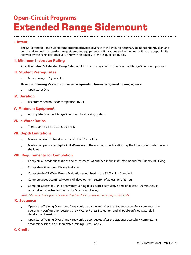# **Open-Circuit Programs Extended Range Sidemount**

# **I. Intent**

The SSI Extended Range Sidemount program provides divers with the training necessary to independently plan and conduct dives, using extended range sidemount equipment configurations and techniques, within the depth limits allowed by their certification levels, and with an equally- or more-qualified buddy.

# **II. Minimum Instructor Rating**

An active status SSI Extended Range Sidemount Instructor may conduct the Extended Range Sidemount program.

## **III. Student Prerequisites**

• Minimum age: 16 years old.

### **Have the following SSI certifications or an equivalent from a recognized training agency:**

• Open Water Diver

## **IV. Duration**

• Recommended hours for completion: 16-24.

## **V. Minimum Equipment**

• A complete Extended Range Sidemount Total Diving System.

# **VI. In-Water Ratios**

• The student-to-instructor ratio is 4:1.

# **VII. Depth Limitations**

- Maximum pool/confined water depth limit: 12 meters.
- Maximum open water depth limit: 40 meters or the maximum certification depth of the student, whichever is shallower.

## **VIII. Requirements For Completion**

- Complete all academic sessions and assessments as outlined in the instructor manual for Sidemount Diving.
- Complete a Sidemount Diving final exam.
- Complete the XR Water Fitness Evaluation as outlined in the SSI Training Standards.
- Complete a pool/confined water skill development session of at least one (1) hour.
- Complete at least four (4) open water training dives, with a cumulative time of at least 120 minutes, as outlined in the instructor manual for Sidemount Diving.

NOTE: All in-water training must be planned and conducted within the no-decompression limits.

## **IX. Sequence**

- Open Water Training Dives 1 and 2 may only be conducted after the student successfully completes the equipment configuration session, the XR Water Fitness Evaluation, and all pool/confined water skill development sessions.
- Open Water Training Dives 3 and 4 may only be conducted after the student successfully completes all academic sessions and Open Water Training Dives 1 and 2.

# **X. Credit**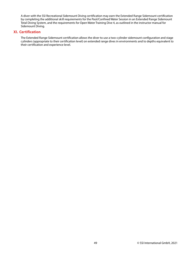A diver with the SSI Recreational Sidemount Diving certification may earn the Extended Range Sidemount certification by completing the additional skill requirements for the Pool/Confined Water Session in an Extended Range Sidemount Total Diving System, and the requirements for Open Water Training Dive 4, as outlined in the instructor manual for Sidemount Diving.

## **XI. Certification**

The Extended Range Sidemount certification allows the diver to use a two-cylinder sidemount configuration and stage cylinders (appropriate to their certification level) on extended range dives in environments and to depths equivalent to their certification and experience level.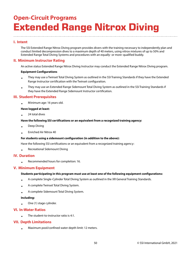# **Open-Circuit Programs Extended Range Nitrox Diving**

# **I. Intent**

The SSI Extended Range Nitrox Diving program provides divers with the training necessary to independently plan and conduct limited decompression dives to a maximum depth of 40 meters, using nitrox mixtures of up to 50% and Extended Range Total Diving Systems and procedures with an equally- or more-qualified buddy.

# **II. Minimum Instructor Rating**

An active status Extended Range Nitrox Diving Instructor may conduct the Extended Range Nitrox Diving program.

#### **Equipment Configurations**

- They may use a Twinset Total Diving System as outlined in the SSI Training Standards if they have the Extended Range Instructor certification with the Twinset configuration.
- They may use an Extended Range Sidemount Total Diving System as outlined in the SSI Training Standards if they have the Extended Range Sidemount Instructor certification.

## **III. Student Prerequisites**

• Minimum age: 16 years old.

#### **Have logged at least:**

• 24 total dives

#### **Have the following SSI certifications or an equivalent from a recognized training agency:**

- Deep Diving
- Enriched Air Nitrox 40

#### **For students using a sidemount configuration (in addition to the above):**

Have the following SSI certifications or an equivalent from a recognized training agency:

• Recreational Sidemount Diving

#### **IV. Duration**

• Recommended hours for completion: 16.

## **V. Minimum Equipment**

#### **Students participating in this program must use at least one of the following equipment configurations:**

- A complete Single-Cylinder Total Diving System as outlined in the XR General Training Standards.
- A complete Twinset Total Diving System.
- A complete Sidemount Total Diving System.

#### **Including:**

• One (1) stage cylinder.

## **VI. In-Water Ratios**

• The student-to-instructor ratio is 4:1.

## **VII. Depth Limitations**

• Maximum pool/confined water depth limit: 12 meters.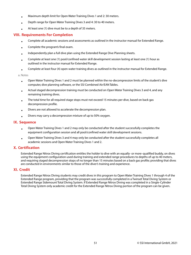- Maximum depth limit for Open Water Training Dives 1 and 2: 30 meters.
- Depth range for Open Water Training Dives 3 and 4: 30 to 40 meters.
- At least one (1) dive must be to a depth of 35 meters.

# **VIII. Requirements For Completion**

- Complete all academic sessions and assessments as outlined in the instructor manual for Extended Range.
- Complete the program's final exam.
- Independently plan a full dive plan using the Extended Range Dive Planning sheets.
- Complete at least one (1) pool/confined water skill development session lasting at least one (1) hour as outlined in the instructor manual for Extended Range.
- Complete at least four (4) open water training dives as outlined in the instructor manual for Extended Range.

a. Notes

- Open Water Training Dives 1 and 2 must be planned within the no-decompression limits of the student's dive computer, dive planning software, or the SSI Combined Air/EAN Tables.
- Actual staged decompression training must be conducted on Open Water Training Dives 3 and 4, and any remaining training dives.
- The total time for all required stage stops must not exceed 15 minutes per dive, based on back gas decompression profile.
- Divers are not allowed to accelerate the decompression plan.
- Divers may carry a decompression mixture of up to 50% oxygen.

## **IX. Sequence**

- Open Water Training Dives 1 and 2 may only be conducted after the student successfully completes the equipment configuration session and all pool/confined water skill development sessions.
- Open Water Training Dives 3 and 4 may only be conducted after the student successfully completes all academic sessions and Open Water Training Dives 1 and 2.

# **X. Certification**

Extended Range Nitrox Diving certification entitles the holder to dive with an equally- or more-qualified buddy, on dives using the equipment configuration used during training and extended range procedures to depths of up to 40 meters, and requiring staged decompression stops of no longer than 15 minutes based on a back gas profile; providing that dives are conducted in environments similar to those of the diver's training and experience.

## **XI. Credit**

Extended Range Nitrox Diving students may credit dives in this program to Open Water Training Dives 1 through 4 of the Extended Range program, providing that the program was successfully completed in a Twinset Total Diving System or Extended Range Sidemount Total Diving System. If Extended Range Nitrox Diving was completed in a Single-Cylinder Total Diving System only academic credit for the Extended Range Nitrox Diving portion of the program can be given.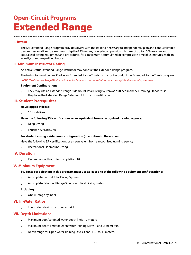# **Open-Circuit Programs Extended Range**

# **I. Intent**

The SSI Extended Range program provides divers with the training necessary to independently plan and conduct limited decompression dives to a maximum depth of 45 meters, using decompression mixtures of up to 100% oxygen and specialized diving equipment and procedures, for a maximum accumulated decompression time of 25 minutes, with an equally- or more-qualified buddy.

# **II. Minimum Instructor Rating**

An active status Extended Range Instructor may conduct the Extended Range program.

The instructor must be qualified as an Extended Range Trimix Instructor to conduct the Extended Range Trimix program.

NOTE: The Extended Range Trimix curriculum is identical to the non-trimix program, except for the breathing gas used.

#### **Equipment Configurations**

• They may use an Extended Range Sidemount Total Diving System as outlined in the SSI Training Standards if they have the Extended Range Sidemount Instructor certification.

## **III. Student Prerequisites**

#### **Have logged at least:**

• 50 total dives

**Have the following SSI certifications or an equivalent from a recognized training agency:**

- Deep Diving
- Enriched Air Nitrox 40

#### **For students using a sidemount configuration (in addition to the above):**

Have the following SSI certifications or an equivalent from a recognized training agency:

• Recreational Sidemount Diving

#### **IV. Duration**

• Recommended hours for completion: 18.

## **V. Minimum Equipment**

#### **Students participating in this program must use at least one of the following equipment configurations:**

- A complete Twinset Total Diving System.
- A complete Extended Range Sidemount Total Diving System.

#### **Including:**

• One (1) stage cylinder.

## **VI. In-Water Ratios**

• The student-to-instructor ratio is 4:1.

## **VII. Depth Limitations**

- Maximum pool/confined water depth limit: 12 meters.
- Maximum depth limit for Open Water Training Dives 1 and 2: 30 meters.
- Depth range for Open Water Training Dives 3 and 4: 30 to 40 meters.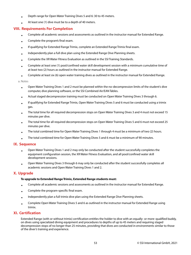- Depth range for Open Water Training Dives 5 and 6: 30 to 45 meters.
- At least one (1) dive must be to a depth of 40 meters.

## **VIII. Requirements For Completion**

- Complete all academic sessions and assessments as outlined in the instructor manual for Extended Range.
- Complete the program's final exam.
- If qualifying for Extended Range Trimix, complete an Extended Range Trimix final exam.
- Independently plan a full dive plan using the Extended Range Dive Planning sheets.
- Complete the XR Water Fitness Evaluation as outlined in the SSI Training Standards.
- Complete at least one (1) pool/confined water skill development session with a minimum cumulative time of at least two (2) hours as outlined in the instructor manual for Extended Range.
- Complete at least six (6) open water training dives as outlined in the instructor manual for Extended Range.

a. Notes

- Open Water Training Dives 1 and 2 must be planned within the no-decompression limits of the student's dive computer, dive planning software, or the SSI Combined Air/EAN Tables.
- Actual staged decompression training must be conducted on Open Water Training Dives 3 through 6.
- If qualifying for Extended Range Trimix, Open Water Training Dives 5 and 6 must be conducted using a trimix gas.
- The total time for all required decompression stops on Open Water Training Dives 3 and 4 must not exceed 15 minutes per dive.
- The total time for all required decompression stops on Open Water Training Dives 5 and 6 must not exceed 25 minutes per dive.
- The total combined time for Open Water Training Dives 1 through 4 must be a minimum of two (2) hours.
- The total combined time for Open Water Training Dives 5 and 6 must be a minimum of 90 minutes.

#### **IX. Sequence**

- Open Water Training Dives 1 and 2 may only be conducted after the student successfully completes the equipment configuration session, the XR Water Fitness Evaluation, and all pool/confined water skill development sessions.
- Open Water Training Dives 3 through 6 may only be conducted after the student successfully completes all academic sessions and Open Water Training Dives 1 and 2.

#### **X. Upgrade**

#### **To upgrade to Extended Range Trimix, Extended Range students must:**

- Complete all academic sessions and assessments as outlined in the instructor manual for Extended Range.
- Complete the program-specific final exam.
- Independently plan a full trimix dive plan using the Extended Range Dive Planning sheets.
- Complete Open Water Training Dives 5 and 6 as outlined in the instructor manual for Extended Range using trimix.

## **XI. Certification**

Extended Range (with or without trimix) certification entitles the holder to dive with an equally- or more-qualified buddy, on dives using specialized diving equipment and procedures to depths of up to 45 meters and requiring staged decompression stops of no longer than 25 minutes, providing that dives are conducted in environments similar to those of the diver's training and experience.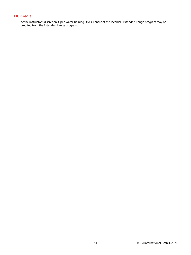# **XII. Credit**

At the instructor's discretion, Open Water Training Dives 1 and 2 of the Technical Extended Range program may be credited from the Extended Range program.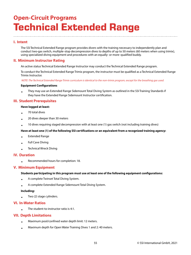# **Open-Circuit Programs Technical Extended Range**

# **I. Intent**

The SSI Technical Extended Range program provides divers with the training necessary to independently plan and conduct two-gas switch, multiple-stop decompression dives to depths of up to 50 meters (60 meters when using trimix), using specialized diving equipment and procedures with an equally- or more-qualified buddy.

# **II. Minimum Instructor Rating**

An active status Technical Extended Range Instructor may conduct the Technical Extended Range program.

To conduct the Technical Extended Range Trimix program, the instructor must be qualified as a Technical Extended Range Trimix Instructor.

NOTE: The Technical Extended Range Trimix curriculum is identical to the non-trimix program, except for the breathing gas used.

#### **Equipment Configurations**

• They may use an Extended Range Sidemount Total Diving System as outlined in the SSI Training Standards if they have the Extended Range Sidemount Instructor certification.

## **III. Student Prerequisites**

#### **Have logged at least:**

- 70 total dives
- 20 dives deeper than 30 meters
- 10 dives requiring staged decompression with at least one (1) gas switch (not including training dives)

#### **Have at least one (1) of the following SSI certifications or an equivalent from a recognized training agency:**

- Extended Range
- Full Cave Diving
- Technical Wreck Diving

## **IV. Duration**

• Recommended hours for completion: 18.

## **V. Minimum Equipment**

#### **Students participating in this program must use at least one of the following equipment configurations:**

- A complete Twinset Total Diving System.
- A complete Extended Range Sidemount Total Diving System.

#### **Including:**

• Two (2) stage cylinders.

## **VI. In-Water Ratios**

• The student-to-instructor ratio is 4:1.

## **VII. Depth Limitations**

- Maximum pool/confined water depth limit: 12 meters.
- Maximum depth for Open Water Training Dives 1 and 2: 40 meters.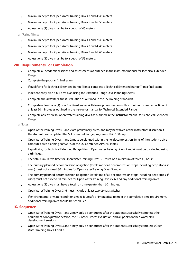- Maximum depth for Open Water Training Dives 3 and 4: 45 meters.
- Maximum depth for Open Water Training Dives 5 and 6: 50 meters.
- At least one (1) dive must be to a depth of 45 meters.

#### a. If Using Trimix

- Maximum depth for Open Water Training Dives 1 and 2: 40 meters.
- Maximum depth for Open Water Training Dives 3 and 4: 45 meters.
- Maximum depth for Open Water Training Dives 5 and 6: 60 meters.
- At least one (1) dive must be to a depth of 55 meters.

## **VIII. Requirements For Completion**

- Complete all academic sessions and assessments as outlined in the instructor manual for Technical Extended Range.
- Complete the program's final exam.
- If qualifying for Technical Extended Range Trimix, complete a Technical Extended Range Trimix final exam.
- Independently plan a full dive plan using the Extended Range Dive Planning sheets.
- Complete the XR Water Fitness Evaluation as outlined in the SSI Training Standards.
- Complete at least one (1) pool/confined water skill development session with a minimum cumulative time of at least 90 minutes as outlined in the instructor manual for Technical Extended Range.
- Complete at least six (6) open water training dives as outlined in the instructor manual for Technical Extended Range.

a. Notes

- Open Water Training Dives 1 and 2 are preliminary dives, and may be waived at the instructor's discretion if the student has completed the SSI Extended Range program within 180 days.
- Open Water Training Dives 1 and 2 must be planned within the no-decompression limits of the student's dive computer, dive planning software, or the SSI Combined Air/EAN Tables.
- If qualifying for Technical Extended Range Trimix, Open Water Training Dives 5 and 6 must be conducted using a trimix gas.
- The total cumulative time for Open Water Training Dives 3-6 must be a minimum of three (3) hours.
- The primary planned decompression obligation (total time of all decompression stops including deep stops, if used) must not exceed 30 minutes for Open Water Training Dives 3 and 4.
- The primary planned decompression obligation (total time of all decompression stops including deep stops, if used) must not exceed 60 minutes for Open Water Training Dives 5, 6, and any additional training dives.
- At least one (1) dive must have a total run time greater than 60 minutes.
- Open Water Training Dives 3–6 must include at least two (2) gas switches.
- If environmental or water conditions make it unsafe or impractical to meet the cumulative time requirement, additional training dives should be scheduled.

## **IX. Sequence**

- Open Water Training Dives 1 and 2 may only be conducted after the student successfully completes the equipment configuration session, the XR Water Fitness Evaluation, and all pool/confined water skill development sessions.
- Open Water Training Dives 3 and 4 may only be conducted after the student successfully completes Open Water Training Dives 1 and 2.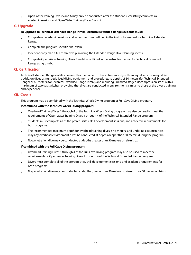• Open Water Training Dives 5 and 6 may only be conducted after the student successfully completes all academic sessions and Open Water Training Dives 3 and 4.

## **X. Upgrade**

#### **To upgrade to Technical Extended Range Trimix, Technical Extended Range students must:**

- Complete all academic sessions and assessments as outlined in the instructor manual for Technical Extended Range.
- Complete the program-specific final exam.
- Independently plan a full trimix dive plan using the Extended Range Dive Planning sheets.
- Complete Open Water Training Dives 5 and 6 as outlined in the instructor manual for Technical Extended Range using trimix.

## **XI. Certification**

Technical Extended Range certification entitles the holder to dive autonomously with an equally- or more-qualified buddy, on dives using specialized diving equipment and procedures, to depths of 50 meters (for Technical Extended Range) or 60 meters (for Technical Extended Range Trimix), and requiring unlimited staged decompression stops with a maximum of two gas switches, providing that dives are conducted in environments similar to those of the diver's training and experience.

## **XII. Credit**

This program may be combined with the Technical Wreck Diving program or Full Cave Diving program.

#### **If combined with the Technical Wreck Diving program:**

- Overhead Training Dives 1 through 4 of the Technical Wreck Diving program may also be used to meet the requirements of Open Water Training Dives 1 through 4 of the Technical Extended Range program.
- Students must complete all of the prerequisites, skill development sessions, and academic requirements for both programs.
- The recommended maximum depth for overhead training dives is 45 meters, and under no circumstances may any overhead environment dives be conducted at depths deeper than 60 meters during the program.
- No penetration dive may be conducted at depths greater than 30 meters on air/nitrox.

#### **If combined with the Full Cave Diving program:**

- Overhead Training Dives 1 through 4 of the Full Cave Diving program may also be used to meet the requirements of Open Water Training Dives 1 through 4 of the Technical Extended Range program.
- Divers must complete all of the prerequisites, skill development sessions, and academic requirements for both programs.
- No penetration dive may be conducted at depths greater than 30 meters on air/nitrox or 60 meters on trimix.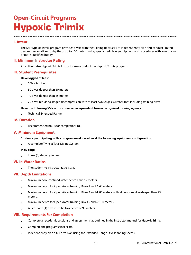# **Open-Circuit Programs Hypoxic Trimix**

# **I. Intent**

The SSI Hypoxic Trimix program provides divers with the training necessary to independently plan and conduct limited decompression dives to depths of up to 100 meters, using specialized diving equipment and procedures with an equallyor more-qualified buddy.

# **II. Minimum Instructor Rating**

An active status Hypoxic Trimix Instructor may conduct the Hypoxic Trimix program.

## **III. Student Prerequisites**

#### **Have logged at least:**

- 100 total dives
- 30 dives deeper than 30 meters
- 10 dives deeper than 45 meters
- 20 dives requiring staged decompression with at least two (2) gas switches (not including training dives)

### **Have the following SSI certifications or an equivalent from a recognized training agency:**

• Technical Extended Range

# **IV. Duration**

• Recommended hours for completion: 18.

## **V. Minimum Equipment**

#### **Students participating in this program must use at least the following equipment configuration:**

• A complete Twinset Total Diving System.

#### **Including:**

• Three (3) stage cylinders.

## **VI. In-Water Ratios**

• The student-to-instructor ratio is 3:1.

# **VII. Depth Limitations**

- Maximum pool/confined water depth limit: 12 meters.
- Maximum depth for Open Water Training Dives 1 and 2: 40 meters.
- Maximum depth for Open Water Training Dives 3 and 4: 80 meters, with at least one dive deeper than 75 meters.
- Maximum depth for Open Water Training Dives 5 and 6: 100 meters.
- At least one (1) dive must be to a depth of 90 meters.

# **VIII. Requirements For Completion**

- Complete all academic sessions and assessments as outlined in the instructor manual for Hypoxic Trimix.
- Complete the program's final exam.
- Independently plan a full dive plan using the Extended Range Dive Planning sheets.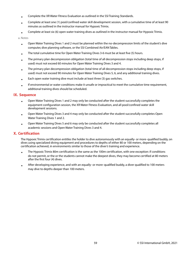- Complete the XR Water Fitness Evaluation as outlined in the SSI Training Standards.
- Complete at least one (1) pool/confined water skill development session, with a cumulative time of at least 90 minutes as outlined in the instructor manual for Hypoxic Trimix.
- Complete at least six (6) open water training dives as outlined in the instructor manual for Hypoxic Trimix.

a. Notes

- Open Water Training Dives 1 and 2 must be planned within the no-decompression limits of the student's dive computer, dive planning software, or the SSI Combined Air/EAN Tables.
- The total cumulative time for Open Water Training Dives 3-6 must be at least five (5) hours.
- The primary plan decompression obligation (total time of all decompression stops including deep stops, if used) must not exceed 60 minutes for Open Water Training Dives 3 and 4.
- The primary plan decompression obligation (total time of all decompression stops including deep stops, if used) must not exceed 90 minutes for Open Water Training Dives 5, 6, and any additional training dives.
- Each open water training dive must include at least three (3) gas switches.
- If environmental or water conditions make it unsafe or impractical to meet the cumulative time requirement, additional training dives should be scheduled.

## **IX. Sequence**

- Open Water Training Dives 1 and 2 may only be conducted after the student successfully completes the equipment configuration session, the XR Water Fitness Evaluation, and all pool/confined water skill development sessions.
- Open Water Training Dives 3 and 4 may only be conducted after the student successfully completes Open Water Training Dives 1 and 2.
- Open Water Training Dives 5 and 6 may only be conducted after the student successfully completes all academic sessions and Open Water Training Dives 3 and 4.

# **X. Certification**

The Hypoxic Trimix certification entitles the holder to dive autonomously with an equally- or more-qualified buddy, on dives using specialized diving equipment and procedures to depths of either 80 or 100 meters, depending on the certification achieved, in environments similar to those of the diver's training and experience.

- The Hypoxic Trimix 80m certification is the same as the 100m certification, with one exception: if conditions do not permit, or the or the students cannot make the deepest dives, they may become certified at 80 meters after the first four (4) dives.
- After developing experience, and with an equally- or more-qualified buddy, a diver qualified to 100 meters may dive to depths deeper than 100 meters.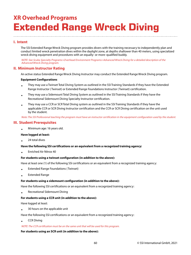# **XR Overhead Programs Extended Range Wreck Diving**

# **I. Intent**

The SSI Extended Range Wreck Diving program provides divers with the training necessary to independently plan and conduct limited wreck penetration dives within the daylight zone, at depths shallower than 40 meters, using specialized wreck diving equipment and procedures with an equally- or more-qualified buddy.

NOTE: See Scuba Specialty Programs>Overhead Environment Programs>Advanced Wreck Diving for a detailed description of the Advanced Wreck Diving program.

## **II. Minimum Instructor Rating**

An active status Extended Range Wreck Diving Instructor may conduct the Extended Range Wreck Diving program.

#### **Equipment Configurations**

- They may use a Twinset Total Diving System as outlined in the SSI Training Standards if they have the Extended Range Instructor ( Twinset) or Extended Range Foundations Instructor ( Twinset) certification.
- They may use a Sidemount Total Diving System as outlined in the SSI Training Standards if they have the Recreational Sidemount Diving Specialty Instructor certification.
- They may use a CCR or SCR Total Diving system as outlined in the SSI Training Standards if they have the applicable CCR or SCR Diving Instructor certification and the CCR or SCR Diving certification on the unit used by the student.

Note: The SSI Professional teaching the program must have an instructor certification in the equipment configuration used by the student.

## **III. Student Prerequisites**

• Minimum age: 16 years old.

#### **Have logged at least:**

• 24 total dives

#### **Have the following SSI certifications or an equivalent from a recognized training agency:**

• Enriched Air Nitrox 40

#### **For students using a twinset configuration (in addition to the above):**

Have at least one (1) of the following SSI certifications or an equivalent from a recognized training agency:

- Extended Range Foundations ( Twinset)
- Extended Range

#### **For students using a sidemount configuration (in addition to the above):**

Have the following SSI certifications or an equivalent from a recognized training agency:

• Recreational Sidemount Diving

#### **For students using a CCR unit (in addition to the above):**

Have logged at least:

• 30 hours on the applicable unit

Have the following SSI certifications or an equivalent from a recognized training agency:

• CCR Diving

## NOTE: The CCR certification must be on the same unit that will be used for this program.

## **For students using an SCR unit (in addition to the above):**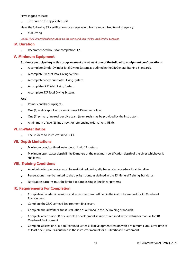Have logged at least:

• 30 hours on the applicable unit

Have the following SSI certifications or an equivalent from a recognized training agency:

• SCR Diving

NOTE: The SCR certification must be on the same unit that will be used for this program.

# **IV. Duration**

• Recommended hours for completion: 12.

# **V. Minimum Equipment**

### **Students participating in this program must use at least one of the following equipment configurations:**

- A complete Single-Cylinder Total Diving System as outlined in the XR General Training Standards.
- A complete Twinset Total Diving System.
- A complete Sidemount Total Diving System.
- A complete CCR Total Diving System.
- A complete SCR Total Diving System.

### **And**

- Primary and back-up lights.
- One (1) reel or spool with a minimum of 45 meters of line.
- One (1) primary line reel per dive team (team reels may be provided by the instructor).
- A minimum of two (2) line arrows or referencing exit markers (REM).

## **VI. In-Water Ratios**

• The student-to-instructor ratio is 3:1.

# **VII. Depth Limitations**

- Maximum pool/confined water depth limit: 12 meters.
- Maximum open water depth limit: 40 meters or the maximum certification depth of the diver, whichever is shallower.

# **VIII. Training Conditions**

- A guideline to open water must be maintained during all phases of any overhead training dive.
- Penetrations must be limited to the daylight zone, as defined in the SSI General Training Standards.
- Navigation patterns must be limited to simple, single-line linear patterns.

# **IX. Requirements For Completion**

- Complete all academic sessions and assessments as outlined in the instructor manual for XR Overhead Environment.
- Complete the XR Overhead Environment final exam.
- Complete the XR Water Fitness Evaluation as outlined in the SSI Training Standards.
- Complete at least one (1) dry land skill development session as outlined in the instructor manual for XR Overhead Environment
- Complete at least one (1) pool/confined water skill development session with a minimum cumulative time of at least one (1) hour as outlined in the instructor manual for XR Overhead Environment.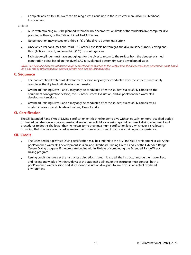• Complete at least four (4) overhead training dives as outlined in the instructor manual for XR Overhead Environment.

a. Notes

- All in-water training must be planned within the no-decompression limits of the student's dive computer, dive planning software, or the SSI Combined Air/EAN Tables.
- No penetration may exceed one-third (1/3) of the diver's bottom gas supply.
- Once any diver consumes one-third (1/3) of their available bottom gas, the dive must be turned, leaving onethird (1/3) for the exit, and one-third (1/3) for contingencies.
- Each stage cylinder must have enough gas for the diver to return to the surface from the deepest planned penetration point, based on the diver's SAC rate, planned bottom time, and any planned stops.

NOTE: CCR bailout cylinders must have enough gas for the diver to return to the surface from the deepest planned penetration point, based on a SAC rate of 40 liters/minute, planned bottom time, and any planned stops.

### **X. Sequence**

- The pool/confined water skill development session may only be conducted after the student successfully completes the dry land skill development session.
- Overhead Training Dives 1 and 2 may only be conducted after the student successfully completes the equipment configuration session, the XR Water Fitness Evaluation, and all pool/confined water skill development sessions.
- Overhead Training Dives 3 and 4 may only be conducted after the student successfully completes all academic sessions and Overhead Training Dives 1 and 2.

## **XI. Certification**

The SSI Extended Range Wreck Diving certification entitles the holder to dive with an equally- or more-qualified buddy, on limited penetration, no-decompression dives in the daylight zone, using specialized wreck diving equipment and procedures to depths shallower than 40 meters (or to their maximum certification level, whichever is shallower), providing that dives are conducted in environments similar to those of the diver's training and experience.

## **XII. Credit**

- The Extended Range Wreck Diving certification may be credited to the dry land skill development session, the pool/confined water skill development session, and Overhead Training Dives 1 and 2 of the Extended Range Cavern Diving program, if the program begins within 90 days of completing the Extended Range Wreck Diving program.
- Issuing credit is entirely at the instructor's discretion. If credit is issued, the instructor must either have direct and recent knowledge (within 90 days) of the student's abilities, or the instructor must conduct both a pool/confined water session and at least one evaluation dive prior to any dives in an actual overhead environment.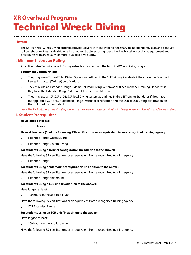# **XR Overhead Programs Technical Wreck Diving**

# **I. Intent**

The SSI Technical Wreck Diving program provides divers with the training necessary to independently plan and conduct full penetration dives inside ship wrecks or other structures, using specialized technical wreck diving equipment and procedures with an equally- or more-qualified dive buddy.

# **II. Minimum Instructor Rating**

An active status Technical Wreck Diving Instructor may conduct the Technical Wreck Diving program.

#### **Equipment Configurations**

- They may use a Twinset Total Diving System as outlined in the SSI Training Standards if they have the Extended Range Instructor ( Twinset) certification.
- They may use an Extended Range Sidemount Total Diving System as outlined in the SSI Training Standards if they have the Extended Range Sidemount Instructor certification.
- They may use an XR CCR or XR SCR Total Diving system as outlined in the SSI Training Standards if they have the applicable CCR or SCR Extended Range Instructor certification and the CCR or SCR Diving certification on the unit used by the student.

Note: The SSI Professional teaching the program must have an instructor certification in the equipment configuration used by the student.

## **III. Student Prerequisites**

#### **Have logged at least:**

• 75 total dives

#### **Have at least one (1) of the following SSI certifications or an equivalent from a recognized training agency:**

- Extended Range Wreck Diving
- Extended Range Cavern Diving

#### **For students using a twinset configuration (in addition to the above):**

Have the following SSI certifications or an equivalent from a recognized training agency:

• Extended Range

#### **For students using a sidemount configuration (in addition to the above):**

Have the following SSI certifications or an equivalent from a recognized training agency:

• Extended Range Sidemount

#### **For students using a CCR unit (in addition to the above):**

Have logged at least:

• 100 hours on the applicable unit

Have the following SSI certifications or an equivalent from a recognized training agency:

• CCR Extended Range

#### **For students using an SCR unit (in addition to the above):**

Have logged at least:

• 100 hours on the applicable unit

Have the following SSI certifications or an equivalent from a recognized training agency: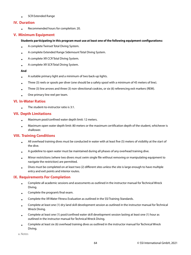• SCR Extended Range

# **IV. Duration**

• Recommended hours for completion: 20.

# **V. Minimum Equipment**

### **Students participating in this program must use at least one of the following equipment configurations:**

- A complete Twinset Total Diving System.
- A complete Extended Range Sidemount Total Diving System.
- A complete XR CCR Total Diving System.
- A complete XR SCR Total Diving System.

### **And**

- A suitable primary light and a minimum of two back-up lights.
- Three (3) reels or spools per diver (one should be a safety spool with a minimum of 45 meters of line).
- Three (3) line arrows and three (3) non-directional cookies, or six (6) referencing exit markers (REM).
- One primary line reel per team.

## **VI. In-Water Ratios**

• The student-to-instructor ratio is 3:1.

# **VII. Depth Limitations**

- Maximum pool/confined water depth limit: 12 meters.
- Maximum open water depth limit: 80 meters or the maximum certification depth of the student, whichever is shallower.

# **VIII. Training Conditions**

- All overhead training dives must be conducted in water with at least five (5) meters of visibility at the start of the dive.
- A guideline to open water must be maintained during all phases of any overhead training dive.
- Minor restrictions (where two divers must swim single file without removing or manipulating equipment to navigate the restriction) are permitted.
- Dives must be completed on at least two (2) different sites unless the site is large enough to have multiple entry and exit points and interior routes.

# **IX. Requirements For Completion**

- Complete all academic sessions and assessments as outlined in the instructor manual for Technical Wreck Diving.
- Complete the program's final exam.
- Complete the XR Water Fitness Evaluation as outlined in the SSI Training Standards.
- Complete at least one (1) dry land skill development session as outlined in the instructor manual for Technical Wreck Diving.
- Complete at least one (1) pool/confined water skill development session lasting at least one (1) hour as outlined in the instructor manual for Technical Wreck Diving.
- Complete at least six (6) overhead training dives as outlined in the instructor manual for Technical Wreck Diving.

a. Notes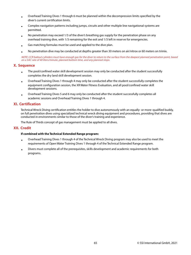- Overhead Training Dives 1 through 6 must be planned within the decompression limits specified by the diver's current certification limits.
- Complex navigation patterns including jumps, circuits and other multiple line navigational systems are permitted.
- No penetration may exceed 1/3 of the diver's breathing gas supply for the penetration phase on any overhead training dive, with 1/3 remaining for the exit and 1/3 left in reserve for emergencies.
- Gas matching formulas must be used and applied to the dive plan.
- No penetration dive may be conducted at depths greater than 30 meters on air/nitrox or 60 meters on trimix.

NOTE: CCR bailout cylinders must have enough gas for the diver to return to the surface from the deepest planned penetration point, based on a SAC rate of 40 liters/minute, planned bottom time, and any planned stops.

### **X. Sequence**

- The pool/confined water skill development session may only be conducted after the student successfully completes the dry land skill development session.
- Overhead Training Dives 1 through 4 may only be conducted after the student successfully completes the equipment configuration session, the XR Water Fitness Evaluation, and all pool/confined water skill development sessions.
- Overhead Training Dives 5 and 6 may only be conducted after the student successfully completes all academic sessions and Overhead Training Dives 1 through 4.

## **XI. Certification**

Technical Wreck Diving certification entitles the holder to dive autonomously with an equally- or more-qualified buddy, on full penetration dives using specialized technical wreck diving equipment and procedures, providing that dives are conducted in environments similar to those of the diver's training and experience.

The Rule of Thirds concept of gas management must be applied to all dives.

## **XII. Credit**

#### **If combined with the Technical Extended Range program:**

- Overhead Training Dives 1 through 4 of the Technical Wreck Diving program may also be used to meet the requirements of Open Water Training Dives 1 through 4 of the Technical Extended Range program.
- Divers must complete all of the prerequisites, skills development and academic requirements for both programs.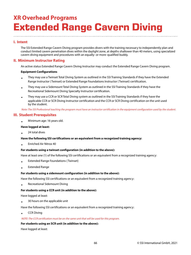# **XR Overhead Programs Extended Range Cavern Diving**

# **I. Intent**

The SSI Extended Range Cavern Diving program provides divers with the training necessary to independently plan and conduct limited cavern penetration dives within the daylight zone, at depths shallower than 40 meters, using specialized cavern diving equipment and procedures with an equally- or more-qualified buddy.

# **II. Minimum Instructor Rating**

An active status Extended Range Cavern Diving Instructor may conduct the Extended Range Cavern Diving program.

#### **Equipment Configurations**

- They may use a Twinset Total Diving System as outlined in the SSI Training Standards if they have the Extended Range Instructor ( Twinset) or Extended Range Foundations Instructor ( Twinset) certification.
- They may use a Sidemount Total Diving System as outlined in the SSI Training Standards if they have the Recreational Sidemount Diving Specialty Instructor certification.
- They may use a CCR or SCR Total Diving system as outlined in the SSI Training Standards if they have the applicable CCR or SCR Diving Instructor certification and the CCR or SCR Diving certification on the unit used by the student.

Note: The SSI Professional teaching the program must have an instructor certification in the equipment configuration used by the student.

## **III. Student Prerequisites**

• Minimum age: 16 years old.

#### **Have logged at least:**

• 24 total dives

#### **Have the following SSI certifications or an equivalent from a recognized training agency:**

• Enriched Air Nitrox 40

#### **For students using a twinset configuration (in addition to the above):**

Have at least one (1) of the following SSI certifications or an equivalent from a recognized training agency:

- Extended Range Foundations ( Twinset)
- Extended Range

#### **For students using a sidemount configuration (in addition to the above):**

Have the following SSI certifications or an equivalent from a recognized training agency:

• Recreational Sidemount Diving

#### **For students using a CCR unit (in addition to the above):**

Have logged at least:

• 30 hours on the applicable unit

Have the following SSI certifications or an equivalent from a recognized training agency:

• CCR Diving

#### NOTE: The CCR certification must be on the same unit that will be used for this program.

#### **For students using an SCR unit (in addition to the above):**

Have logged at least: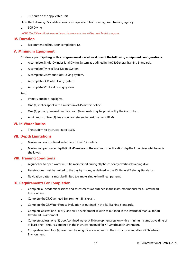• 30 hours on the applicable unit

Have the following SSI certifications or an equivalent from a recognized training agency:

• SCR Diving

NOTE: The SCR certification must be on the same unit that will be used for this program.

## **IV. Duration**

• Recommended hours for completion: 12.

## **V. Minimum Equipment**

#### **Students participating in this program must use at least one of the following equipment configurations:**

- A complete Single-Cylinder Total Diving System as outlined in the XR General Training Standards.
- A complete Twinset Total Diving System.
- A complete Sidemount Total Diving System.
- A complete CCR Total Diving System.
- A complete SCR Total Diving System.

#### **And**

- Primary and back-up lights.
- One (1) reel or spool with a minimum of 45 meters of line.
- One (1) primary line reel per dive team (team reels may be provided by the instructor).
- A minimum of two (2) line arrows or referencing exit markers (REM).

## **VI. In-Water Ratios**

• The student-to-instructor ratio is 3:1.

## **VII. Depth Limitations**

- Maximum pool/confined water depth limit: 12 meters.
- Maximum open water depth limit: 40 meters or the maximum certification depth of the diver, whichever is shallower.

## **VIII. Training Conditions**

- A guideline to open water must be maintained during all phases of any overhead training dive.
- Penetrations must be limited to the daylight zone, as defined in the SSI General Training Standards.
- Navigation patterns must be limited to simple, single-line linear patterns.

## **IX. Requirements For Completion**

- Complete all academic sessions and assessments as outlined in the instructor manual for XR Overhead Environment.
- Complete the XR Overhead Environment final exam.
- Complete the XR Water Fitness Evaluation as outlined in the SSI Training Standards.
- Complete at least one (1) dry land skill development session as outlined in the instructor manual for XR Overhead Environment
- Complete at least one (1) pool/confined water skill development session with a minimum cumulative time of at least one (1) hour as outlined in the instructor manual for XR Overhead Environment.
- Complete at least four (4) overhead training dives as outlined in the instructor manual for XR Overhead Environment.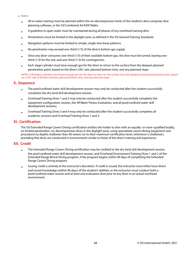a. Notes

- All in-water training must be planned within the no-decompression limits of the student's dive computer, dive planning software, or the SSI Combined Air/EAN Tables.
- A guideline to open water must be maintained during all phases of any overhead training dive.
- Penetrations must be limited to the daylight zone, as defined in the SSI General Training Standards.
- Navigation patterns must be limited to simple, single-line linear patterns.
- No penetration may exceed one-third (1/3) of the diver's bottom gas supply.
- Once any diver consumes one-third (1/3) of their available bottom gas, the dive must be turned, leaving onethird (1/3) for the exit, and one-third (1/3) for contingencies.
- Each stage cylinder must have enough gas for the diver to return to the surface from the deepest planned penetration point, based on the diver's SAC rate, planned bottom time, and any planned stops.

NOTE: CCR bailout cylinders must have enough gas for the diver to return to the surface from the deepest planned penetration point, based on a SAC rate of 40 liters/minute, planned bottom time, and any planned stops.

# **X. Sequence**

- The pool/confined water skill development session may only be conducted after the student successfully completes the dry land skill development session.
- Overhead Training Dives 1 and 2 may only be conducted after the student successfully completes the equipment configuration session, the XR Water Fitness Evaluation, and all pool/confined water skill development sessions.
- Overhead Training Dives 3 and 4 may only be conducted after the student successfully completes all academic sessions and Overhead Training Dives 1 and 2.

# **XI. Certification**

The SSI Extended Range Cavern Diving certification entitles the holder to dive with an equally- or more-qualified buddy, on limited penetration, no-decompression dives in the daylight zone, using specialized cavern diving equipment and procedures to depths shallower than 40 meters (or to their maximum certification level, whichever is shallower), providing that dives are conducted in environments similar to those of the diver's training and experience.

# **XII. Credit**

- The Extended Range Cavern Diving certification may be credited to the dry-land skill development session, the pool/confined water skill development session, and Overhead Environment Training Dives 1 and 2 of the Extended Range Wreck Diving program, if the program begins within 90 days of completing the Extended Range Cavern Diving program.
- Issuing credit is entirely at the instructor's discretion. If credit is issued, the instructor must either have direct and recent knowledge (within 90 days) of the student's abilities, or the instructor must conduct both a pool/confined water session and at least one evaluation dive prior to any dives in an actual overhead environment.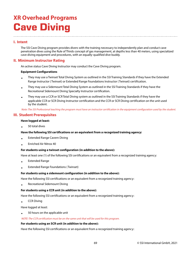# **XR Overhead Programs Cave Diving**

# **I. Intent**

The SSI Cave Diving program provides divers with the training necessary to independently plan and conduct cave penetration dives using the Rule of Thirds concept of gas management, at depths less than 40 meters, using specialized cave diving equipment and procedures, with an equally-qualified dive buddy.

# **II. Minimum Instructor Rating**

An active status Cave Diving Instructor may conduct the Cave Diving program.

#### **Equipment Configurations**

- They may use a Twinset Total Diving System as outlined in the SSI Training Standards if they have the Extended Range Instructor ( Twinset) or Extended Range Foundations Instructor ( Twinset) certification.
- They may use a Sidemount Total Diving System as outlined in the SSI Training Standards if they have the Recreational Sidemount Diving Specialty Instructor certification.
- They may use a CCR or SCR Total Diving system as outlined in the SSI Training Standards if they have the applicable CCR or SCR Diving Instructor certification and the CCR or SCR Diving certification on the unit used by the student.

Note: The SSI Professional teaching the program must have an instructor certification in the equipment configuration used by the student.

## **III. Student Prerequisites**

#### **Have logged at least:**

• 50 total dives

#### **Have the following SSI certifications or an equivalent from a recognized training agency:**

- Extended Range Cavern Diving
- Enriched Air Nitrox 40

#### **For students using a twinset configuration (in addition to the above):**

Have at least one (1) of the following SSI certifications or an equivalent from a recognized training agency:

- Extended Range
- Extended Range Foundations ( Twinset)

#### **For students using a sidemount configuration (in addition to the above):**

Have the following SSI certifications or an equivalent from a recognized training agency:

• Recreational Sidemount Diving

#### **For students using a CCR unit (in addition to the above):**

Have the following SSI certifications or an equivalent from a recognized training agency:

• CCR Diving

Have logged at least:

• 50 hours on the applicable unit

#### NOTE: The CCR certification must be on the same unit that will be used for this program.

#### **For students using an SCR unit (in addition to the above):**

Have the following SSI certifications or an equivalent from a recognized training agency: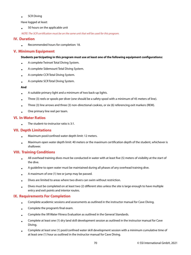#### • SCR Diving

Have logged at least:

• 50 hours on the applicable unit

NOTE: The SCR certification must be on the same unit that will be used for this program.

# **IV. Duration**

• Recommended hours for completion: 18.

# **V. Minimum Equipment**

### **Students participating in this program must use at least one of the following equipment configurations:**

- A complete Twinset Total Diving System.
- A complete Sidemount Total Diving System.
- A complete CCR Total Diving System.
- A complete SCR Total Diving System.

### **And**

- A suitable primary light and a minimum of two back-up lights.
- Three (3) reels or spools per diver (one should be a safety spool with a minimum of 45 meters of line).
- Three (3) line arrows and three (3) non-directional cookies, or six (6) referencing exit markers (REM).
- One primary line reel per team.

## **VI. In-Water Ratios**

• The student-to-instructor ratio is 3:1.

# **VII. Depth Limitations**

- Maximum pool/confined water depth limit: 12 meters.
- Maximum open water depth limit: 40 meters or the maximum certification depth of the student, whichever is shallower.

# **VIII. Training Conditions**

- All overhead training dives must be conducted in water with at least five (5) meters of visibility at the start of the dive.
- A guideline to open water must be maintained during all phases of any overhead training dive.
- A maximum of one (1) tee or jump may be passed.
- Dives are limited to areas where two divers can swim without restriction.
- Dives must be completed on at least two (2) different sites unless the site is large enough to have multiple entry and exit points and interior routes.

# **IX. Requirements For Completion**

- Complete academic sessions and assessments as outlined in the instructor manual for Cave Diving.
- Complete the program's final exam.
- Complete the XR Water Fitness Evaluation as outlined in the General Standards.
- Complete at least one (1) dry land skill development session as outlined in the instructor manual for Cave Diving.
- Complete at least one (1) pool/confined water skill development session with a minimum cumulative time of at least one (1) hour as outlined in the instructor manual for Cave Diving.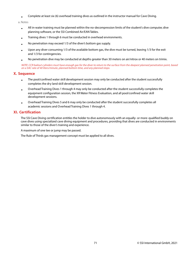• Complete at least six (6) overhead training dives as outlined in the instructor manual for Cave Diving.

a. Notes

- All in-water training must be planned within the no-decompression limits of the student's dive computer, dive planning software, or the SSI Combined Air/EAN Tables.
- Training dives 1 through 6 must be conducted in overhead environments.
- No penetration may exceed 1/3 of the diver's bottom gas supply.
- Upon any diver consuming 1/3 of the available bottom gas, the dive must be turned, leaving 1/3 for the exit and 1/3 for contingencies.
- No penetration dive may be conducted at depths greater than 30 meters on air/nitrox or 40 meters on trimix.

NOTE: CCR bailout cylinders must have enough gas for the diver to return to the surface from the deepest planned penetration point, based on a SAC rate of 40 liters/minute, planned bottom time, and any planned stops.

## **X. Sequence**

- The pool/confined water skill development session may only be conducted after the student successfully completes the dry land skill development session.
- Overhead Training Dives 1 through 4 may only be conducted after the student successfully completes the equipment configuration session, the XR Water Fitness Evaluation, and all pool/confined water skill development sessions.
- Overhead Training Dives 5 and 6 may only be conducted after the student successfully completes all academic sessions and Overhead Training Dives 1 through 4.

## **XI. Certification**

The SSI Cave Diving certification entitles the holder to dive autonomously with an equally- or more-qualified buddy on cave dives using specialized cave diving equipment and procedures, providing that dives are conducted in environments similar to those of the diver's training and experience.

A maximum of one tee or jump may be passed.

The Rule of Thirds gas management concept must be applied to all dives.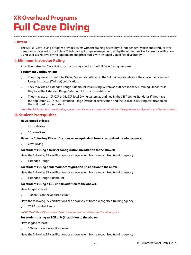# **XR Overhead Programs Full Cave Diving**

# **I. Intent**

The SSI Full Cave Diving program provides divers with the training necessary to independently plan and conduct cave penetration dives using the Rule of Thirds concept of gas management, at depths within the diver's current certification, using specialized cave diving equipment and procedures with an equally-qualified dive buddy.

# **II. Minimum Instructor Rating**

An active status Full Cave Diving Instructor may conduct the Full Cave Diving program.

#### **Equipment Configurations**

- They may use a Twinset Total Diving System as outlined in the SSI Training Standards if they have the Extended Range Instructor ( Twinset) certification.
- They may use an Extended Range Sidemount Total Diving System as outlined in the SSI Training Standards if they have the Extended Range Sidemount Instructor certification.
- They may use an XR CCR or XR SCR Total Diving system as outlined in the SSI Training Standards if they have the applicable CCR or SCR Extended Range Instructor certification and the CCR or SCR Diving certification on the unit used by the student.

Note: The SSI Professional teaching the program must have an instructor certification in the equipment configuration used by the student.

## **III. Student Prerequisites**

#### **Have logged at least:**

- 75 total dives
- 10 cave dives

#### **Have the following SSI certifications or an equivalent from a recognized training agency:**

• Cave Diving

#### **For students using a twinset configuration (in addition to the above):**

Have the following SSI certifications or an equivalent from a recognized training agency:

• Extended Range

#### **For students using a sidemount configuration (in addition to the above):**

Have the following SSI certifications or an equivalent from a recognized training agency:

• Extended Range Sidemount

#### **For students using a CCR unit (in addition to the above):**

Have logged at least:

• 100 hours on the applicable unit

Have the following SSI certifications or an equivalent from a recognized training agency:

• CCR Extended Range

#### NOTE: The CCR certification must be on the same unit that will be used for this program.

#### **For students using an SCR unit (in addition to the above):**

Have logged at least:

• 100 hours on the applicable unit

Have the following SSI certifications or an equivalent from a recognized training agency: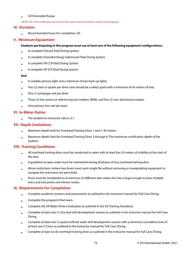#### • SCR Extended Range

NOTE: The SCR certification must be on the same unit that will be used for this program.

## **IV. Duration**

• Recommended hours for completion: 20.

## **V. Minimum Equipment**

#### **Students participating in this program must use at least one of the following equipment configurations:**

- A complete Twinset Total Diving System.
- A complete Extended Range Sidemount Total Diving System.
- A complete XR CCR Total Diving System.
- A complete XR SCR Total Diving System.

#### **And**

- A suitable primary light and a minimum of two back-up lights.
- Two (2) reels or spools per diver (one should be a safety spool with a minimum of 45 meters of line).
- One (1) jump/gap reel per diver.
- Three (3) line arrows or referencing exit markers (REM), and five (5) non-directional cookies.
- One primary line reel per team.

### **VI. In-Water Ratios**

• The student-to-instructor ratio is 3:1.

## **VII. Depth Limitations**

- Maximum depth limit for Overhead Training Dives 1 and 2: 40 meters.
- Maximum depth limit for Overhead Training Dives 3 through 6: The maximum certification depth of the student.

## **VIII. Training Conditions**

- All overhead training dives must be conducted in water with at least five (5) meters of visibility at the start of the dive.
- A guideline to open water must be maintained during all phases of any overhead training dive.
- Minor restrictions (where two divers must swim single file without removing or manipulating equipment to navigate the restriction) are permitted.
- Dives must be completed on at least two (2) different sites unless the site is large enough to have multiple entry and exit points and interior routes.

## **IX. Requirements For Completion**

- Complete academic sessions and assessments as outlined in the instructor manual for Full Cave Diving.
- Complete the program's final exam.
- Complete the XR Water Fitness Evaluation as outlined in the SSI Training Standards.
- Complete at least one (1) dry land skill development session as outlined in the instructor manual for Full Cave Diving.
- Complete at least one (1) pool/confined water skill development session with a minimum cumulative time of at least one (1) hour as outlined in the instructor manual for Full Cave Diving.
- Complete at least six (6) overhead training dives as outlined in the instructor manual for Full Cave Diving.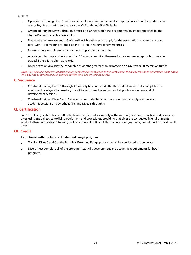a. Notes

- Open Water Training Dives 1 and 2 must be planned within the no-decompression limits of the student's dive computer, dive planning software, or the SSI Combined Air/EAN Tables.
- Overhead Training Dives 3 through 6 must be planned within the decompression limited specified by the student's current certification limits.
- No penetration may exceed 1/3 of the diver's breathing gas supply for the penetration phase on any cave dive, with 1/3 remaining for the exit and 1/3 left in reserve for emergencies.
- Gas matching formulas must be used and applied to the dive plan.
- Any staged decompression longer than 15 minutes requires the use of a decompression gas, which may be staged if there is no alternative exit.
- No penetration dive may be conducted at depths greater than 30 meters on air/nitrox or 60 meters on trimix.

NOTE: CCR bailout cylinders must have enough gas for the diver to return to the surface from the deepest planned penetration point, based on a SAC rate of 40 liters/minute, planned bottom time, and any planned stops.

## **X. Sequence**

- Overhead Training Dives 1 through 4 may only be conducted after the student successfully completes the equipment configuration session, the XR Water Fitness Evaluation, and all pool/confined water skill development sessions.
- Overhead Training Dives 5 and 6 may only be conducted after the student successfully completes all academic sessions and Overhead Training Dives 1 through 4.

## **XI. Certification**

Full Cave Diving certification entitles the holder to dive autonomously with an equally- or more-qualified buddy, on cave dives using specialized cave diving equipment and procedures, providing that dives are conducted in environments similar to those of the diver's training and experience. The Rule of Thirds concept of gas management must be used on all dives.

## **XII. Credit**

#### **If combined with the Technical Extended Range program:**

- Training Dives 5 and 6 of the Technical Extended Range program must be conducted in open water.
- Divers must complete all of the prerequisites, skills development and academic requirements for both programs.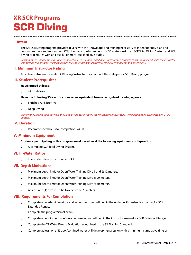## **XR SCR Programs SCR Diving**

## **I. Intent**

The SSI SCR Diving program provides divers with the knowledge and training necessary to independently plan and conduct semi-closed rebreather (SCR) dives to a maximum depth of 30 meters, using an SCR Total Diving System and SCR diving procedures with an equally- or more-qualified dive buddy.

Beyond the SSI Standards, individual manufacturers may require additional prerequisites, experience, knowledge and skills. The instructor conducting this program must check with the applicable manufacturer for the latest standards and procedures.

## **II. Minimum Instructor Rating**

An active status, unit-specific SCR Diving Instructor may conduct the unit-specific SCR Diving program.

## **III. Student Prerequisites**

#### **Have logged at least:**

• 24 total dives

#### **Have the following SSI certifications or an equivalent from a recognized training agency:**

- Enriched Air Nitrox 40
- Deep Diving

Note: If the student does not have the Deep Diving certification, they must have at least ten (10) verified logged dives between 24-30 meters.

### **IV. Duration**

• Recommended hours for completion: 24-30.

### **V. Minimum Equipment**

#### **Students participating in this program must use at least the following equipment configuration:**

• A complete SCR Total Diving System.

### **VI. In-Water Ratios**

• The student-to-instructor ratio is 3:1.

### **VII. Depth Limitations**

- Maximum depth limit for Open Water Training Dive 1 and 2: 12 meters.
- Maximum depth limit for Open Water Training Dive 3: 20 meters.
- Maximum depth limit for Open Water Training Dive 4: 30 meters.
- At least one (1) dive must be to a depth of 25 meters.

## **VIII. Requirements For Completion**

- Complete all academic sessions and assessments as outlined in the unit-specific instructor manual for SCR Extended Range.
- Complete the program's final exam.
- Complete an equipment configuration session as outlined in the instructor manual for SCR Extended Range.
- Complete the XR Water Fitness Evaluation as outlined in the SSI Training Standards.
- Complete at least one (1) pool/confined water skill development session with a minimum cumulative time of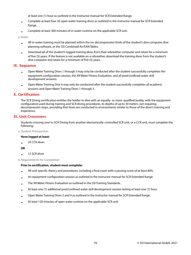at least one (1) hour as outlined in the instructor manual for SCR Extended Range.

- Complete at least four (4) open water training dives as outlined in the instructor manual for SCR Extended Range.
- Complete at least 300 minutes of in-water runtime on the applicable SCR unit.

a. Notes

- All in-water training must be planned within the no-decompression limits of the student's dive computer, dive planning software, or the SSI Combined Air/EAN Tables.
- Download all of the student's logged training dives from their rebreather computer and retain for a minimum of five (5) years. If the feature is not available on a rebreather, download the training dives from the student's dive computer and retain for a minimum of five (5) years.

### **IX. Sequence**

- Open Water Training Dives 1 through 3 may only be conducted after the student successfully completes the equipment configuration session, the XR Water Fitness Evaluation, and all pool/confined water skill development sessions.
- Open Water Training Dive 4 may only be conducted after the student successfully completes all academic sessions and Open Water Training Dives 1 through 3.

## **X. Certification**

The SCR Diving certification entitles the holder to dive with an equally- or more-qualified buddy, with the equipment configuration used during training and SCR diving procedures, to depths of up to 30 meters, not requiring decompression stops, providing that dives are conducted in environments similar to those of the diver's training and experience.

## **XI. Unit Crossovers**

Students crossing over to SCR Diving from another electronically-controlled SCR unit, or a CCR unit, must complete the following:

a. Student Prerequisites

#### **Have logged at least:**

• 24 CCR dives

**OR**

• 12 SCR dives

b. Requirements For Completion

#### **Prior to certification, student must complete:**

- All unit-specific theory and procedures, including a final exam with a passing score of at least 80%.
- An equipment configuration session as outlined in the instructor manual for SCR Extended Range.
- The XR Water Fitness Evaluation as outlined in the SSI Training Standards.
- At least one (1) additional pool/confined water skill development session lasting at least one (1) hour.
- Open Water Training Dives 3 and 4 as outlined in the instructor manual for SCR Extended Range.
- At least 120 minutes of open water runtime on the applicable SCR unit.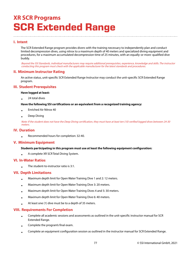## **XR SCR Programs SCR Extended Range**

## **I. Intent**

The SCR Extended Range program provides divers with the training necessary to independently plan and conduct limited decompression dives, using nitrox to a maximum depth of 40 meters and specialized diving equipment and procedures, for a maximum accumulated decompression time of 25 minutes, with an equally-or more-qualified dive buddy.

Beyond the SSI Standards, individual manufacturers may require additional prerequisites, experience, knowledge and skills. The instructor conducting this program must check with the applicable manufacturer for the latest standards and procedures.

### **II. Minimum Instructor Rating**

An active status, unit-specific SCR Extended Range Instructor may conduct the unit-specific SCR Extended Range program.

## **III. Student Prerequisites**

#### **Have logged at least:**

• 24 total dives

#### **Have the following SSI certifications or an equivalent from a recognized training agency:**

- Enriched Air Nitrox 40
- Deep Diving

Note: If the student does not have the Deep Diving certification, they must have at least ten (10) verified logged dives between 24-30 meters.

#### **IV. Duration**

•

Recommended hours for completion: 32-40.

### **V. Minimum Equipment**

#### **Students participating in this program must use at least the following equipment configuration:**

• A complete XR SCR Total Diving System.

## **VI. In-Water Ratios**

• The student-to-instructor ratio is 3:1.

### **VII. Depth Limitations**

- Maximum depth limit for Open Water Training Dive 1 and 2: 12 meters.
- Maximum depth limit for Open Water Training Dive 3: 20 meters.
- Maximum depth limit for Open Water Training Dives 4 and 5: 30 meters.
- Maximum depth limit for Open Water Training Dive 6: 40 meters.
- At least one (1) dive must be to a depth of 35 meters.

### **VIII. Requirements For Completion**

- Complete all academic sessions and assessments as outlined in the unit-specific instructor manual for SCR Extended Range.
- Complete the program's final exam.
- Complete an equipment configuration session as outlined in the instructor manual for SCR Extended Range.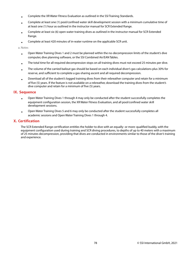- Complete the XR Water Fitness Evaluation as outlined in the SSI Training Standards.
- Complete at least one (1) pool/confined water skill development session with a minimum cumulative time of at least one (1) hour as outlined in the instructor manual for SCR Extended Range.
- Complete at least six (6) open water training dives as outlined in the instructor manual for SCR Extended Range.
- Complete at least 420 minutes of in-water runtime on the applicable SCR unit.

a. Notes

- Open Water Training Dives 1 and 2 must be planned within the no-decompression limits of the student's dive computer, dive planning software, or the SSI Combined Air/EAN Tables.
- The total time for all required decompression stops on all training dives must not exceed 25 minutes per dive.
- The volume of the carried bailout gas should be based on each individual diver's gas calculations plus 30% for reserve, and sufficient to complete a gas-sharing ascent and all required decompression.
- Download all of the student's logged training dives from their rebreather computer and retain for a minimum of five (5) years. If the feature is not available on a rebreather, download the training dives from the student's dive computer and retain for a minimum of five (5) years.

### **IX. Sequence**

- Open Water Training Dives 1 through 4 may only be conducted after the student successfully completes the equipment configuration session, the XR Water Fitness Evaluation, and all pool/confined water skill development sessions.
- Open Water Training Dives 5 and 6 may only be conducted after the student successfully completes all academic sessions and Open Water Training Dives 1 through 4.

## **X. Certification**

The SCR Extended Range certification entitles the holder to dive with an equally- or more-qualified buddy, with the equipment configuration used during training and SCR diving procedures, to depths of up to 40 meters with a maximum of 25 minutes decompression, providing that dives are conducted in environments similar to those of the diver's training and experience.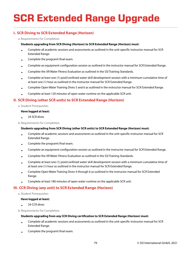# **SCR Extended Range Upgrade**

## **I. SCR Diving to SCR Extended Range (Horizon)**

a. Requirements For Completion

#### **Students upgrading from SCR Diving (Horizon) to SCR Extended Range (Horizon) must:**

- Complete all academic sessions and assessments as outlined in the unit-specific instructor manual for SCR Extended Range.
- Complete the program's final exam.
- Complete an equipment configuration session as outlined in the instructor manual for SCR Extended Range.
- Complete the XR Water Fitness Evaluation as outlined in the SSI Training Standards.
- Complete at least one (1) pool/confined water skill development session with a minimum cumulative time of at least one (1) hour as outlined in the instructor manual for SCR Extended Range.
- Complete Open Water Training Dives 5 and 6 as outlined in the instructor manual for SCR Extended Range.
- Complete at least 120 minutes of open water runtime on the applicable SCR unit.

## **II. SCR Diving (other SCR units) to SCR Extended Range (Horizon)**

a. Student Prerequisites

#### **Have logged at least:**

• 24 SCR dives

b. Requirements For Completion

#### **Students upgrading from SCR Diving (other SCR units) to SCR Extended Range (Horizon) must:**

- Complete all academic sessions and assessments as outlined in the unit-specific instructor manual for SCR Extended Range.
- Complete the program's final exam.
- Complete an equipment configuration session as outlined in the instructor manual for SCR Extended Range.
- Complete the XR Water Fitness Evaluation as outlined in the SSI Training Standards.
- Complete at least one (1) pool/confined water skill development session with a minimum cumulative time of at least one (1) hour as outlined in the instructor manual for SCR Extended Range.
- Complete Open Water Training Dives 4 through 6 as outlined in the instructor manual for SCR Extended Range.
- Complete at least 180 minutes of open water runtime on the applicable SCR unit.

## **III. CCR Diving (any unit) to SCR Extended Range (Horizon)**

### a. Student Prerequisites

## **Have logged at least:**

• 24 CCR dives

b. Requirements For Completion

## **Students upgrading from any CCR Diving certification to SCR Extended Range (Horizon) must:**

- Complete all academic sessions and assessments as outlined in the unit-specific instructor manual for SCR Extended Range.
- Complete the program's final exam.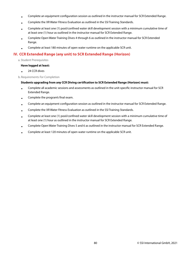- Complete an equipment configuration session as outlined in the instructor manual for SCR Extended Range.
- Complete the XR Water Fitness Evaluation as outlined in the SSI Training Standards.
- Complete at least one (1) pool/confined water skill development session with a minimum cumulative time of at least one (1) hour as outlined in the instructor manual for SCR Extended Range.
- Complete Open Water Training Dives 4 through 6 as outlined in the instructor manual for SCR Extended Range.
- Complete at least 180 minutes of open water runtime on the applicable SCR unit.

## **IV. CCR Extended Range (any unit) to SCR Extended Range (Horizon)**

a. Student Prerequisites

#### **Have logged at least:**

- 24 CCR dives
- b. Requirements For Completion

#### **Students upgrading from any CCR Diving certification to SCR Extended Range (Horizon) must:**

- Complete all academic sessions and assessments as outlined in the unit-specific instructor manual for SCR Extended Range.
- Complete the program's final exam.
- Complete an equipment configuration session as outlined in the instructor manual for SCR Extended Range.
- Complete the XR Water Fitness Evaluation as outlined in the SSI Training Standards.
- Complete at least one (1) pool/confined water skill development session with a minimum cumulative time of at least one (1) hour as outlined in the instructor manual for SCR Extended Range.
- Complete Open Water Training Dives 5 and 6 as outlined in the instructor manual for SCR Extended Range.
- Complete at least 120 minutes of open water runtime on the applicable SCR unit.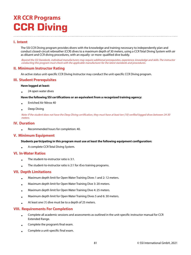## **XR CCR Programs CCR Diving**

## **I. Intent**

The SSI CCR Diving program provides divers with the knowledge and training necessary to independently plan and conduct closed-circuit rebreather (CCR) dives to a maximum depth of 30 meters, using a CCR Total Diving System with air as diluent and CCR diving procedures, with an equally- or more-qualified dive buddy.

Beyond the SSI Standards, individual manufacturers may require additional prerequisites, experience, knowledge and skills. The instructor conducting this program must check with the applicable manufacturer for the latest standards and procedures.

## **II. Minimum Instructor Rating**

An active status unit-specific CCR Diving Instructor may conduct the unit-specific CCR Diving program.

### **III. Student Prerequisites**

#### **Have logged at least:**

• 24 open water dives

#### **Have the following SSI certifications or an equivalent from a recognized training agency:**

- Enriched Air Nitrox 40
- Deep Diving

Note: If the student does not have the Deep Diving certification, they must have at least ten (10) verified logged dives between 24-30 meters.

### **IV. Duration**

• Recommended hours for completion: 40.

## **V. Minimum Equipment**

#### **Students participating in this program must use at least the following equipment configuration:**

• A complete CCR Total Diving System.

### **VI. In-Water Ratios**

- The student-to-instructor ratio is 3:1.
- The student-to-instructor ratio is 2:1 for rEvo training programs.

## **VII. Depth Limitations**

- Maximum depth limit for Open Water Training Dives 1 and 2: 12 meters.
- Maximum depth limit for Open Water Training Dive 3: 20 meters.
- Maximum depth limit for Open Water Training Dive 4: 25 meters.
- Maximum depth limit for Open Water Training Dives 5 and 6: 30 meters.
- At least one (1) dive must be to a depth of 25 meters.

## **VIII. Requirements For Completion**

- Complete all academic sessions and assessments as outlined in the unit-specific instructor manual for CCR Extended Range.
- Complete the program's final exam.
- Complete a unit-specific final exam.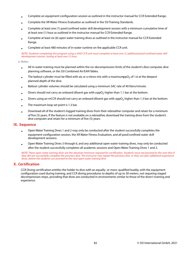- Complete an equipment configuration session as outlined in the instructor manual for CCR Extended Range.
- Complete the XR Water Fitness Evaluation as outlined in the SSI Training Standards.
- Complete at least one (1) pool/confined water skill development session with a minimum cumulative time of at least one (1) hour as outlined in the instructor manual for CCR Extended Range.
- Complete at least six (6) open water training dives as outlined in the instructor manual for CCR Extended Range.
- Complete at least 480 minutes of in-water runtime on the applicable CCR unit.

NOTE: Students completing this program using a rEVO CCR unit must complete at least one (1) additional pool/confined water skill development session, lasting at least one (1) hour.

#### a. Notes

- All in-water training must be planned within the no-decompression limits of the student's dive computer, dive planning software, or the SSI Combined Air/EAN Tables.
- The bailout cylinder must be filled with air, or a nitrox mix with a maximumppO<sub>2</sub> of 1.6 at the deepest planned depth of the dive.
- Bailout cylinder volumes should be calculated using a minimum SAC rate of 40 liters/minute.
- Divers should not carry an onboard diluent gas with a  $\mathsf{ppO}_2$  higher than 1.1 bar at the bottom.
- Divers using an mCCR should not carry an onboard diluent gas with appO $_2$  higher than 1.3 bar at the bottom.
- The maximum loop set point is 1.3 bar.
- Download all of the student's logged training dives from their rebreather computer and retain for a minimum of five (5) years. If the feature is not available on a rebreather, download the training dives from the student's dive computer and retain for a minimum of five (5) years.

#### **IX. Sequence**

- Open Water Training Dives 1 and 2 may only be conducted after the student successfully completes the equipment configuration session, the XR Water Fitness Evaluation, and all pool/confined water skill development sessions.
- Open Water Training Dives 3 through 6, and any additional open water training dives, may only be conducted after the student successfully completes all academic sessions and Open Water Training Dives 1 and 2.

NOTE: These open water training dives are the absolute minimum required for certification. Students must not proceed to the next dive if they did not successfully complete the previous dive. The instructor may repeat the previous dive, or they can plan additional experience dives, before the students can proceed to the next open water training dive.

### **X. Certification**

CCR Diving certification entitles the holder to dive with an equally- or more-qualified buddy, with the equipment configuration used during training, and CCR diving procedures to depths of up to 30 meters, not requiring staged decompression stops, providing that dives are conducted in environments similar to those of the diver's training and experience.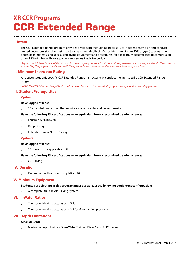## **XR CCR Programs CCR Extended Range**

## **I. Intent**

The CCR Extended Range program provides divers with the training necessary to independently plan and conduct limited decompression dives using air to a maximum depth of 40m, or trimix (minimum 20% oxygen) to a maximum depth of 45 meters using specialized diving equipment and procedures, for a maximum accumulated decompression time of 25 minutes, with an equally-or more-qualified dive buddy.

Beyond the SSI Standards, individual manufacturers may require additional prerequisites, experience, knowledge and skills. The instructor conducting this program must check with the applicable manufacturer for the latest standards and procedures.

### **II. Minimum Instructor Rating**

An active status unit-specific CCR Extended Range Instructor may conduct the unit-specific CCR Extended Range program.

NOTE: The CCR Extended Range Trimix curriculum is identical to the non-trimix program, except for the breathing gas used.

## **III. Student Prerequisites**

#### **Option 1**

#### **Have logged at least:**

• 30 extended range dives that require a stage cylinder and decompression.

#### **Have the following SSI certifications or an equivalent from a recognized training agency:**

- Enriched Air Nitrox 40
- Deep Diving
- Extended Range Nitrox Diving

#### **Option 2**

#### **Have logged at least:**

• 30 hours on the applicable unit

#### **Have the following SSI certifications or an equivalent from a recognized training agency:**

• CCR Diving

### **IV. Duration**

• Recommended hours for completion: 40.

### **V. Minimum Equipment**

#### **Students participating in this program must use at least the following equipment configuration:**

• A complete XR CCR Total Diving System.

#### **VI. In-Water Ratios**

- The student-to-instructor ratio is 3:1.
- The student-to-instructor ratio is 2:1 for rEvo training programs.

### **VII. Depth Limitations**

#### **Air as diluent:**

• Maximum depth limit for Open Water Training Dives 1 and 2: 12 meters.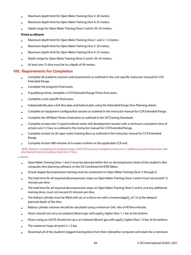- Maximum depth limit for Open Water Training Dive 3: 20 meters.
- Maximum depth limit for Open Water Training Dive 4: 25 meters.
- Depth range for Open Water Training Dives 5 and 6: 30–35 meters.

#### **Trimix as diluent:**

- Maximum depth limit for Open Water Training Dives 1 and 2: 12 meters.
- Maximum depth limit for Open Water Training Dive 3: 20 meters.
- Maximum depth limit for Open Water Training Dive 4: 25 meters.
- Depth range for Open Water Training Dives 5 and 6: 30–45 meters.
- At least one (1) dive must be to a depth of 40 meters.

## **VIII. Requirements For Completion**

- Complete all academic sessions and assessments as outlined in the unit-specific instructor manual for CCR Extended Range.
- Complete the program's final exam.
- If qualifying trimix, complete a CCR Extended Range Trimix final exam.
- Complete a unit-specific final exam.
- Independently plan a full dive plan and bailout plan using the Extended Range Dive Planning sheets.
- Complete an equipment configuration session as outlined in the instructor manual for CCR Extended Range.
- Complete the XR Water Fitness Evaluation as outlined in the SSI Training Standards.
- Complete at least one (1) pool/confined water skill development session with a minimum cumulative time of at least one (1) hour as outlined in the instructor manual for CCR Extended Range.
- Complete at least six (6) open water training dives as outlined in the instructor manual for CCR Extended Range.
- Complete at least 480 minutes of in-water runtime on the applicable CCR unit.

#### NOTE: Students completing this program using a rEVO CCR unit must complete at least one (1) additional pool/confined water skill development session, lasting at least one (1) hour.

a. Notes

- Open Water Training Dives 1 and 2 must be planned within the no-decompression limits of the student's dive computer, dive planning software, or the SSI Combined Air/EAN Tables.
- Actual staged decompression training must be conducted on Open Water Training Dives 3 through 6.
- The total time for all required decompression stops on Open Water Training Dives 3 and 4 must not exceed 15 minutes per dive.
- The total time for all required decompression stops on Open Water Training Dives 5 and 6, and any additional training dives, must not exceed 25 minutes per dive.
- The bailout cylinder must be filled with air, or a nitrox mix with a maximumppO $_2$  of 1.6 at the deepest planned depth of the dive.
- Bailout cylinder volumes should be calculated using a minimum SAC rate of 40 liters/minute.
- Divers should not carry an onboard diluent gas with a pp $\mathrm{O}_2$  higher than 1.1 bar at the bottom.
- Divers using an mCCR should not carry an onboard diluent gas with appO $_2$  higher than 1.3 bar at the bottom.
- The maximum loop set point is 1.3 bar.
- Download all of the student's logged training dives from their rebreather computer and retain for a minimum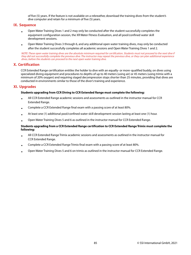of five (5) years. If the feature is not available on a rebreather, download the training dives from the student's dive computer and retain for a minimum of five (5) years.

#### **IX. Sequence**

- Open Water Training Dives 1 and 2 may only be conducted after the student successfully completes the equipment configuration session, the XR Water Fitness Evaluation, and all pool/confined water skill development sessions.
- Open Water Training Dives 3 through 6, and any additional open water training dives, may only be conducted after the student successfully completes all academic sessions and Open Water Training Dives 1 and 2.

NOTE: These open water training dives are the absolute minimum required for certification. Students must not proceed to the next dive if they did not successfully complete the previous dive. The instructor may repeat the previous dive, or they can plan additional experience dives, before the students can proceed to the next open water training dive.

## **X. Certification**

CCR Extended Range certification entitles the holder to dive with an equally- or more-qualified buddy, on dives using specialized diving equipment and procedures to depths of up to 40 meters (using air) or 45 meters (using trimix with a minimum of 20% oxygen) and requiring staged decompression stops shorter than 25 minutes, providing that dives are conducted in environments similar to those of the diver's training and experience.

### **XI. Upgrades**

#### **Students upgrading from CCR Diving to CCR Extended Range must complete the following:**

- All CCR Extended Range academic sessions and assessments as outlined in the instructor manual for CCR Extended Range.
- Complete a CCR Extended Range final exam with a passing score of at least 80%.
- At least one (1) additional pool/confined water skill development session lasting at least one (1) hour.
- Open Water Training Dives 5 and 6 as outlined in the instructor manual for CCR Extended Range.

#### **Students upgrading from a CCR Extended Range certification to CCR Extended Range Trimix must complete the following:**

- All CCR Extended Range Trimix academic sessions and assessments as outlined in the instructor manual for CCR Extended Range.
- Complete a CCR Extended Range Trimix final exam with a passing score of at least 80%.
- Open Water Training Dives 5 and 6 on trimix as outlined in the instructor manual for CCR Extended Range.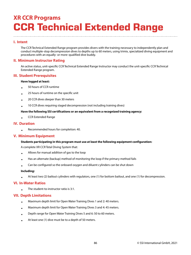## **XR CCR Programs CCR Technical Extended Range**

## **I. Intent**

The CCR Technical Extended Range program provides divers with the training necessary to independently plan and conduct multiple-stop decompression dives to depths up to 60 meters, using trimix, specialized diving equipment and procedures with an equally- or more-qualified dive buddy.

## **II. Minimum Instructor Rating**

An active status, unit-specific CCR Technical Extended Range Instructor may conduct the unit-specific CCR Technical Extended Range program.

## **III. Student Prerequisites**

#### **Have logged at least:**

- 50 hours of CCR runtime
- 25 hours of runtime on the specific unit
- 20 CCR dives deeper than 30 meters
- 10 CCR dives requiring staged decompression (not including training dives)

#### **Have the following SSI certifications or an equivalent from a recognized training agency:**

• CCR Extended Range

## **IV. Duration**

• Recommended hours for completion: 40.

## **V. Minimum Equipment**

### **Students participating in this program must use at least the following equipment configuration:**

A complete XR CCR Total Diving System that:

- Allows for manual addition of gas to the loop
- Has an alternate (backup) method of monitoring the loop if the primary method fails
- Can be configured so the onboard oxygen and diluent cylinders can be shut down

#### **Including:**

• At least two (2) bailout cylinders with regulators, one (1) for bottom bailout, and one (1) for decompression.

### **VI. In-Water Ratios**

• The student-to-instructor ratio is 3:1.

## **VII. Depth Limitations**

- Maximum depth limit for Open Water Training Dives 1 and 2: 40 meters.
- Maximum depth limit for Open Water Training Dives 3 and 4: 45 meters.
- Depth range for Open Water Training Dives 5 and 6: 50 to 60 meters.
- At least one (1) dive must be to a depth of 50 meters.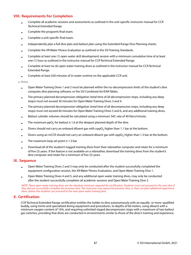## **VIII. Requirements For Completion**

- Complete all academic sessions and assessments as outlined in the unit-specific instructor manual for CCR Technical Extended Range.
- Complete the program's final exam.
- Complete a unit-specific final exam.
- Independently plan a full dive plan and bailout plan using the Extended Range Dive Planning sheets.
- Complete the XR Water Fitness Evaluation as outlined in the SSI Training Standards.
- Complete at least one (1) open water skill development session with a minimum cumulative time of at least one (1) hour as outlined in the instructor manual for CCR Technical Extended Range.
- Complete at least six (6) open water training dives as outlined in the instructor manual for CCR Technical Extended Range.
- Complete at least 420 minutes of in-water runtime on the applicable CCR unit.

a. Notes

- Open Water Training Dives 1 and 2 must be planned within the no-decompression limits of the student's dive computer, dive planning software, or the SSI Combined Air/EAN Tables.
- The primary planned decompression obligation (total time of all decompression stops, including any deep stops) must not exceed 30 minutes for Open Water Training Dives 3 and 4.
- The primary planned decompression obligation (total time of all decompression stops, including any deep stops) must not exceed 60 minutes for Open Water Training Dives 5 and 6, and any additional training dives.
- Bailout cylinder volumes should be calculated using a minimum SAC rate of 40 liters/minute.
- The maximum ppO $_2$  for bailout is 1.6 at the deepest planned depth of the dive.
- Divers should not carry an onboard diluent gas with a  $\mathsf{ppO}_2$  higher than 1.1 bar at the bottom.
- Divers using an mCCR should not carry an onboard diluent gas with appO $_2$  higher than 1.3 bar at the bottom.
- The maximum loop set point is 1.3 bar.
- Download all of the student's logged training dives from their rebreather computer and retain for a minimum of five (5) years. If the feature is not available on a rebreather, download the training dives from the student's dive computer and retain for a minimum of five (5) years.

### **IX. Sequence**

- Open Water Training Dives 2 and 3 may only be conducted after the student successfully completed the equipment configuration session, the XR Water Fitness Evaluation, and Open Water Training Dive 1.
- Open Water Training Dives 4 and 5, and any additional open water training dives, may only be conducted after the student successfully completes all academic sessions and Open Water Training Dive 3.

NOTE: These open water training dives are the absolute minimum required for certification. Students must not proceed to the next dive if they did not successfully complete the previous dive. The instructor may repeat the previous dive, or they can plan additional experience dives, before the students can proceed to the next open water training dive.

## **X. Certification**

CCR Technical Extended Range certification entitles the holder to dive autonomously with an equally- or more-qualified buddy, using trimix and specialized diving equipment and procedures, to depths of 60 meters, using diluent with a minimum oxygen content of 16%, and requiring unlimited staged decompression stops with a maximum of two bailout gas switches, providing that dives are conducted in environments similar to those of the diver's training and experience.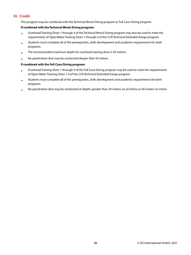## **XI. Credit**

This program may be combined with the Technical Wreck Diving program or Full Cave Diving program.

#### **If combined with the Technical Wreck Diving program:**

- Overhead Training Dives 1 through 4 of the Technical Wreck Diving program may also be used to meet the requirements of Open Water Training Dives 1 through 4 of the CCR Technical Extended Range program.
- Students must complete all of the prerequisites, skills development and academic requirements for both programs.
- The recommended maximum depth for overhead training dives is 45 meters.
- No penetration dive may be conducted deeper than 50 meters.

#### **If combined with the Full Cave Diving program:**

- Overhead Training Dives 1 through 4 of the Full Cave Diving program may be used to meet the requirements of Open Water Training Dives 1-4 of the CCR Technical Extended Range program.
- Students must complete all of the prerequisites, skills development and academic requirements for both programs.
- No penetration dive may be conducted at depths greater than 30 meters on air/nitrox or 60 meters on trimix.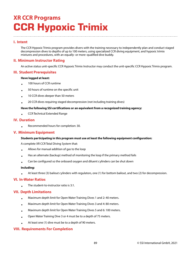## **XR CCR Programs CCR Hypoxic Trimix**

## **I. Intent**

The CCR Hypoxic Trimix program provides divers with the training necessary to independently plan and conduct staged decompression dives to depths of up to 100 meters, using specialized CCR diving equipment, and hypoxic trimix mixtures and procedures, with an equally- or more-qualified dive buddy.

## **II. Minimum Instructor Rating**

An active status unit-specific CCR Hypoxic Trimix Instructor may conduct the unit-specific CCR Hypoxic Trimix program.

## **III. Student Prerequisites**

#### **Have logged at least:**

- 100 hours of CCR runtime
- 50 hours of runtime on the specific unit
- 10 CCR dives deeper than 50 meters
- 20 CCR dives requiring staged decompression (not including training dives)

#### **Have the following SSI certifications or an equivalent from a recognized training agency:**

• CCR Technical Extended Range

## **IV. Duration**

• Recommended hours for completion: 30.

### **V. Minimum Equipment**

#### **Students participating in this program must use at least the following equipment configuration:**

A complete XR CCR Total Diving System that:

- Allows for manual addition of gas to the loop
- Has an alternate (backup) method of monitoring the loop if the primary method fails
- Can be configured so the onboard oxygen and diluent cylinders can be shut down

#### **Including:**

• At least three (3) bailout cylinders with regulators, one (1) for bottom bailout, and two (2) for decompression.

### **VI. In-Water Ratios**

• The student-to-instructor ratio is 3:1.

### **VII. Depth Limitations**

- Maximum depth limit for Open Water Training Dives 1 and 2: 40 meters.
- Maximum depth limit for Open Water Training Dives 3 and 4: 80 meters.
- Maximum depth limit for Open Water Training Dives 5 and 6: 100 meters.
- Open Water Training Dive 3 or 4 must be to a depth of 75 meters.
- At least one (1) dive must be to a depth of 90 meters.

### **VIII. Requirements For Completion**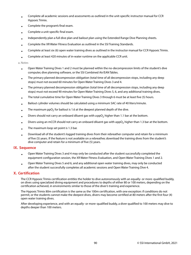- Complete all academic sessions and assessments as outlined in the unit-specific instructor manual for CCR Hypoxic Trimix.
- Complete the program's final exam.
- Complete a unit-specific final exam.
- Independently plan a full dive plan and bailout plan using the Extended Range Dive Planning sheets.
- Complete the XR Water Fitness Evaluation as outlined in the SSI Training Standards.
- Complete at least six (6) open water training dives as outlined in the instructor manual for CCR Hypoxic Trimix.
- Complete at least 420 minutes of in-water runtime on the applicable CCR unit.

#### a. Notes

- Open Water Training Dives 1 and 2 must be planned within the no-decompression limits of the student's dive computer, dive planning software, or the SSI Combined Air/EAN Tables.
- The primary planned decompression obligation (total time of all decompression stops, including any deep stops) must not exceed 60 minutes for Open Water Training Dives 3 and 4.
- The primary planned decompression obligation (total time of all decompression stops, including any deep stops) must not exceed 90 minutes for Open Water Training Dives 5, 6, and any additional training dives.
- The total cumulative time for Open Water Training Dives 3 through 6 must be at least five (5) hours.
- Bailout cylinder volumes should be calculated using a minimum SAC rate of 40 liters/minute.
- The maximum ppO $_2$  for bailout is 1.6 at the deepest planned depth of the dive.
- Divers should not carry an onboard diluent gas with a  $\mathsf{ppO}_2$  higher than 1.1 bar at the bottom.
- Divers using an mCCR should not carry an onboard diluent gas with appO $_2$  higher than 1.3 bar at the bottom.
- The maximum loop set point is 1.3 bar.
- Download all of the student's logged training dives from their rebreather computer and retain for a minimum of five (5) years. If the feature is not available on a rebreather, download the training dives from the student's dive computer and retain for a minimum of five (5) years.

### **IX. Sequence**

- Open Water Training Dives 3 and 4 may only be conducted after the student successfully completed the equipment configuration session, the XR Water Fitness Evaluation, and Open Water Training Dives 1 and 2.
- Open Water Training Dives 5 and 6, and any additional open water training dives, may only be conducted after the student successfully completes all academic sessions and Open Water Training Dive 4.

### **X. Certification**

The CCR Hypoxic Trimix certification entitles the holder to dive autonomously with an equally- or more-qualified buddy, on dives using specialized diving equipment and procedures to depths of either 80 or 100 meters, depending on the certification achieved, in environments similar to those of the diver's training and experience.

The Hypoxic Trimix 80m certification is the same as the 100m certification, with one exception: if conditions do not permit, or the students cannot make the deepest dives, divers may become certified at 80 meters after the first four (4) open water training dives.

After developing experience, and with an equally- or more-qualified buddy, a diver qualified to 100 meters may dive to depths deeper than 100 meters.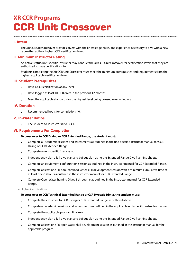## **XR CCR Programs CCR Unit Crossover**

## **I. Intent**

The XR CCR Unit Crossover provides divers with the knowledge, skills, and experience necessary to dive with a new rebreather at their highest CCR certification level.

## **II. Minimum Instructor Rating**

An active status, unit-specific instructor may conduct the XR CCR Unit Crossover for certification levels that they are authorized to issue certifications for.

Students completing the XR CCR Unit Crossover must meet the minimum prerequisites and requirements from the highest applicable certification level.

### **III. Student Prerequisites**

- Have a CCR certification at any level
- Have logged at least 10 CCR dives in the previous 12 months
- Meet the applicable standards for the highest level being crossed over including:

### **IV. Duration**

• Recommended hours for completion: 40.

### **V. In-Water Ratios**

• The student-to-instructor ratio is 3:1.

### **VI. Requirements For Completion**

#### **To cross over to CCR Diving or CCR Extended Range, the student must:**

- Complete all academic sessions and assessments as outlined in the unit-specific instructor manual for CCR Diving or CCR Extended Range.
- Complete a unit-specific final exam.
- Independently plan a full dive plan and bailout plan using the Extended Range Dive Planning sheets.
- Complete an equipment configuration session as outlined in the instructor manual for CCR Extended Range.
- Complete at least one (1) pool/confined water skill development session with a minimum cumulative time of at least one (1) hour as outlined in the instructor manual for CCR Extended Range.
- Complete Open Water Training Dives 3 through 6 as outlined in the instructor manual for CCR Extended Range.

a. Higher Certifications

#### **To cross over to CCR Technical Extended Range or CCR Hypoxic Trimix, the student must:**

- Complete the crossover to CCR Diving or CCR Extended Range as outlined above.
- Complete all academic sessions and assessments as outlined in the applicable unit-specific instructor manual.
- Complete the applicable program final exam.
- Independently plan a full dive plan and bailout plan using the Extended Range Dive Planning sheets.
- Complete at least one (1) open water skill development session as outlined in the instructor manual for the applicable program.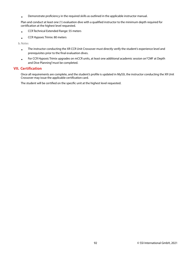• Demonstrate proficiency in the required skills as outlined in the applicable instructor manual.

Plan and conduct at least one (1) evaluation dive with a qualified instructor to the minimum depth required for certification at the highest level requested.

- CCR Technical Extended Range: 55 meters
- CCR Hypoxic Trimix: 80 meters

b. Notes

- The instructor conducting the XR CCR Unit Crossover must directly verify the student's experience level and prerequisites prior to the final evaluation dives.
- For CCR Hypoxic Trimix upgrades on mCCR units, at least one additional academic session on "CMF at Depth and Dive Planning" must be completed.

## **VII. Certification**

Once all requirements are complete, and the student's profile is updated in MySSI, the instructor conducting the XR Unit Crossover may issue the applicable certification card.

The student will be certified on the specific unit at the highest level requested.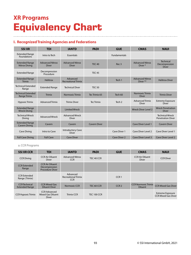## **XR Programs Equivalency Chart**

## **I. Recognized Training Agencies and Federations**

| <b>SSI XR</b>                                 | <b>TDI</b>                             | <b>IANTD</b>                             | <b>PADI</b>         | <b>GUE</b>          | <b>CMAS</b>                                   | <b>NAUI</b>                                        |
|-----------------------------------------------|----------------------------------------|------------------------------------------|---------------------|---------------------|-----------------------------------------------|----------------------------------------------------|
| <b>Extended Range</b><br><b>Foundations</b>   | Intro to Tech                          | <b>Essentials</b>                        |                     | <b>Fundamentals</b> |                                               |                                                    |
| <b>Extended Range</b><br><b>Nitrox Diving</b> | <b>Advanced Nitrox</b><br><b>Diver</b> | <b>Advanced Nitrox</b><br><b>Diver</b>   | <b>TEC 40</b>       | Rec <sub>3</sub>    | <b>Advanced Nitrox</b><br>Diver*              | <b>Technical</b><br>Decompression<br><b>Diver</b>  |
| <b>Extended Range</b>                         | Decompression<br>Procedure             |                                          | <b>TEC 45</b>       |                     |                                               |                                                    |
| <b>Extended Range</b><br><b>Trimix</b>        | <b>Helitrox</b>                        | Advanced<br><b>Recreational Trimix</b>   |                     | Tech 1              | <b>Advanced Nitrox</b><br>Diver <sup>**</sup> | <b>Helitrox Diver</b>                              |
| <b>Technical Extended</b><br>Range            | <b>Extended Range</b>                  | <b>Technical Diver</b>                   | <b>TEC 50</b>       |                     |                                               |                                                    |
| <b>Technical Extended</b><br>Range Trimix     | <b>Trimix</b>                          | Normoxic Trimix                          | Tec Trimix 65       | Tech 60             | Normoxic Trimix<br><b>Diver</b>               | <b>Trimix Diver</b>                                |
| <b>Hypoxic Trimix</b>                         | <b>Advanced Trimix</b>                 | <b>Trimix Diver</b>                      | <b>Tec Trimix</b>   | Tech <sub>2</sub>   | <b>Advanced Trimix</b><br><b>Diver</b>        | <b>Extreme Exposure</b><br><b>Diver</b>            |
| <b>Extended Range</b><br><b>Wreck Diving</b>  |                                        | <b>Limited Wreck</b>                     |                     |                     | <b>Wreck Diver Level 2</b>                    | <b>Wreck Penetration</b><br><b>Diver</b>           |
| <b>Technical Wreck</b><br>Diving              | <b>Advanced Wreck</b>                  | <b>Advanced Wreck</b><br><b>Diver</b>    |                     |                     |                                               | <b>Technical Wreck</b><br><b>Penetration Diver</b> |
| <b>Extended Range</b><br><b>Cavern Diving</b> | Cavern                                 | Cavern                                   | <b>Cavern Diver</b> |                     | Cave Diver Level 1                            | <b>Cavern Diver</b>                                |
| <b>Cave Diving</b>                            | Intro to Cave                          | <b>Introductory Cave</b><br><b>Diver</b> |                     | Cave Diver 1        | Cave Diver Level 2                            | Cave Diver Level 1                                 |
| <b>Full Cave Diving</b>                       | <b>Full Cave</b>                       | <b>Cave Diver</b>                        |                     | <b>Cave Diver 2</b> | <b>Cave Diver Level 3</b>                     | <b>Cave Diver Level 2</b>                          |

#### a. CCR Programs

| <b>SSI XR CCR</b>                             | <b>TDI</b>                                                        | <b>IANTD</b>                                         | <b>PADI</b>        | <b>GUE</b>       | <b>CMAS</b>                                  | <b>NAUI</b>                                           |
|-----------------------------------------------|-------------------------------------------------------------------|------------------------------------------------------|--------------------|------------------|----------------------------------------------|-------------------------------------------------------|
| <b>CCR Diving</b>                             | <b>CCR Air Diluent</b><br><b>Diver</b>                            | <b>Advanced Nitrox</b><br><b>CCR</b>                 | TEC 40 CCR         |                  | <b>CCR Air Diluent</b><br>Diver              | <b>CCR Diver</b>                                      |
| <b>CCR Extended</b><br>Range                  | <b>CCR Air Diluent</b><br>Decompression<br><b>Procedure Diver</b> |                                                      |                    |                  |                                              |                                                       |
| <b>CCR Extended</b><br>Range (Trimix)         |                                                                   | Advanced<br><b>Recreational Trimix</b><br><b>CCR</b> |                    | CCR <sub>1</sub> |                                              |                                                       |
| <b>CCR</b> Technical<br><b>Extended Range</b> | <b>CCR Mixed Gas</b><br><b>Diluent Diver</b>                      | Normoxic CCR                                         | TEC 60 CCR         | CCR <sub>2</sub> | <b>CCR Normoxic Trimix</b><br><b>Diluent</b> | <b>CCR Mixed Gas Diver</b>                            |
| <b>CCR Hypoxic Trimix</b>                     | <b>CCR Advanced</b><br><b>Mixed Gas Diluent</b><br><b>Diver</b>   | <b>Trimix CCR</b>                                    | <b>TEC 100 CCR</b> |                  |                                              | <b>Extreme Exposure</b><br><b>CCR Mixed Gas Diver</b> |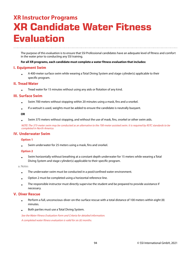## **XR Instructor Programs XR Candidate Water Fitness Evaluation**

The purpose of this evaluation is to ensure that SSI Professional candidates have an adequate level of fitness and comfort in the water prior to conducting any SSI training.

#### **For all XR programs, each candidate must complete a water fitness evaluation that includes:**

#### **I. Equipment Swim**

• A 400-meter surface swim while wearing a Total Diving System and stage cylinder(s) applicable to their specific program.

#### **II. Tread Water**

• Tread water for 15 minutes without using any aids or flotation of any kind.

#### **III. Surface Swim**

- Swim 700 meters without stopping within 20 minutes using a mask, fins and a snorkel.
- If a wetsuit is used, weights must be added to ensure the candidate is neutrally buoyant.

#### **OR**

• Swim 375 meters without stopping, and without the use of mask, fins, snorkel or other swim aids.

NOTE: The 375-meter swim may be conducted as an alternative to the 700-meter assisted swim. It is required by RSTC standards to be completed in North America.

### **IV. Underwater Swim**

#### **Option 1**

• Swim underwater for 25 meters using a mask, fins and snorkel.

#### **Option 2**

• Swim horizontally without breathing at a constant depth underwater for 15 meters while wearing a Total Diving System and stage cylinder(s) applicable to their specific program.

a. Notes

- The underwater swim must be conducted in a pool/confined water environment.
- Option 2 must be completed using a horizontal reference line.
- The responsible instructor must directly supervise the student and be prepared to provide assistance if necessary.

### **V. Diver Rescue**

- Perform a full, unconscious-diver-on-the-surface rescue with a total distance of 100 meters within eight (8) minutes.
- Both parties must use a Total Diving System.

See the Water Fitness Evaluation Form and Criteria for detailed information. A completed water fitness evaluation is valid for six (6) months.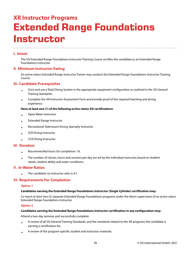## **XR Instructor Programs Extended Range Foundations Instructor**

## **I. Intent**

The SSI Extended Range Foundations Instructor Training Course certifies the candidate as an Extended Range Foundations Instructor.

### **II. Minimum Instructor Rating**

An active status Extended Range Instructor Trainer may conduct the Extended Range Foundations Instructor Training Course.

## **III. Candidate Prerequisites**

- Own and use a Total Diving System in the appropriate equipment configuration as outlined in the SSI General Training Standards.
- Complete the XR Instructor Assessment Form and provide proof of the required teaching and diving experience.

#### **Have at least one (1) of the following active status SSI certifications:**

- Open Water Instructor
- Extended Range Instructor
- Recreational Sidemount Diving Specialty Instructor
- SCR Diving Instructor
- CCR Diving Instructor

### **IV. Duration**

- Recommended hours for completion: 16.
- The number of classes, hours and sessions per day are set by the individual instructor, based on student needs, student ability and water conditions.

### **V. In-Water Ratios**

• The candidate-to-instructor ratio is 4:1.

### **VI. Requirements For Completion**

#### **Option 1**

#### **Candidates earning the Extended Range Foundations Instructor (Single Cylinder) certification may:**

Co-teach at least two (2) separate Extended Range Foundations programs under the direct supervision of an active status Extended Range Foundations Instructor.

#### **Option 2**

#### **Candidates earning the Extended Range Foundations Instructor certification in any configuration may:**

Attend a two-day seminar and successfully complete:

- A review of all SSI General Training Standards, and the standards related to the XR programs the candidate is earning a certification for.
- A review of the program-specific student and instructor materials.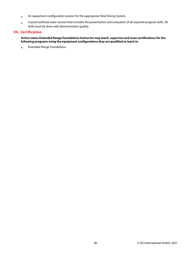- An equipment configuration session for the appropriate Total Diving System.
- A pool/confined water session that includes the presentation and evaluation of all required program skills. All skills must be done with demonstration quality.

## **VII. Certification**

#### **Active status Extended Range Foundations Instructor may teach, supervise and issue certifications for the following programs using the equipment configurations they are qualified to teach in:**

• Extended Range Foundations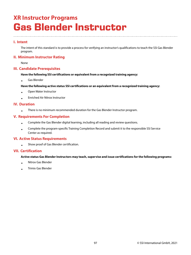## **XR Instructor Programs Gas Blender Instructor**

## **I. Intent**

The intent of this standard is to provide a process for verifying an instructor's qualifications to teach the SSI Gas Blender program.

## **II. Minimum Instructor Rating**

None

## **III. Candidate Prerequisites**

#### **Have the following SSI certifications or equivalent from a recognized training agency:**

• Gas Blender

#### **Have the following active status SSI certifications or an equivalent from a recognized training agency:**

- Open Water Instructor
- Enriched Air Nitrox Instructor

## **IV. Duration**

• There is no minimum recommended duration for the Gas Blender Instructor program.

## **V. Requirements For Completion**

- Complete the Gas Blender digital learning, including all reading and review questions.
- Complete the program-specific Training Completion Record and submit it to the responsible SSI Service Center as required.

### **VI. Active Status Requirements**

• Show proof of Gas Blender certification.

## **VII. Certification**

#### **Active status Gas Blender Instructors may teach, supervise and issue certifications for the following programs:**

- Nitrox Gas Blender
- Trimix Gas Blender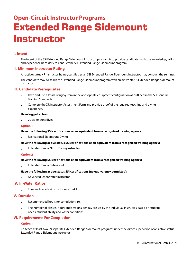## **Open-Circuit Instructor Programs Extended Range Sidemount Instructor**

## **I. Intent**

The intent of the SSI Extended Range Sidemount Instructor program is to provide candidates with the knowledge, skills and experience necessary to conduct the SSI Extended Range Sidemount program.

### **II. Minimum Instructor Rating**

An active status XR Instructor Trainer, certified as an SSI Extended Range Sidemount Instructor, may conduct the seminar.

The candidate may co-teach the Extended Range Sidemount program with an active status Extended Range Sidemount Instructor.

### **III. Candidate Prerequisites**

- Own and use a Total Diving System in the appropriate equipment configuration as outlined in the SSI General Training Standards.
- Complete the XR Instructor Assessment Form and provide proof of the required teaching and diving experience.

#### **Have logged at least:**

• 20 sidemount dives

#### **Option 1**

#### **Have the following SSI certifications or an equivalent from a recognized training agency:**

• Recreational Sidemount Diving

#### **Have the following active status SSI certifications or an equivalent from a recognized training agency:**

• Extended Range Nitrox Diving Instructor

#### **Option 2**

#### **Have the following SSI certifications or an equivalent from a recognized training agency:**

• Extended Range Sidemount

#### **Have the following active status SSI certifications (no equivalency permitted):**

• Advanced Open Water Instructor

### **IV. In-Water Ratios**

• The candidate-to-instructor ratio is 4:1.

### **V. Duration**

- Recommended hours for completion: 16.
- The number of classes, hours and sessions per day are set by the individual instructor, based on student needs, student ability and water conditions.

### **VI. Requirements For Completion**

#### **Option 1**

Co-teach at least two (2) separate Extended Range Sidemount programs under the direct supervision of an active status Extended Range Sidemount Instructor.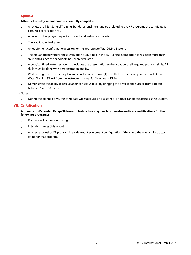#### **Option 2**

#### **Attend a two-day seminar and successfully complete:**

- A review of all SSI General Training Standards, and the standards related to the XR programs the candidate is earning a certification for.
- A review of the program-specific student and instructor materials.
- The applicable final exams.
- An equipment configuration session for the appropriate Total Diving System.
- The XR Candidate Water Fitness Evaluation as outlined in the SSI Training Standards if it has been more than six months since the candidate has been evaluated.
- A pool/confined water session that includes the presentation and evaluation of all required program skills. All skills must be done with demonstration quality.
- While acting as an instructor, plan and conduct at least one (1) dive that meets the requirements of Open Water Training Dive 4 from the instructor manual for Sidemount Diving.
- Demonstrate the ability to rescue an unconscious diver by bringing the diver to the surface from a depth between 5 and 10 meters.

a. Notes

• During the planned dive, the candidate will supervise an assistant or another candidate acting as the student.

## **VII. Certification**

**Active status Extended Range Sidemount Instructors may teach, supervise and issue certifications for the following programs:**

- Recreational Sidemount Diving
- Extended Range Sidemount
- Any recreational or XR program in a sidemount equipment configuration if they hold the relevant instructor rating for that program.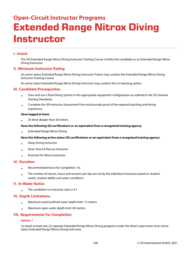## **Open-Circuit Instructor Programs Extended Range Nitrox Diving Instructor**

## **I. Intent**

The SSI Extended Range Nitrox Diving Instructor Training Course certifies the candidate as an Extended Range Nitrox Diving Instructor.

### **II. Minimum Instructor Rating**

An active status Extended Range Nitrox Diving Instructor Trainer may conduct the Extended Range Nitrox Diving Instructor Training Course.

An active status Extended Range Nitrox Diving Instructor may conduct the co-teaching option.

### **III. Candidate Prerequisites**

- Own and use a Total Diving System in the appropriate equipment configuration as outlined in the SSI General Training Standards.
- Complete the XR Instructor Assessment Form and provide proof of the required teaching and diving experience.

#### **Have logged at least:**

• 20 dives deeper than 30 meters

#### **Have the following SSI certifications or an equivalent from a recognized training agency:**

• Extended Range Nitrox Diving

#### **Have the following active status SSI certifications or an equivalent from a recognized training agency:**

- Deep Diving Instructor
- Diver Stress & Rescue Instructor
- Enriched Air Nitrox Instructor

#### **IV. Duration**

•

- Recommended hours for completion: 16.
- The number of classes, hours and sessions per day are set by the individual instructor, based on student needs, student ability and water conditions.

#### **V. In-Water Ratios**

The candidate-to-instructor ratio is 4:1.

#### **VI. Depth Limitations**

- Maximum pool/confined water depth limit: 12 meters.
- Maximum open water depth limit: 40 meters.

### **VII. Requirements For Completion**

#### **Option 1**

Co-teach at least two (2) separate Extended Range Nitrox Diving programs under the direct supervision of an active status Extended Range Nitrox Diving Instructor.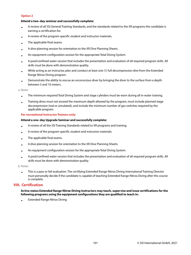#### **Option 2**

#### **Attend a two-day seminar and successfully complete:**

- A review of all SSI General Training Standards, and the standards related to the XR programs the candidate is earning a certification for.
- A review of the program-specific student and instructor materials.
- The applicable final exams.
- A dive planning session for orientation to the XR Dive Planning Sheets.
- An equipment configuration session for the appropriate Total Diving System.
- A pool/confined water session that includes the presentation and evaluation of all required program skills. All skills must be done with demonstration quality.
- While acting as an instructor, plan and conduct at least one (1) full decompression dive from the Extended Range Nitrox Diving program.
- Demonstrate the ability to rescue an unconscious diver by bringing the diver to the surface from a depth between 5 and 10 meters.

a. Notes

- The minimum required Total Diving System and stage cylinders must be worn during all in-water training.
- Training dives must not exceed the maximum depth allowed by the program, must include planned stage decompression (real or simulated), and include the minimum number of gas switches required by the applicable program.

#### **For recreational Instructor Trainers only:**

#### **Attend a one-day Upgrade Seminar and successfully complete:**

- A review of all the SSI Training Standards related to XR programs and training.
- A review of the program-specific student and instructor materials.
- The applicable final exams.
- A dive planning session for orientation to the XR Dive Planning Sheets.
- An equipment configuration session for the appropriate Total Diving System.
- A pool/confined water session that includes the presentation and evaluation of all required program skills. All skills must be done with demonstration quality.

b. Notes

• This is a pass or fail evaluation. The certifying Extended Range Nitrox Diving International Training Director must personally decide if the candidate is capable of teaching Extended Range Nitrox Diving after this course is complete.

### **VIII. Certification**

#### **Active status Extended Range Nitrox Diving Instructors may teach, supervise and issue certifications for the following programs using the equipment configurations they are qualified to teach in:**

• Extended Range Nitrox Diving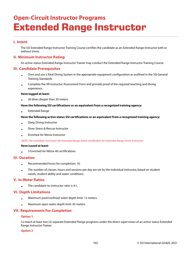## **Open-Circuit Instructor Programs Extended Range Instructor**

## **I. Intent**

The SSI Extended Range Instructor Training Course certifies the candidate as an Extended Range Instructor with or without trimix.

## **II. Minimum Instructor Rating**

An active status Extended Range Instructor Trainer may conduct the Extended Range Instructor Training Course.

#### **III. Candidate Prerequisites**

- Own and use a Total Diving System in the appropriate equipment configuration as outlined in the SSI General Training Standards.
- Complete the XR Instructor Assessment Form and provide proof of the required teaching and diving experience.

#### **Have logged at least:**

• 20 dives deeper than 30 meters

#### **Have the following SSI certifications or an equivalent from a recognized training agency:**

• Extended Range

#### **Have the following active status SSI certifications or an equivalent from a recognized training agency:**

- Deep Diving Instructor
- Diver Stress & Rescue Instructor
- Enriched Air Nitrox Instructor

#### NOTE: The candidate must have the Extended Range Trimix certification for Extended Range Trimix Instructor)

#### **Have issued at least:**

• 3 Enriched Air Nitrox 40 certifications

#### **IV. Duration**

- Recommended hours for completion: 16.
- The number of classes, hours and sessions per day are set by the individual instructor, based on student needs, student ability and water conditions.

#### **V. In-Water Ratios**

• The candidate-to-instructor ratio is 4:1.

### **VI. Depth Limitations**

- Maximum pool/confined water depth limit: 12 meters.
- Maximum open water depth limit: 45 meters.

### **VII. Requirements For Completion**

#### **Option 1**

Co-teach at least two (2) separate Extended Range programs under the direct supervision of an active status Extended Range Instructor Trainer.

#### **Option 2**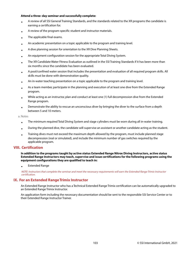#### **Attend a three-day seminar and successfully complete:**

- A review of all SSI General Training Standards, and the standards related to the XR programs the candidate is earning a certification for.
- A review of the program-specific student and instructor materials.
- The applicable final exams.
- An academic presentation on a topic applicable to the program and training level.
- A dive planning session for orientation to the XR Dive Planning Sheets.
- An equipment configuration session for the appropriate Total Diving System.
- The XR Candidate Water Fitness Evaluation as outlined in the SSI Training Standards if it has been more than six months since the candidate has been evaluated.
- A pool/confined water session that includes the presentation and evaluation of all required program skills. All skills must be done with demonstration quality.
- An in-water teaching presentation on a topic applicable to the program and training level.
- As a team member, participate in the planning and execution of at least one dive from the Extended Range program.
- While acting as an instructor, plan and conduct at least one (1) full decompression dive from the Extended Range program.
- Demonstrate the ability to rescue an unconscious diver by bringing the diver to the surface from a depth between 5 and 10 meters.

a. Notes

- The minimum required Total Diving System and stage cylinders must be worn during all in-water training.
- During the planned dive, the candidate will supervise an assistant or another candidate acting as the student.
- Training dives must not exceed the maximum depth allowed by the program, must include planned stage decompression (real or simulated), and include the minimum number of gas switches required by the applicable program.

### **VIII. Certification**

**In addition to the programs taught by active status Extended Range Nitrox Diving Instructors, active status Extended Range Instructors may teach, supervise and issue certifications for the following programs using the equipment configurations they are qualified to teach in:**

• Extended Range

NOTE: Instructors that complete the seminar and meet the necessary requirements will earn the Extended Range Trimix Instructor certification.

### **IX. For an Extended Range Trimix Instructor**

An Extended Range Instructor who has a Technical Extended Range Trimix certification can be automatically upgraded to an Extended Range Trimix Instructor.

An application form including the necessary documentation should be sent to the responsible SSI Service Center or to their Extended Range Instructor Trainer.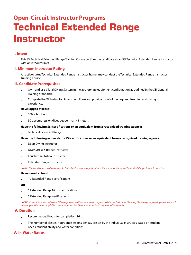## **Open-Circuit Instructor Programs Technical Extended Range Instructor**

## **I. Intent**

This SSI Technical Extended Range Training Course certifies the candidate as an SSI Technical Extended Range Instructor with or without trimix.

### **II. Minimum Instructor Rating**

An active status Technical Extended Range Instructor Trainer may conduct the Technical Extended Range Instructor Training Course.

## **III. Candidate Prerequisites**

- Own and use a Total Diving System in the appropriate equipment configuration as outlined in the SSI General Training Standards.
- Complete the XR Instructor Assessment Form and provide proof of the required teaching and diving experience.

#### **Have logged at least:**

- 200 total dives
- 50 decompression dives deeper than 45 meters

#### **Have the following SSI certifications or an equivalent from a recognized training agency:**

• Technical Extended Range

#### **Have the following active status SSI certifications or an equivalent from a recognized training agency:**

- Deep Diving Instructor
- Diver Stress & Rescue Instructor
- Enriched Air Nitrox Instructor
- Extended Range Instructor

NOTE: The candidate must have the Technical Extended Range Trimix certification for Technical Extended Range Trimix Instructor

#### **Have issued at least:**

• 10 Extended Range certifications

#### **OR**

- 5 Extended Range Nitrox certifications
- 5 Extended Range certifications

NOTE: If candidate has not issued the required certifications, they may complete the Instructor Training Course by requesting a waiver and meeting additional completion requirements. See "Requirements for Completion" for details.

### **IV. Duration**

- Recommended hours for completion: 16.
- The number of classes, hours and sessions per day are set by the individual instructor, based on student needs, student ability and water conditions.

### **V. In-Water Ratios**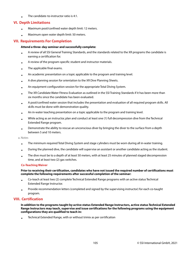• The candidate-to-instructor ratio is 4:1.

## **VI. Depth Limitations**

- Maximum pool/confined water depth limit: 12 meters.
- Maximum open water depth limit: 50 meters.

### **VII. Requirements For Completion**

#### **Attend a three-day seminar and successfully complete:**

- A review of all SSI General Training Standards, and the standards related to the XR programs the candidate is earning a certification for.
- A review of the program-specific student and instructor materials.
- The applicable final exams.
- An academic presentation on a topic applicable to the program and training level.
- A dive planning session for orientation to the XR Dive Planning Sheets.
- An equipment configuration session for the appropriate Total Diving System.
- The XR Candidate Water Fitness Evaluation as outlined in the SSI Training Standards if it has been more than six months since the candidate has been evaluated.
- A pool/confined water session that includes the presentation and evaluation of all required program skills. All skills must be done with demonstration quality.
- An in-water teaching presentation on a topic applicable to the program and training level.
- While acting as an instructor, plan and conduct at least one (1) full decompression dive from the Technical Extended Range program.
- Demonstrate the ability to rescue an unconscious diver by bringing the diver to the surface from a depth between 5 and 10 meters.

a. Notes

- The minimum required Total Diving System and stage cylinders must be worn during all in-water training.
- During the planned dive, the candidate will supervise an assistant or another candidate acting as the student.
- The dive must be to a depth of at least 50 meters, with at least 25 minutes of planned staged decompression time, and at least two (2) gas switches.

#### **Co-Teaching Waiver**

#### **Prior to receiving their certification, candidates who have not issued the required number of certifications must complete the following requirements after successful completion of the seminar:**

- Co-teach at least two (2) complete Technical Extended Range programs with an active status Technical Extended Range Instructor.
- Provide recommendation letters (completed and signed by the supervising instructor) for each co-taught program.

### **VIII. Certification**

**In addition to the programs taught by active status Extended Range Instructors, active status Technical Extended Range Instructors may teach, supervise and issue certifications for the following programs using the equipment configurations they are qualified to teach in:**

• Technical Extended Range, with or without trimix as per certification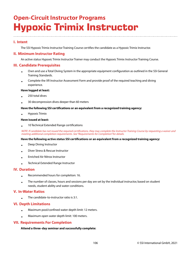## **Open-Circuit Instructor Programs Hypoxic Trimix Instructor**

## **I. Intent**

The SSI Hypoxic Trimix Instructor Training Course certifies the candidate as a Hypoxic Trimix Instructor.

## **II. Minimum Instructor Rating**

An active status Hypoxic Trimix Instructor Trainer may conduct the Hypoxic Trimix Instructor Training Course.

### **III. Candidate Prerequisites**

- Own and use a Total Diving System in the appropriate equipment configuration as outlined in the SSI General Training Standards.
- Complete the XR Instructor Assessment Form and provide proof of the required teaching and diving experience.

#### **Have logged at least:**

- 250 total dives
- 30 decompression dives deeper than 60 meters

#### **Have the following SSI certifications or an equivalent from a recognized training agency:**

• Hypoxic Trimix

#### **Have issued at least:**

• 10 Technical Extended Range certifications

NOTE: If candidate has not issued the required certifications, they may complete the Instructor Training Course by requesting a waiver and meeting additional completion requirements. See "Requirements for Completion" for details.

#### **Have the following active status SSI certifications or an equivalent from a recognized training agency:**

- Deep Diving Instructor
- Diver Stress & Rescue Instructor
- Enriched Air Nitrox Instructor
- Technical Extended Range Instructor

### **IV. Duration**

- Recommended hours for completion: 16.
- The number of classes, hours and sessions per day are set by the individual instructor, based on student needs, student ability and water conditions.

#### **V. In-Water Ratios**

• The candidate-to-instructor ratio is 3:1.

### **VI. Depth Limitations**

- Maximum pool/confined water depth limit: 12 meters.
- Maximum open water depth limit: 100 meters.

## **VII. Requirements For Completion**

#### **Attend a three-day seminar and successfully complete:**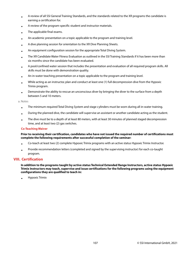- A review of all SSI General Training Standards, and the standards related to the XR programs the candidate is earning a certification for.
- A review of the program-specific student and instructor materials.
- The applicable final exams.
- An academic presentation on a topic applicable to the program and training level.
- A dive planning session for orientation to the XR Dive Planning Sheets.
- An equipment configuration session for the appropriate Total Diving System.
- The XR Candidate Water Fitness Evaluation as outlined in the SSI Training Standards if it has been more than six months since the candidate has been evaluated.
- A pool/confined water session that includes the presentation and evaluation of all required program skills. All skills must be done with demonstration quality.
- An in-water teaching presentation on a topic applicable to the program and training level.
- While acting as an instructor, plan and conduct at least one (1) full decompression dive from the Hypoxic Trimix program.
- Demonstrate the ability to rescue an unconscious diver by bringing the diver to the surface from a depth between 5 and 10 meters.

a. Notes

- The minimum required Total Diving System and stage cylinders must be worn during all in-water training.
- During the planned dive, the candidate will supervise an assistant or another candidate acting as the student.
- The dive must be to a depth of at least 80 meters, with at least 30 minutes of planned staged decompression time, and at least two (2) gas switches.

#### **Co-Teaching Waiver**

**Prior to receiving their certification, candidates who have not issued the required number of certifications must complete the following requirements after successful completion of the seminar:**

- Co-teach at least two (2) complete Hypoxic Trimix programs with an active status Hypoxic Trimix Instructor.
- Provide recommendation letters (completed and signed by the supervising instructor) for each co-taught program.

### **VIII. Certification**

**In addition to the programs taught by active status Technical Extended Range Instructors, active status Hypoxic Trimix Instructors may teach, supervise and issue certifications for the following programs using the equipment configurations they are qualified to teach in:**

• Hypoxic Trimix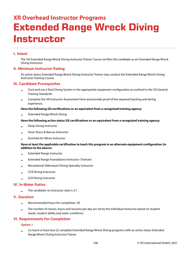## **XR Overhead Instructor Programs Extended Range Wreck Diving Instructor**

## **I. Intent**

The SSI Extended Range Wreck Diving Instructor Trainer Course certifies the candidate as an Extended Range Wreck Diving Instructor.

### **II. Minimum Instructor Rating**

An active status Extended Range Wreck Diving Instructor Trainer may conduct the Extended Range Wreck Diving Instructor Training Course.

## **III. Candidate Prerequisites**

- Own and use a Total Diving System in the appropriate equipment configuration as outlined in the SSI General Training Standards.
- Complete the XR Instructor Assessment Form and provide proof of the required teaching and diving experience.

#### **Have the following SSI certifications or an equivalent from a recognized training agency:**

• Extended Range Wreck Diving

#### **Have the following active status SSI certifications or an equivalent from a recognized training agency:**

- Deep Diving Instructor
- Diver Stress & Rescue Instructor
- Enriched Air Nitrox Instructor

#### **Have at least the applicable certification to teach this program in an alternate equipment configuration (in addition to the above):**

- Extended Range Instructor
- Extended Range Foundations Instructor ( Twinset)
- Recreational Sidemount Diving Specialty Instructor
- CCR Diving Instructor
- SCR Diving Instructor

### **IV. In-Water Ratios**

The candidate-to-instructor ratio is 3:1.

#### **V. Duration**

•

- Recommended hours for completion: 20.
- The number of classes, hours and sessions per day are set by the individual instructor, based on student needs, student ability and water conditions.

### **VI. Requirements For Completion**

#### **Option 1**

•

Co-teach at least two (2) complete Extended Range Wreck Diving programs with an active status Extended Range Wreck Diving Instructor Trainer.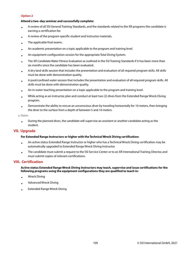## **Option 2**

#### **Attend a two-day seminar and successfully complete:**

- A review of all SSI General Training Standards, and the standards related to the XR programs the candidate is earning a certification for.
- A review of the program-specific student and instructor materials.
- The applicable final exams.
- An academic presentation on a topic applicable to the program and training level.
- An equipment configuration session for the appropriate Total Diving System.
- The XR Candidate Water Fitness Evaluation as outlined in the SSI Training Standards if it has been more than six months since the candidate has been evaluated.
- A dry land skills session that includes the presentation and evaluation of all required program skills. All skills must be done with demonstration quality.
- A pool/confined water session that includes the presentation and evaluation of all required program skills. All skills must be done with demonstration quality.
- An in-water teaching presentation on a topic applicable to the program and training level.
- While acting as an instructor, plan and conduct at least two (2) dives from the Extended Range Wreck Diving program.
- Demonstrate the ability to rescue an unconscious diver by traveling horizontally for 10 meters, then bringing the diver to the surface from a depth of between 5 and 10 meters.

a. Notes

• During the planned dives, the candidate will supervise an assistant or another candidate acting as the student.

## **VII. Upgrade**

#### **For Extended Range Instructors or higher with the Technical Wreck Diving certification:**

- An active status Extended Range Instructor or higher who has a Technical Wreck Diving certification may be automatically upgraded to Extended Range Wreck Diving Instructor.
- The candidate must submit a request to the SSI Service Center or to an XR International Training Director, and must submit copies of relevant certifications.

## **VIII. Certification**

**Active status Extended Range Wreck Diving Instructors may teach, supervise and issue certifications for the following programs using the equipment configurations they are qualified to teach in:**

- Wreck Diving
- Advanced Wreck Diving
- Extended Range Wreck Diving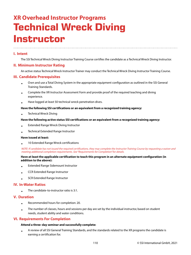## **XR Overhead Instructor Programs Technical Wreck Diving Instructor**

## **I. Intent**

The SSI Technical Wreck Diving Instructor Training Course certifies the candidate as a Technical Wreck Diving Instructor.

## **II. Minimum Instructor Rating**

An active status Technical Wreck Instructor Trainer may conduct the Technical Wreck Diving Instructor Training Course.

#### **III. Candidate Prerequisites**

- Own and use a Total Diving System in the appropriate equipment configuration as outlined in the SSI General Training Standards.
- Complete the XR Instructor Assessment Form and provide proof of the required teaching and diving experience.
- Have logged at least 50 technical wreck penetration dives.

#### **Have the following SSI certifications or an equivalent from a recognized training agency:**

• Technical Wreck Diving

#### **Have the following active status SSI certifications or an equivalent from a recognized training agency:**

- Extended Range Wreck Diving Instructor
- Technical Extended Range Instructor

#### **Have issued at least:**

• 10 Extended Range Wreck certifications

NOTE: If candidate has not issued the required certifications, they may complete the Instructor Training Course by requesting a waiver and meeting additional completion requirements. See "Requirements for Completion" for details.

#### **Have at least the applicable certification to teach this program in an alternate equipment configuration (in addition to the above):**

- Extended Range Sidemount Instructor
- CCR Extended Range Instructor
- SCR Extended Range Instructor

#### **IV. In-Water Ratios**

The candidate-to-instructor ratio is 3:1.

#### **V. Duration**

•

- Recommended hours for completion: 20.
- The number of classes, hours and sessions per day are set by the individual instructor, based on student needs, student ability and water conditions.

## **VI. Requirements For Completion**

#### **Attend a three-day seminar and successfully complete:**

• A review of all SSI General Training Standards, and the standards related to the XR programs the candidate is earning a certification for.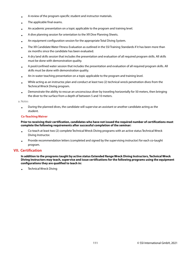- A review of the program-specific student and instructor materials.
- The applicable final exams.
- An academic presentation on a topic applicable to the program and training level.
- A dive planning session for orientation to the XR Dive Planning Sheets.
- An equipment configuration session for the appropriate Total Diving System.
- The XR Candidate Water Fitness Evaluation as outlined in the SSI Training Standards if it has been more than six months since the candidate has been evaluated.
- A dry land skills session that includes the presentation and evaluation of all required program skills. All skills must be done with demonstration quality.
- A pool/confined water session that includes the presentation and evaluation of all required program skills. All skills must be done with demonstration quality.
- An in-water teaching presentation on a topic applicable to the program and training level.
- While acting as an instructor, plan and conduct at least two (2) technical wreck penetration dives from the Technical Wreck Diving program.
- Demonstrate the ability to rescue an unconscious diver by traveling horizontally for 50 meters, then bringing the diver to the surface from a depth of between 5 and 10 meters.

#### a. Notes

• During the planned dives, the candidate will supervise an assistant or another candidate acting as the student.

#### **Co-Teaching Waiver**

#### **Prior to receiving their certification, candidates who have not issued the required number of certifications must complete the following requirements after successful completion of the seminar:**

- Co-teach at least two (2) complete Technical Wreck Diving programs with an active status Technical Wreck Diving Instructor.
- Provide recommendation letters (completed and signed by the supervising instructor) for each co-taught program.

## **VII. Certification**

**In addition to the programs taught by active status Extended Range Wreck Diving Instructors, Technical Wreck Diving Instructors may teach, supervise and issue certifications for the following programs using the equipment configurations they are qualified to teach in:**

• Technical Wreck Diving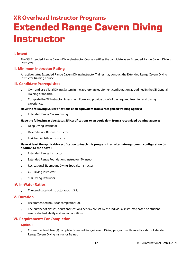## **XR Overhead Instructor Programs Extended Range Cavern Diving Instructor**

## **I. Intent**

The SSI Extended Range Cavern Diving Instructor Course certifies the candidate as an Extended Range Cavern Diving Instructor.

## **II. Minimum Instructor Rating**

An active status Extended Range Cavern Diving Instructor Trainer may conduct the Extended Range Cavern Diving Instructor Training Course.

## **III. Candidate Prerequisites**

- Own and use a Total Diving System in the appropriate equipment configuration as outlined in the SSI General Training Standards.
- Complete the XR Instructor Assessment Form and provide proof of the required teaching and diving experience.

#### **Have the following SSI certifications or an equivalent from a recognized training agency:**

• Extended Range Cavern Diving

#### **Have the following active status SSI certifications or an equivalent from a recognized training agency:**

- Deep Diving Instructor
- Diver Stress & Rescue Instructor
- Enriched Air Nitrox Instructor

#### **Have at least the applicable certification to teach this program in an alternate equipment configuration (in addition to the above):**

- Extended Range Instructor
- Extended Range Foundations Instructor ( Twinset)
- Recreational Sidemount Diving Specialty Instructor
- CCR Diving Instructor
- SCR Diving Instructor

#### **IV. In-Water Ratios**

The candidate-to-instructor ratio is 3:1.

#### **V. Duration**

•

- Recommended hours for completion: 20.
- The number of classes, hours and sessions per day are set by the individual instructor, based on student needs, student ability and water conditions.

## **VI. Requirements For Completion**

#### **Option 1**

•

Co-teach at least two (2) complete Extended Range Cavern Diving programs with an active status Extended Range Cavern Diving Instructor Trainer.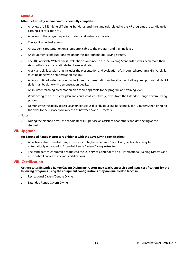## **Option 2**

#### **Attend a two-day seminar and successfully complete:**

- A review of all SSI General Training Standards, and the standards related to the XR programs the candidate is earning a certification for.
- A review of the program-specific student and instructor materials.
- The applicable final exams.
- An academic presentation on a topic applicable to the program and training level.
- An equipment configuration session for the appropriate Total Diving System.
- The XR Candidate Water Fitness Evaluation as outlined in the SSI Training Standards if it has been more than six months since the candidate has been evaluated.
- A dry land skills session that includes the presentation and evaluation of all required program skills. All skills must be done with demonstration quality.
- A pool/confined water session that includes the presentation and evaluation of all required program skills. All skills must be done with demonstration quality.
- An in-water teaching presentation on a topic applicable to the program and training level.
- While acting as an instructor, plan and conduct at least two (2) dives from the Extended Range Cavern Diving program.
- Demonstrate the ability to rescue an unconscious diver by traveling horizontally for 10 meters, then bringing the diver to the surface from a depth of between 5 and 10 meters.

a. Notes

• During the planned dives, the candidate will supervise an assistant or another candidate acting as the student.

## **VII. Upgrade**

#### **For Extended Range Instructors or higher with the Cave Diving certification:**

- An active status Extended Range Instructor or higher who has a Cave Diving certification may be automatically upgraded to Extended Range Cavern Diving Instructor.
- The candidate must submit a request to the SSI Service Center or to an XR International Training Director, and must submit copies of relevant certifications.

## **VIII. Certification**

#### **Active status Extended Range Cavern Diving Instructors may teach, supervise and issue certifications for the following programs using the equipment configurations they are qualified to teach in:**

- Recreational Cavern/Cenote Diving
- Extended Range Cavern Diving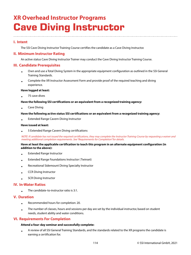## **XR Overhead Instructor Programs Cave Diving Instructor**

## **I. Intent**

The SSI Cave Diving Instructor Training Course certifies the candidate as a Cave Diving Instructor.

## **II. Minimum Instructor Rating**

An active status Cave Diving Instructor Trainer may conduct the Cave Diving Instructor Training Course.

## **III. Candidate Prerequisites**

- Own and use a Total Diving System in the appropriate equipment configuration as outlined in the SSI General Training Standards.
- Complete the XR Instructor Assessment Form and provide proof of the required teaching and diving experience.

#### **Have logged at least:**

• 75 cave dives

#### **Have the following SSI certifications or an equivalent from a recognized training agency:**

• Cave Diving

#### **Have the following active status SSI certifications or an equivalent from a recognized training agency:**

• Extended Range Cavern Diving Instructor

#### **Have issued at least:**

• 5 Extended Range Cavern Diving certifications

NOTE: If candidate has not issued the required certifications, they may complete the Instructor Training Course by requesting a waiver and meeting additional completion requirements. See "Requirements for Completion" for details.

#### **Have at least the applicable certification to teach this program in an alternate equipment configuration (in addition to the above):**

- Extended Range Instructor
- Extended Range Foundations Instructor ( Twinset)
- Recreational Sidemount Diving Specialty Instructor
- CCR Diving Instructor
- SCR Diving Instructor

## **IV. In-Water Ratios**

The candidate-to-instructor ratio is 3:1.

## **V. Duration**

•

- Recommended hours for completion: 20.
- The number of classes, hours and sessions per day are set by the individual instructor, based on student needs, student ability and water conditions.

## **VI. Requirements For Completion**

## **Attend a four-day seminar and successfully complete:**

• A review of all SSI General Training Standards, and the standards related to the XR programs the candidate is earning a certification for.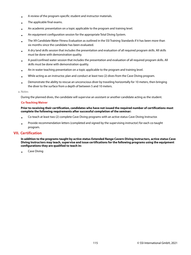- A review of the program-specific student and instructor materials.
- The applicable final exams.
- An academic presentation on a topic applicable to the program and training level.
- An equipment configuration session for the appropriate Total Diving System.
- The XR Candidate Water Fitness Evaluation as outlined in the SSI Training Standards if it has been more than six months since the candidate has been evaluated.
- A dry land skills session that includes the presentation and evaluation of all required program skills. All skills must be done with demonstration quality.
- A pool/confined water session that includes the presentation and evaluation of all required program skills. All skills must be done with demonstration quality.
- An in-water teaching presentation on a topic applicable to the program and training level.
- While acting as an instructor, plan and conduct at least two (2) dives from the Cave Diving program.
- Demonstrate the ability to rescue an unconscious diver by traveling horizontally for 10 meters, then bringing the diver to the surface from a depth of between 5 and 10 meters.

a. Notes

During the planned dives, the candidate will supervise an assistant or another candidate acting as the student.

#### **Co-Teaching Waiver**

#### **Prior to receiving their certification, candidates who have not issued the required number of certifications must complete the following requirements after successful completion of the seminar:**

- Co-teach at least two (2) complete Cave Diving programs with an active status Cave Diving Instructor.
- Provide recommendation letters (completed and signed by the supervising instructor) for each co-taught program.

## **VII. Certification**

**In addition to the programs taught by active status Extended Range Cavern Diving Instructors, active status Cave Diving Instructors may teach, supervise and issue certifications for the following programs using the equipment configurations they are qualified to teach in:**

• Cave Diving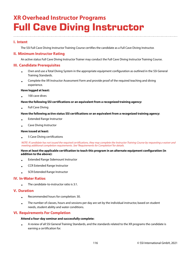## **XR Overhead Instructor Programs Full Cave Diving Instructor**

## **I. Intent**

The SSI Full Cave Diving Instructor Training Course certifies the candidate as a Full Cave Diving Instructor.

## **II. Minimum Instructor Rating**

An active status Full Cave Diving Instructor Trainer may conduct the Full Cave Diving Instructor Training Course.

## **III. Candidate Prerequisites**

- Own and use a Total Diving System in the appropriate equipment configuration as outlined in the SSI General Training Standards.
- Complete the XR Instructor Assessment Form and provide proof of the required teaching and diving experience.

#### **Have logged at least:**

• 100 cave dives

#### **Have the following SSI certifications or an equivalent from a recognized training agency:**

• Full Cave Diving

#### **Have the following active status SSI certifications or an equivalent from a recognized training agency:**

- Extended Range Instructor
- Cave Diving Instructor

#### **Have issued at least:**

• 5 Cave Diving certifications

NOTE: If candidate has not issued the required certifications, they may complete the Instructor Training Course by requesting a waiver and meeting additional completion requirements. See "Requirements for Completion" for details.

#### **Have at least the applicable certification to teach this program in an alternate equipment configuration (in addition to the above):**

- Extended Range Sidemount Instructor
- CCR Extended Range Instructor
- SCR Extended Range Instructor

## **IV. In-Water Ratios**

• The candidate-to-instructor ratio is 3:1.

#### **V. Duration**

- Recommended hours for completion: 30.
- The number of classes, hours and sessions per day are set by the individual instructor, based on student needs, student ability and water conditions.

## **VI. Requirements For Completion**

#### **Attend a four-day seminar and successfully complete:**

• A review of all SSI General Training Standards, and the standards related to the XR programs the candidate is earning a certification for.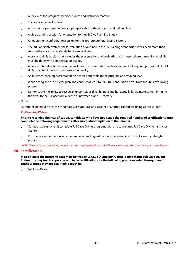- A review of the program-specific student and instructor materials.
- The applicable final exams.
- An academic presentation on a topic applicable to the program and training level.
- A dive planning session for orientation to the XR Dive Planning Sheets.
- An equipment configuration session for the appropriate Total Diving System.
- The XR Candidate Water Fitness Evaluation as outlined in the SSI Training Standards if it has been more than six months since the candidate has been evaluated.
- A dry land skills session that includes the presentation and evaluation of all required program skills. All skills must be done with demonstration quality.
- A pool/confined water session that includes the presentation and evaluation of all required program skills. All skills must be done with demonstration quality.
- An in-water teaching presentation on a topic applicable to the program and training level.
- While acting as an instructor, plan and conduct at least four (4) full penetration dives from the Full Cave Diving program.
- Demonstrate the ability to rescue an unconscious diver by traveling horizontally for 50 meters, then bringing the diver to the surface from a depth of between 5 and 10 meters.

#### a. Notes

During the planned dives, the candidate will supervise an assistant or another candidate acting as the student.

#### **Co-Teaching Waiver**

#### **Prior to receiving their certification, candidates who have not issued the required number of certifications must complete the following requirements after successful completion of the seminar:**

- Co-teach at least one (1) complete Full Cave Diving programs with an active status Full Cave Diving Instructor Trainer.
- Provide recommendation letters (completed and signed by the supervising instructor) for each co-taught program.

NOTE: The seminar or co-teaching options must be completed with two (2) different active status Full Cave Diving Instructor Trainers.

## **VII. Certification**

**In addition to the programs taught by active status Cave Diving Instructors, active status Full Cave Diving Instructors may teach, supervise and issue certifications for the following programs using the equipment configurations they are qualified to teach in:**

• Full Cave Diving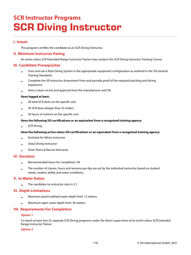## **SCR Instructor Programs SCR Diving Instructor**

## **I. Intent**

This program certifies the candidate as an SCR Diving Instructor.

## **II. Minimum Instructor Rating**

An active status SCR Extended Range Instructor Trainer may conduct the SCR Diving Instructor Training Course.

## **III. Candidate Prerequisites**

- Own and use a Total Diving System in the appropriate equipment configuration as outlined in the SSI General Training Standards.
- Complete the XR Instructor Assessment Form and provide proof of the required teaching and diving experience.
- Have a clean record and approval from the manufacturer and SSI.

#### **Have logged at least:**

- 50 total SCR dives on the specific unit
- 30 SCR dives deeper than 25 meters
- 50 hours of runtime on the specific unit

#### **Have the following SSI certifications or an equivalent from a recognized training agency:**

• SCR Diving

#### **Have the following active status SSI certifications or an equivalent from a recognized training agency:**

- Enriched Air Nitrox Instructor
- Deep Diving Instructor
- Diver Stress & Rescue Instructor

## **IV. Duration**

- Recommended hours for completion: 40.
- The number of classes, hours and sessions per day are set by the individual instructor, based on student needs, student ability and water conditions.

## **V. In-Water Ratios**

• The candidate-to-instructor ratio is 3:1.

## **VI. Depth Limitations**

- Maximum pool/confined water depth limit: 12 meters.
- Maximum open water depth limit: 30 meters.

## **VII. Requirements For Completion**

## **Option 1**

Co-teach at least two (2) separate SCR Diving programs under the direct supervision of an active status SCR Extended Range Instructor Trainer.

#### **Option 2**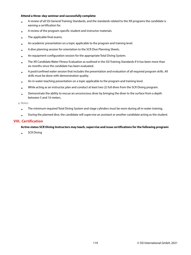#### **Attend a three-day seminar and successfully complete:**

- A review of all SSI General Training Standards, and the standards related to the XR programs the candidate is earning a certification for.
- A review of the program-specific student and instructor materials.
- The applicable final exams.
- An academic presentation on a topic applicable to the program and training level.
- A dive planning session for orientation to the SCR Dive Planning Sheets.
- An equipment configuration session for the appropriate Total Diving System.
- The XR Candidate Water Fitness Evaluation as outlined in the SSI Training Standards if it has been more than six months since the candidate has been evaluated.
- A pool/confined water session that includes the presentation and evaluation of all required program skills. All skills must be done with demonstration quality.
- An in-water teaching presentation on a topic applicable to the program and training level.
- While acting as an instructor, plan and conduct at least two (2) full dives from the SCR Diving program.
- Demonstrate the ability to rescue an unconscious diver by bringing the diver to the surface from a depth between 5 and 10 meters.

a. Notes

- The minimum required Total Diving System and stage cylinders must be worn during all in-water training.
- During the planned dive, the candidate will supervise an assistant or another candidate acting as the student.

## **VIII. Certification**

#### **Active status SCR Diving Instructors may teach, supervise and issue certifications for the following program:**

• SCR Diving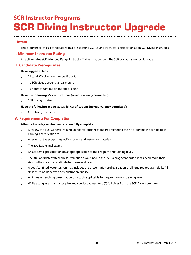## **SCR Instructor Programs SCR Diving Instructor Upgrade**

## **I. Intent**

This program certifies a candidate with a pre-existing CCR Diving Instructor certification as an SCR Diving Instructor.

## **II. Minimum Instructor Rating**

An active status SCR Extended Range Instructor Trainer may conduct the SCR Diving Instructor Upgrade.

## **III. Candidate Prerequisites**

#### **Have logged at least:**

- 15 total SCR dives on the specific unit
- 10 SCR dives deeper than 25 meters
- 15 hours of runtime on the specific unit

#### **Have the following SSI certifications (no equivalency permitted):**

• SCR Diving (Horizon)

#### **Have the following active status SSI certifications (no equivalency permitted):**

• CCR Diving Instructor

## **IV. Requirements For Completion**

#### **Attend a two-day seminar and successfully complete:**

- A review of all SSI General Training Standards, and the standards related to the XR programs the candidate is earning a certification for.
- A review of the program-specific student and instructor materials.
- The applicable final exams.
- An academic presentation on a topic applicable to the program and training level.
- The XR Candidate Water Fitness Evaluation as outlined in the SSI Training Standards if it has been more than six months since the candidate has been evaluated.
- A pool/confined water session that includes the presentation and evaluation of all required program skills. All skills must be done with demonstration quality.
- An in-water teaching presentation on a topic applicable to the program and training level.
- While acting as an instructor, plan and conduct at least two (2) full dives from the SCR Diving program.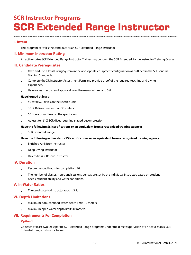## **SCR Instructor Programs SCR Extended Range Instructor**

## **I. Intent**

This program certifies the candidate as an SCR Extended Range Instructor.

## **II. Minimum Instructor Rating**

An active status SCR Extended Range Instructor Trainer may conduct the SCR Extended Range Instructor Training Course.

## **III. Candidate Prerequisites**

- Own and use a Total Diving System in the appropriate equipment configuration as outlined in the SSI General Training Standards.
- Complete the XR Instructor Assessment Form and provide proof of the required teaching and diving experience.
- Have a clean record and approval from the manufacturer and SSI.

#### **Have logged at least:**

- 50 total SCR dives on the specific unit
- 30 SCR dives deeper than 30 meters
- 50 hours of runtime on the specific unit
- At least ten (10) SCR dives requiring staged decompression

#### **Have the following SSI certifications or an equivalent from a recognized training agency:**

• SCR Extended Range

#### **Have the following active status SSI certifications or an equivalent from a recognized training agency:**

- Enriched Air Nitrox Instructor
- Deep Diving Instructor
- Diver Stress & Rescue Instructor

## **IV. Duration**

•

- Recommended hours for completion: 40.
- The number of classes, hours and sessions per day are set by the individual instructor, based on student needs, student ability and water conditions.

## **V. In-Water Ratios**

The candidate-to-instructor ratio is 3:1.

## **VI. Depth Limitations**

- Maximum pool/confined water depth limit: 12 meters.
- Maximum open water depth limit: 40 meters.

## **VII. Requirements For Completion**

## **Option 1**

Co-teach at least two (2) separate SCR Extended Range programs under the direct supervision of an active status SCR Extended Range Instructor Trainer.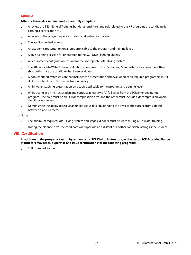#### **Option 2**

#### **Attend a three-day seminar and successfully complete:**

- A review of all SSI General Training Standards, and the standards related to the XR programs the candidate is earning a certification for.
- A review of the program-specific student and instructor materials.
- The applicable final exams.
- An academic presentation on a topic applicable to the program and training level.
- A dive planning session for orientation to the SCR Dive Planning Sheets.
- An equipment configuration session for the appropriate Total Diving System.
- The XR Candidate Water Fitness Evaluation as outlined in the SSI Training Standards if it has been more than six months since the candidate has been evaluated.
- A pool/confined water session that includes the presentation and evaluation of all required program skills. All skills must be done with demonstration quality.
- An in-water teaching presentation on a topic applicable to the program and training level.
- While acting as an instructor, plan and conduct at least two (2) full dives from the SCR Extended Range program. One dive must be an SCR decompression dive, and the other must include a decompression, opencircuit bailout ascent.
- Demonstrate the ability to rescue an unconscious diver by bringing the diver to the surface from a depth between 5 and 10 meters.

a. Notes

- The minimum required Total Diving System and stage cylinders must be worn during all in-water training.
- During the planned dive, the candidate will supervise an assistant or another candidate acting as the student.

## **VIII. Certification**

#### **In addition to the programs taught by active status SCR Diving Instructors, active status SCR Extended Range Instructors may teach, supervise and issue certifications for the following programs:**

• SCR Extended Range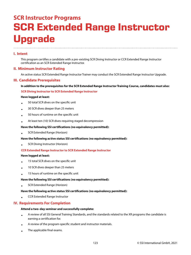# **SCR Instructor Programs SCR Extended Range Instructor Upgrade**

## **I. Intent**

This program certifies a candidate with a pre-existing SCR Diving Instructor or CCR Extended Range Instructor certification as an SCR Extended Range Instructor.

## **II. Minimum Instructor Rating**

An active status SCR Extended Range Instructor Trainer may conduct the SCR Extended Range Instructor Upgrade.

## **III. Candidate Prerequisites**

#### **In addition to the prerequisites for the SCR Extended Range Instructor Training Course, candidates must also:**

#### **SCR Diving Instructor to SCR Extended Range Instructor**

#### **Have logged at least:**

- 50 total SCR dives on the specific unit
- 30 SCR dives deeper than 25 meters
- 50 hours of runtime on the specific unit
- At least ten (10) SCR dives requiring staged decompression

#### **Have the following SSI certifications (no equivalency permitted):**

• SCR Extended Range (Horizon)

#### **Have the following active status SSI certifications (no equivalency permitted):**

• SCR Diving Instructor (Horizon)

#### **CCR Extended Range Instructor to SCR Extended Range Instructor**

#### **Have logged at least:**

- 15 total SCR dives on the specific unit
- 10 SCR dives deeper than 25 meters
- 15 hours of runtime on the specific unit

#### **Have the following SSI certifications (no equivalency permitted):**

• SCR Extended Range (Horizon)

#### **Have the following active status SSI certifications (no equivalency permitted):**

• CCR Extended Range Instructor

## **IV. Requirements For Completion**

#### **Attend a two-day seminar and successfully complete:**

- A review of all SSI General Training Standards, and the standards related to the XR programs the candidate is earning a certification for.
- A review of the program-specific student and instructor materials.
- The applicable final exams.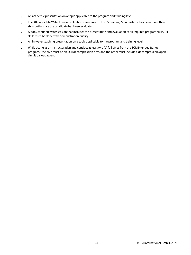- An academic presentation on a topic applicable to the program and training level.
- The XR Candidate Water Fitness Evaluation as outlined in the SSI Training Standards if it has been more than six months since the candidate has been evaluated.
- A pool/confined water session that includes the presentation and evaluation of all required program skills. All skills must be done with demonstration quality.
- An in-water teaching presentation on a topic applicable to the program and training level.
- While acting as an instructor, plan and conduct at least two (2) full dives from the SCR Extended Range program. One dive must be an SCR decompression dive, and the other must include a decompression, opencircuit bailout ascent.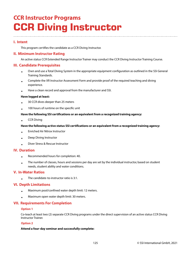## **CCR Instructor Programs CCR Diving Instructor**

## **I. Intent**

This program certifies the candidate as a CCR Diving Instructor.

## **II. Minimum Instructor Rating**

An active status CCR Extended Range Instructor Trainer may conduct the CCR Diving Instructor Training Course.

## **III. Candidate Prerequisites**

- Own and use a Total Diving System in the appropriate equipment configuration as outlined in the SSI General Training Standards.
- Complete the XR Instructor Assessment Form and provide proof of the required teaching and diving experience.
- Have a clean record and approval from the manufacturer and SSI.

#### **Have logged at least:**

- 30 CCR dives deeper than 25 meters
- 100 hours of runtime on the specific unit

#### **Have the following SSI certifications or an equivalent from a recognized training agency:**

• CCR Diving

#### **Have the following active status SSI certifications or an equivalent from a recognized training agency:**

- Enriched Air Nitrox Instructor
- Deep Diving Instructor
- Diver Stress & Rescue Instructor

## **IV. Duration**

- Recommended hours for completion: 40.
- The number of classes, hours and sessions per day are set by the individual instructor, based on student needs, student ability and water conditions.

## **V. In-Water Ratios**

• The candidate-to-instructor ratio is 3:1.

## **VI. Depth Limitations**

- Maximum pool/confined water depth limit: 12 meters.
- Maximum open water depth limit: 30 meters.

## **VII. Requirements For Completion**

#### **Option 1**

Co-teach at least two (2) separate CCR Diving programs under the direct supervision of an active status CCR Diving Instructor Trainer.

## **Option 2**

## **Attend a four-day seminar and successfully complete:**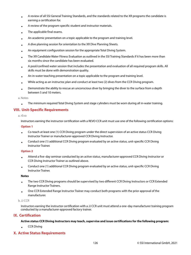- A review of all SSI General Training Standards, and the standards related to the XR programs the candidate is earning a certification for.
- A review of the program-specific student and instructor materials.
- The applicable final exams.
- An academic presentation on a topic applicable to the program and training level.
- A dive planning session for orientation to the XR Dive Planning Sheets.
- An equipment configuration session for the appropriate Total Diving System.
- The XR Candidate Water Fitness Evaluation as outlined in the SSI Training Standards if it has been more than six months since the candidate has been evaluated.
- A pool/confined water session that includes the presentation and evaluation of all required program skills. All skills must be done with demonstration quality.
- An in-water teaching presentation on a topic applicable to the program and training level.
- While acting as an instructor, plan and conduct at least two (2) dives from the CCR Diving program.
- Demonstrate the ability to rescue an unconscious diver by bringing the diver to the surface from a depth between 5 and 10 meters.

#### a. Notes

• The minimum required Total Diving System and stage cylinders must be worn during all in-water training.

## **VIII. Unit-Specific Requirements**

#### a. rEvo

Instructors earning the instructor certification with a REVO CCR unit must use one of the following certification options:

#### **Option 1**

- Co-teach at least one (1) CCR Diving program under the direct supervision of an active status CCR Diving Instructor Trainer or manufacturer-approved CCR Diving Instructor.
- Conduct one (1) additional CCR Diving program evaluated by an active status, unit-specific CCR Diving Instructor Trainer.

#### **Option 2**

- Attend a five-day seminar conducted by an active status, manufacturer-approved CCR Diving Instructor or CCR Diving Instructor Trainer as outlined above.
- Conduct one (1) additional CCR Diving program evaluated by an active status, unit-specific CCR Diving Instructor Trainer.

#### **Notes**

- The two CCR Diving programs should be supervised by two different CCR Diving Instructors or CCR Extended Range Instructor Trainers.
- One CCR Extended Range Instructor Trainer may conduct both programs with the prior approval of the manufacturer.

#### b. JJ CCR

•

Instructors earning the instructor certification with a JJ CCR unit must attend a one-day manufacturer training program conducted by a manufacturer-approved factory trainer.

## **IX. Certification**

#### **Active status CCR Diving Instructors may teach, supervise and issue certifications for the following program:**

CCR Diving

## **X. Active Status Requirements**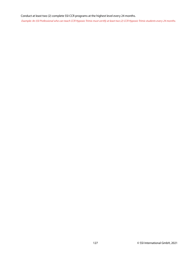## Conduct at least two (2) complete SSI CCR programs at the highest level every 24 months.

Example: An SSI Professional who can teach CCR Hypoxic Trimix must certify at least two (2) CCR Hypoxic Trimix students every 24 months.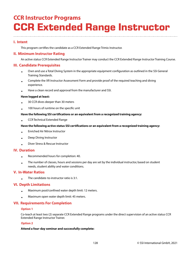## **CCR Instructor Programs CCR Extended Range Instructor**

## **I. Intent**

This program certifies the candidate as a CCR Extended Range Trimix Instructor.

## **II. Minimum Instructor Rating**

An active status CCR Extended Range Instructor Trainer may conduct the CCR Extended Range Instructor Training Course.

## **III. Candidate Prerequisites**

- Own and use a Total Diving System in the appropriate equipment configuration as outlined in the SSI General Training Standards.
- Complete the XR Instructor Assessment Form and provide proof of the required teaching and diving experience.
- Have a clean record and approval from the manufacturer and SSI.

#### **Have logged at least:**

- 30 CCR dives deeper than 30 meters
- 100 hours of runtime on the specific unit

#### **Have the following SSI certifications or an equivalent from a recognized training agency:**

• CCR Technical Extended Range

#### **Have the following active status SSI certifications or an equivalent from a recognized training agency:**

- Enriched Air Nitrox Instructor
- Deep Diving Instructor
- Diver Stress & Rescue Instructor

## **IV. Duration**

- Recommended hours for completion: 40.
- The number of classes, hours and sessions per day are set by the individual instructor, based on student needs, student ability and water conditions.

## **V. In-Water Ratios**

• The candidate-to-instructor ratio is 3:1.

## **VI. Depth Limitations**

- Maximum pool/confined water depth limit: 12 meters.
- Maximum open water depth limit: 45 meters.

## **VII. Requirements For Completion**

#### **Option 1**

Co-teach at least two (2) separate CCR Extended Range programs under the direct supervision of an active status CCR Extended Range Instructor Trainer.

## **Option 2**

## **Attend a four-day seminar and successfully complete:**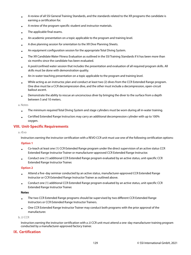- A review of all SSI General Training Standards, and the standards related to the XR programs the candidate is earning a certification for.
- A review of the program-specific student and instructor materials.
- The applicable final exams.
- An academic presentation on a topic applicable to the program and training level.
- A dive planning session for orientation to the XR Dive Planning Sheets.
- An equipment configuration session for the appropriate Total Diving System.
- The XR Candidate Water Fitness Evaluation as outlined in the SSI Training Standards if it has been more than six months since the candidate has been evaluated.
- A pool/confined water session that includes the presentation and evaluation of all required program skills. All skills must be done with demonstration quality.
- An in-water teaching presentation on a topic applicable to the program and training level.
- While acting as an instructor, plan and conduct at least two (2) dives from the CCR Extended Range program. One dive must be a CCR decompression dive, and the other must include a decompression, open-circuit bailout ascent.
- Demonstrate the ability to rescue an unconscious diver by bringing the diver to the surface from a depth between 5 and 10 meters.

a. Notes

- The minimum required Total Diving System and stage cylinders must be worn during all in-water training.
- Certified Extended Range Instructors may carry an additional decompression cylinder with up to 100% oxygen.

## **VIII. Unit-Specific Requirements**

a. rEvo

Instructors earning the instructor certification with a REVO CCR unit must use one of the following certification options:

#### **Option 1**

- Co-teach at least one (1) CCR Extended Range program under the direct supervision of an active status CCR Extended Range Instructor Trainer or manufacturer-approved CCR Extended Range Instructor.
- Conduct one (1) additional CCR Extended Range program evaluated by an active status, unit-specific CCR Extended Range Instructor Trainer.

#### **Option 2**

- Attend a five-day seminar conducted by an active status, manufacturer-approved CCR Extended Range Instructor or CCR Extended Range Instructor Trainer as outlined above.
- Conduct one (1) additional CCR Extended Range program evaluated by an active status, unit-specific CCR Extended Range Instructor Trainer.

#### **Notes**

- The two CCR Extended Range programs should be supervised by two different CCR Extended Range Instructors or CCR Extended Range Instructor Trainers.
- One CCR Extended Range Instructor Trainer may conduct both programs with the prior approval of the manufacturer.

b. JJ CCR

Instructors earning the instructor certification with a JJ CCR unit must attend a one-day manufacturer training program conducted by a manufacturer-approved factory trainer.

## **IX. Certification**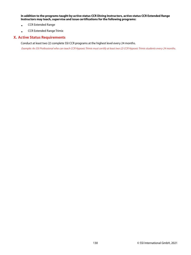**In addition to the programs taught by active status CCR Diving Instructors, active status CCR Extended Range Instructors may teach, supervise and issue certifications for the following programs:**

- CCR Extended Range
- CCR Extended Range Trimix

#### **X. Active Status Requirements**

Conduct at least two (2) complete SSI CCR programs at the highest level every 24 months.

Example: An SSI Professional who can teach CCR Hypoxic Trimix must certify at least two (2) CCR Hypoxic Trimix students every 24 months.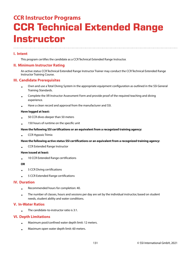## **CCR Instructor Programs CCR Technical Extended Range Instructor**

## **I. Intent**

This program certifies the candidate as a CCR Technical Extended Range Instructor.

## **II. Minimum Instructor Rating**

An active status CCR Technical Extended Range Instructor Trainer may conduct the CCR Technical Extended Range Instructor Training Course.

## **III. Candidate Prerequisites**

- Own and use a Total Diving System in the appropriate equipment configuration as outlined in the SSI General Training Standards.
- Complete the XR Instructor Assessment Form and provide proof of the required teaching and diving experience.
- Have a clean record and approval from the manufacturer and SSI.

#### **Have logged at least:**

- 50 CCR dives deeper than 50 meters
- 150 hours of runtime on the specific unit

#### **Have the following SSI certifications or an equivalent from a recognized training agency:**

• CCR Hypoxic Trimix

#### **Have the following active status SSI certifications or an equivalent from a recognized training agency:**

• CCR Extended Range Instructor

#### **Have issued at least:**

• 10 CCR Extended Range certifications

#### **OR**

- 5 CCR Diving certifications
- 5 CCR Extended Range certifications

#### **IV. Duration**

- Recommended hours for completion: 40.
- The number of classes, hours and sessions per day are set by the individual instructor, based on student needs, student ability and water conditions.

#### **V. In-Water Ratios**

• The candidate-to-instructor ratio is 3:1.

## **VI. Depth Limitations**

- Maximum pool/confined water depth limit: 12 meters.
- Maximum open water depth limit: 60 meters.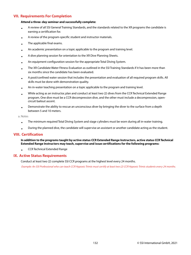## **VII. Requirements For Completion**

#### **Attend a three-day seminar and successfully complete:**

- A review of all SSI General Training Standards, and the standards related to the XR programs the candidate is earning a certification for.
- A review of the program-specific student and instructor materials.
- The applicable final exams.
- An academic presentation on a topic applicable to the program and training level.
- A dive planning session for orientation to the XR Dive Planning Sheets.
- An equipment configuration session for the appropriate Total Diving System.
- The XR Candidate Water Fitness Evaluation as outlined in the SSI Training Standards if it has been more than six months since the candidate has been evaluated.
- A pool/confined water session that includes the presentation and evaluation of all required program skills. All skills must be done with demonstration quality.
- An in-water teaching presentation on a topic applicable to the program and training level.
- While acting as an instructor, plan and conduct at least two (2) dives from the CCR Technical Extended Range program. One dive must be a CCR decompression dive, and the other must include a decompression, opencircuit bailout ascent.
- Demonstrate the ability to rescue an unconscious diver by bringing the diver to the surface from a depth between 5 and 10 meters.

a. Notes

- The minimum required Total Diving System and stage cylinders must be worn during all in-water training.
- During the planned dive, the candidate will supervise an assistant or another candidate acting as the student.

## **VIII. Certification**

#### **In addition to the programs taught by active status CCR Extended Range Instructors, active status CCR Technical Extended Range Instructors may teach, supervise and issue certifications for the following programs:**

• CCR Technical Extended Range

## **IX. Active Status Requirements**

Conduct at least two (2) complete SSI CCR programs at the highest level every 24 months.

Example: An SSI Professional who can teach CCR Hypoxic Trimix must certify at least two (2) CCR Hypoxic Trimix students every 24 months.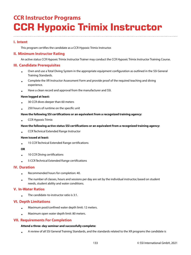## **CCR Instructor Programs CCR Hypoxic Trimix Instructor**

## **I. Intent**

This program certifies the candidate as a CCR Hypoxic Trimix Instructor.

## **II. Minimum Instructor Rating**

An active status CCR Hypoxic Trimix Instructor Trainer may conduct the CCR Hypoxic Trimix Instructor Training Course.

## **III. Candidate Prerequisites**

- Own and use a Total Diving System in the appropriate equipment configuration as outlined in the SSI General Training Standards.
- Complete the XR Instructor Assessment Form and provide proof of the required teaching and diving experience.
- Have a clean record and approval from the manufacturer and SSI.

#### **Have logged at least:**

- 30 CCR dives deeper than 60 meters
- 250 hours of runtime on the specific unit

#### **Have the following SSI certifications or an equivalent from a recognized training agency:**

• CCR Hypoxic Trimix

#### **Have the following active status SSI certifications or an equivalent from a recognized training agency:**

• CCR Technical Extended Range Instructor

#### **Have issued at least:**

• 15 CCR Technical Extended Range certifications

#### **OR**

- 10 CCR Diving certifications
- 5 CCR Technical Extended Range certifications

## **IV. Duration**

•

- Recommended hours for completion: 40.
- The number of classes, hours and sessions per day are set by the individual instructor, based on student needs, student ability and water conditions.

## **V. In-Water Ratios**

The candidate-to-instructor ratio is 3:1.

## **VI. Depth Limitations**

- Maximum pool/confined water depth limit: 12 meters.
- Maximum open water depth limit: 80 meters.

## **VII. Requirements For Completion**

#### **Attend a three-day seminar and successfully complete:**

• A review of all SSI General Training Standards, and the standards related to the XR programs the candidate is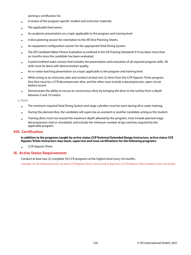earning a certification for.

- A review of the program-specific student and instructor materials.
- The applicable final exams.
- An academic presentation on a topic applicable to the program and training level.
- A dive planning session for orientation to the XR Dive Planning Sheets.
- An equipment configuration session for the appropriate Total Diving System.
- The XR Candidate Water Fitness Evaluation as outlined in the SSI Training Standards if it has been more than six months since the candidate has been evaluated.
- A pool/confined water session that includes the presentation and evaluation of all required program skills. All skills must be done with demonstration quality.
- An in-water teaching presentation on a topic applicable to the program and training level.
- While acting as an instructor, plan and conduct at least two (2) dives from the CCR Hypoxic Trimix program. One dive must be a CCR decompression dive, and the other must include a decompression, open-circuit bailout ascent.
- Demonstrate the ability to rescue an unconscious diver by bringing the diver to the surface from a depth between 5 and 10 meters.

a. Notes

- The minimum required Total Diving System and stage cylinders must be worn during all in-water training.
- During the planned dive, the candidate will supervise an assistant or another candidate acting as the student.
- Training dives must not exceed the maximum depth allowed by the program, must include planned stage decompression (real or simulated), and include the minimum number of gas switches required by the applicable program.

#### **VIII. Certification**

#### **In addition to the programs taught by active status CCR Technical Extended Range Instructors, active status CCR Hypoxic Trimix Instructors may teach, supervise and issue certifications for the following programs:**

• CCR Hypoxic Trimix

#### **IX. Active Status Requirements**

Conduct at least two (2) complete SSI CCR programs at the highest level every 24 months.

Example: An SSI Professional who can teach CCR Hypoxic Trimix must certify at least two (2) CCR Hypoxic Trimix students every 24 months.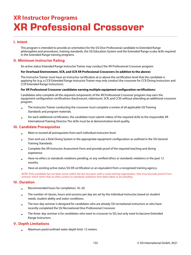## **XR Instructor Programs XR Professional Crossover**

## **I. Intent**

This program is intended to provide an orientation for the SSI Dive Professional candidate to Extended Range philosophies and procedures, training standards, the SSI Education System and the Extended Range scuba skills required in the Extended Range training programs.

## **II. Minimum Instructor Rating**

An active status Extended Range Instructor Trainer may conduct the XR Professional Crossover program.

#### **For Overhead Environment, SCR, and CCR XR Professional Crossovers (in addition to the above):**

The Instructor Trainer must have an instructor certification at or above the certification level that the candidate is applying for (e.g. a CCR Extended Range Instructor Trainer may only conduct the crossover for CCR Diving Instructors and CCR Extended Range Instructors).

#### **For XR Professional Crossover candidates earning multiple equipment configuration certifications:**

Candidates who complete all the required components of the XR Professional Crossover program may earn the equipment configuration certifications (backmount, sidemount, SCR, and CCR) without attending an additional crossover program.

- The Instructor Trainer conducting the crossover must complete a review of all applicable SSI Training Standards and program materials.
- For each additional certification, the candidate must submit videos of the required skills to the responsible XR International Training Director. The skills must be at demonstration-level quality.

## **III. Candidate Prerequisites**

- Meet or exceed all prerequisites from each individual instructor level.
- Own and use a Total Diving System in the appropriate equipment configuration as outlined in the SSI General Training Standards.
- Complete the XR Instructor Assessment Form and provide proof of the required teaching and diving experience.
- Have no ethics or standards violations pending, or any verified ethics or standards violations in the past 12 months.
- Have an existing active status SSI XR certification or an equivalent from a recognized training agency.

NOTE: If the candidate has not been active within the last two years with a scuba training organization, they must provide proof of nonrenewal, which states that no ethics actions or standards violations have been taken or are pending.

## **IV. Duration**

- Recommended hours for completion: 16–20.
- The number of classes, hours and sessions per day are set by the individual instructor, based on student needs, student ability and water conditions.
- The two-day seminar is designed for candidates who are already SSI recreational instructors or who have recently completed the SSI Recreational Dive Professional Crossover.
- The three-day seminar is for candidates who want to crossover to SSI, but only want to become Extended Range Instructors.

## **V. Depth Limitations**

• Maximum pool/confined water depth limit: 12 meters.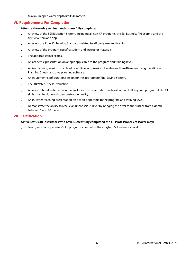• Maximum open water depth limit: 40 meters.

## **VI. Requirements For Completion**

#### **Attend a three-day seminar and successfully complete:**

- A review of the SSI Education System, including all non-XR programs, the SSI Business Philosophy, and the MySSI System and app.
- A review of all the SSI Training Standards related to XR programs and training.
- A review of the program-specific student and instructor materials.
- The applicable final exams.
- An academic presentation on a topic applicable to the program and training level.
- A dive planning session for at least one (1) decompression dive deeper than 40 meters using the XR Dive Planning Sheets and dive planning software.
- An equipment configuration session for the appropriate Total Diving System.
- The XR Water Fitness Evaluation.
- A pool/confined water session that includes the presentation and evaluation of all required program skills. All skills must be done with demonstration quality.
- An in-water teaching presentation on a topic applicable to the program and training level.
- Demonstrate the ability to rescue an unconscious diver by bringing the diver to the surface from a depth between 5 and 10 meters.

## **VII. Certification**

#### **Active status XR Instructors who have successfully completed the XR Professional Crossover may:**

• Teach, assist or supervise SSI XR programs at or below their highest SSI instructor level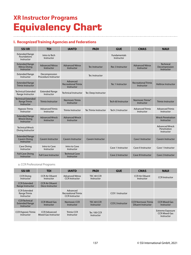## **XR Instructor Programs Equivalency Chart**

## **I. Recognized Training Agencies and Federations**

| <b>SSI XR</b>                                                  | <b>TDI</b>                            | <b>IANTD</b>                                         | <b>PADI</b>                  | <b>GUE</b>                        | <b>CMAS</b>                              | <b>NAUI</b>                                        |
|----------------------------------------------------------------|---------------------------------------|------------------------------------------------------|------------------------------|-----------------------------------|------------------------------------------|----------------------------------------------------|
| <b>Extended Range</b><br><b>Foundations</b><br>Instructor      | Intro to Tech<br>Instructor           |                                                      |                              | <b>Fundamentals</b><br>Instructor |                                          |                                                    |
| <b>Extended Range</b><br><b>Nitrox Diving</b><br>Instructor    | <b>Advanced Nitrox</b><br>Instructor  | <b>Advanced Nitrox</b><br>Instructor                 | Tec Instructor               | Rec 3 Instructor                  | <b>Advanced Nitrox</b><br>Instructor     | <b>Technical</b><br>Decompression<br>Instructor    |
| <b>Extended Range</b><br>Instructor                            | Decompression<br>Procedure Instructor |                                                      | Tec Instructor               |                                   |                                          |                                                    |
| <b>Extended Range</b><br><b>Trimix Instructor</b>              |                                       | Advanced<br><b>Recreational Trimix</b><br>Instructor |                              | Tec 1 Instructor                  | <b>Recreational Trimix</b><br>Instructor | <b>Helitrox Instructor</b>                         |
| <b>Technical Extended</b><br>Range Instructor                  | <b>Extended Range</b><br>Instructor   | <b>Technical Instructor</b>                          | Tec Deep Instructor          |                                   |                                          |                                                    |
| <b>Technical Extended</b><br><b>Range Trimix</b><br>Instructor | <b>Trimix Instructor</b>              | <b>Normoxic Trimix</b><br>Instructor                 |                              | Tech 60 Instructor                | Normoxic Trimix*<br>Instructor           | <b>Trimix Instructor</b>                           |
| <b>Hypoxic Trimix</b><br>Instructor                            | <b>Advanced Trimix</b><br>Instructor  | <b>Trimix Instructor</b>                             | <b>Tec Trimix Instructor</b> | Tech 2 Instructor                 | <b>Advanced Trimix</b><br>Instructor     | <b>Advanced Trimix</b><br>Instructor               |
| <b>Extended Range</b><br><b>Wreck Diving</b><br>Instructor     | <b>Advanced Wreck</b><br>Instructor   | <b>Advanced Wreck</b><br>Instructor                  |                              |                                   |                                          | <b>Wreck Penetration</b><br>Instructor             |
| <b>Technical Wreck</b><br>Diving Instructor                    |                                       |                                                      |                              |                                   |                                          | <b>Advanced Wreck</b><br>Penetration<br>Instructor |
| <b>Extended Range</b><br><b>Cavern Diving</b><br>Instructor    | <b>Cavern Instructor</b>              | <b>Cavern Instructor</b>                             | <b>Cavern Instructor</b>     |                                   | <b>Cave I Instructor</b>                 | <b>Cavern Instructor</b>                           |
| <b>Cave Diving</b><br>Instructor                               | Intro to Cave<br>Instructor           | Intro to Cave<br>Instructor                          |                              | Cave 1 Instructor                 | Cave II Instructor                       | Cave 1 Instructor                                  |
| <b>Full Cave Diving</b><br>Instructor                          | <b>Full Cave Instructor</b>           | <b>Technical Cave</b><br>Instructor                  |                              | Cave 2 Instructor                 | <b>Cave III Instructor</b>               | <b>Cave 2 Instructor</b>                           |

a. CCR Professional Programs

| <b>SSI XR</b>                                               | TDI                                         | <b>IANTD</b>                                             | <b>PADI</b>               | <b>GUE</b>              | <b>CMAS</b>                                             | <b>NAUI</b>                                                   |
|-------------------------------------------------------------|---------------------------------------------|----------------------------------------------------------|---------------------------|-------------------------|---------------------------------------------------------|---------------------------------------------------------------|
| <b>CCR Diving</b><br>Instructor                             | <b>CCR Air Diluent</b><br>Instructor        | <b>Advanced Nitrox</b><br><b>CCR Instructor</b>          | TEC 40 CCR<br>Instructor  |                         | <b>CCR Air Diluent</b><br>Instructor                    | <b>CCR</b> Instructor                                         |
| <b>CCR</b> Extended<br>Range Instructor                     | <b>CCR Air Diluent</b><br>Deco Instructor   |                                                          |                           |                         |                                                         |                                                               |
| <b>CCR Extended</b><br>Range Trimix<br>Instructor           |                                             | Advanced<br>Recreational Trimix<br><b>CCR Instructor</b> |                           | <b>CCR 1 Instructor</b> |                                                         |                                                               |
| <b>CCR</b> Technical<br><b>Extended Range</b><br>Instructor | <b>CCR Mixed Gas</b><br>Instructor          | Normoxic CCR<br>Instructor                               | TEC 60 CCR<br>Instructor  | <b>CCR 2 Instructor</b> | <b>CCR Normoxic Trimix</b><br><b>Diluent Instructor</b> | <b>CCR Mixed Gas</b><br>Instructor                            |
| <b>CCR Hypoxic Trimix</b><br>Instructor                     | <b>CCR Advanced</b><br>Mixed Gas Instructor | <b>Trimix CCR</b><br>Instructor                          | Tec 100 CCR<br>Instructor |                         |                                                         | <b>Extreme Exposure</b><br><b>CCR Mixed Gas</b><br>Instructor |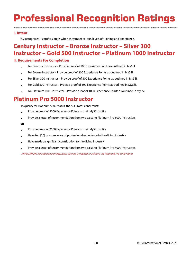# **Professional Recognition Ratings**

## **I. Intent**

SSI recognizes its professionals when they meet certain levels of training and experience.

## **Century Instructor – Bronze Instructor – Silver 300 Instructor – Gold 500 Instructor – Platinum 1000 Instructor**

## **II. Requirements For Completion**

- For Century Instructor – Provide proof of 100 Experience Points as outlined in MySSI.
- For Bronze Instructor - Provide proof of 200 Experience Points as outlined in MySSI.
- For Silver 300 Instructor – Provide proof of 300 Experience Points as outlined in MySSI.
- For Gold 500 Instructor – Provide proof of 500 Experience Points as outlined in MySSI.
- For Platinum 1000 Instructor – Provide proof of 1000 Experience Points as outlined in MySSI.

## **Platinum Pro 5000 Instructor**

To qualify for Platinum 5000 status, the SSI Professional must:

- Provide proof of 5000 Experience Points in their MySSI profile
- Provide a letter of recommendation from two existing Platinum Pro 5000 instructors

#### **Or**

- Provide proof of 2500 Experience Points in their MySSI profile
- Have ten (10) or more years of professional experience in the diving industry
- Have made a significant contribution to the diving industry
- Provide a letter of recommendation from two existing Platinum Pro 5000 instructors

APPLICATION: No additional professional training is needed to achieve the Platinum Pro 5000 rating.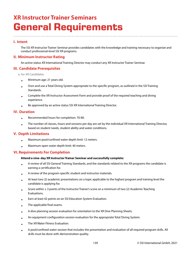## **XR Instructor Trainer Seminars General Requirements**

## **I. Intent**

The SSI XR Instructor Trainer Seminar provides candidates with the knowledge and training necessary to organize and conduct professional-level SSI XR programs.

## **II. Minimum Instructor Rating**

An active status XR International Training Director may conduct any XR Instructor Trainer Seminar.

## **III. Candidate Prerequisites**

a. For All Candidates

- Minimum age: 21 years old.
- Own and use a Total Diving System appropriate to the specific program, as outlined in the SSI Training Standards.
- Complete the XR Instructor Assessment Form and provide proof of the required teaching and diving experience.
- Be approved by an active status SSI XR International Training Director.

## **IV. Duration**

- Recommended hours for completion: 70-80.
- The number of classes, hours and sessions per day are set by the individual XR International Training Director, based on student needs, student ability and water conditions.

## **V. Depth Limitations**

- Maximum pool/confined water depth limit: 12 meters.
- Maximum open water depth limit: 40 meters.

## **VI. Requirements For Completion**

#### **Attend a nine-day XR Instructor Trainer Seminar and successfully complete:**

- A review of all SSI General Training Standards, and the standards related to the XR programs the candidate is earning a certification for.
- A review of the program-specific student and instructor materials.
- At least two (2) academic presentations on a topic applicable to the highest program and training level the candidate is applying for.
- Score within  $\pm$  3 points of the Instructor Trainer's score on a minimum of two (2) Academic Teaching Evaluations.
- Earn at least 42 points on an SSI Education System Evaluation.
- The applicable final exams.
- A dive planning session evaluation for orientation to the XR Dive Planning Sheets.
- An equipment configuration session evaluation for the appropriate Total Diving System.
- The XR Water Fitness Evaluation.
- A pool/confined water session that includes the presentation and evaluation of all required program skills. All skills must be done with demonstration quality.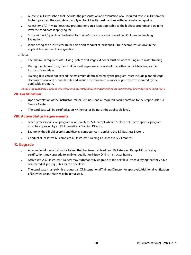- A rescue skills workshop that includes the presentation and evaluation of all required rescue skills from the highest program the candidate is applying for. All skills must be done with demonstration quality.
- At least two (2) in-water teaching presentations on a topic applicable to the highest program and training level the candidate is applying for.
- Score within  $\pm$  3 points of the Instructor Trainer's score on a minimum of two (2) In-Water Teaching Evaluations.
- While acting as an Instructor Trainer, plan and conduct at least one (1) full decompression dive in the applicable equipment configuration.

a. Notes

- The minimum required Total Diving System and stage cylinders must be worn during all in-water training.
- During the planned dive, the candidate will supervise an assistant or another candidate acting as the instructor candidate.
- Training dives must not exceed the maximum depth allowed by the program, must include planned stage decompression (real or simulated), and include the minimum number of gas switches required by the applicable program.

NOTE: If the candidate is already an active status SSI recreational Instructor Trainer, the seminar may be conducted in five (5) days.

#### **VII. Certification**

- Upon completion of the Instructor Trainer Seminar, send all required documentation to the responsible SSI Service Center.
- The candidate will be certified as an XR Instructor Trainer at the applicable level.

## **VIII. Active Status Requirements**

- Teach professional-level programs exclusively for SSI (except where SSI does not have a specific program must be approved by an XR International Training Director).
- Exemplify the SSI philosophy and display competence in applying the SSI Business System.
- Conduct at least two (2) complete XR Instructor Training Courses every 24 months.

## **IX. Upgrade**

- A recreational scuba Instructor Trainer that has issued at least ten (10) Extended Range Nitrox Diving certifications may upgrade to an Extended Range Nitrox Diving Instructor Trainer.
- Active status XR Instructor Trainers may automatically upgrade to the next level after verifying that they have completed all prerequisites for the next level.
- The candidate must submit a request an XR International Training Director for approval. Additional verification of knowledge and skills may be requested.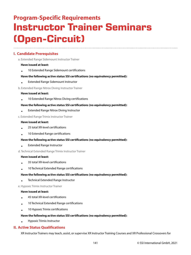# **Program-Specific Requirements Instructor Trainer Seminars (Open-Circuit)**

## **I. Candidate Prerequisites**

a. Extended Range Sidemount Instructor Trainer

#### **Have issued at least:**

• 10 Extended Range Sidemount certifications

#### **Have the following active status SSI certifications (no equivalency permitted):**

- Extended Range Sidemount Instructor
- b. Extended Range Nitrox Diving Instructor Trainer

#### **Have issued at least:**

• 10 Extended Range Nitrox Diving certifications

#### **Have the following active status SSI certifications (no equivalency permitted):**

• Extended Range Nitrox Diving Instructor

c. Extended Range Trimix Instructor Trainer

#### **Have issued at least:**

- 25 total XR-level certifications
- 10 Extended Range certifications

#### **Have the following active status SSI certifications (no equivalency permitted):**

- Extended Range Instructor
- d. Technical Extended Range Trimix Instructor Trainer

#### **Have issued at least:**

- 35 total XR-level certifications
- 10 Technical Extended Range certifications

#### **Have the following active status SSI certifications (no equivalency permitted):**

• Technical Extended Range Instructor

e. Hypoxic Trimix Instructor Trainer

#### **Have issued at least:**

- 45 total XR-level certifications
- 10 Technical Extended Range certifications
- 10 Hypoxic Trimix certifications

#### **Have the following active status SSI certifications (no equivalency permitted):**

• Hypoxic Trimix Instructor

## **II. Active Status Qualifications**

XR Instructor Trainers may teach, assist, or supervise XR Instructor Training Courses and XR Professional Crossovers for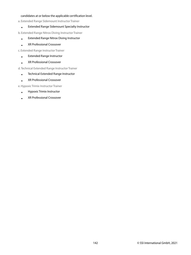#### candidates at or below the applicable certification level.

a. Extended Range Sidemount Instructor Trainer

• Extended Range Sidemount Specialty Instructor

b. Extended Range Nitrox Diving Instructor Trainer

- Extended Range Nitrox Diving Instructor
- XR Professional Crossover

c. Extended Range Instructor Trainer

- Extended Range Instructor
- XR Professional Crossover

d. Technical Extended Range Instructor Trainer

- Technical Extended Range Instructor
- XR Professional Crossover

e. Hypoxic Trimix Instructor Trainer

- Hypoxic Trimix Instructor
- XR Professional Crossover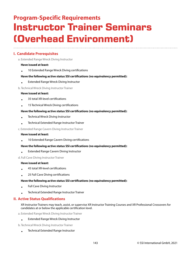## **Program-Specific Requirements Instructor Trainer Seminars (Overhead Environment)**

## **I. Candidate Prerequisites**

a. Extended Range Wreck Diving Instructor

#### **Have issued at least:**

• 10 Extended Range Wreck Diving certifications

#### **Have the following active status SSI certifications (no equivalency permitted):**

• Extended Range Wreck Diving Instructor

#### b. Technical Wreck Diving Instructor Trainer

#### **Have issued at least:**

- 35 total XR-level certifications
- 15 Technical Wreck Diving certifications

#### **Have the following active status SSI certifications (no equivalency permitted):**

- Technical Wreck Diving Instructor
- Technical Extended Range Instructor Trainer

c. Extended Range Cavern Diving Instructor Trainer

#### **Have issued at least:**

• 10 Extended Range Cavern Diving certifications

#### **Have the following active status SSI certifications (no equivalency permitted):**

• Extended Range Cavern Diving Instructor

d. Full Cave Diving Instructor Trainer

#### **Have issued at least:**

- 45 total XR-level certifications
- 25 Full Cave Diving certifications

#### **Have the following active status SSI certifications (no equivalency permitted):**

- Full Cave Diving Instructor
- Technical Extended Range Instructor Trainer

## **II. Active Status Qualifications**

XR Instructor Trainers may teach, assist, or supervise XR Instructor Training Courses and XR Professional Crossovers for candidates at or below the applicable certification level.

- a. Extended Range Wreck Diving Instructor Trainer
	- Extended Range Wreck Diving Instructor
- b. Technical Wreck Diving Instructor Trainer
	- Technical Extended Range Instructor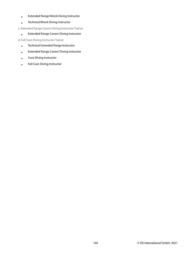- Extended Range Wreck Diving Instructor
- Technical Wreck Diving Instructor

c. Extended Range Cavern Diving Instructor Trainer

• Extended Range Cavern Diving Instructor

d. Full Cave Diving Instructor Trainer

- Technical Extended Range Instructor
- Extended Range Cavern Diving Instructor
- Cave Diving Instructor
- Full Cave Diving Instructor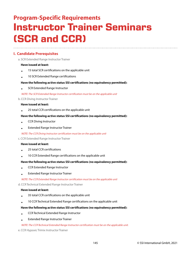# **Program-Specific Requirements Instructor Trainer Seminars (SCR and CCR)**

# **I. Candidate Prerequisites**

a. SCR Extended Range Instructor Trainer

## **Have issued at least:**

- 15 total SCR certifications on the applicable unit
- 10 SCR Extended Range certifications

#### **Have the following active status SSI certifications (no equivalency permitted):**

• SCR Extended Range Instructor

#### NOTE: The SCR Extended Range Instructor certification must be on the applicable unit

#### b. CCR Diving Instructor Trainer

#### **Have issued at least:**

• 25 total CCR certifications on the applicable unit

#### **Have the following active status SSI certifications (no equivalency permitted):**

- CCR Diving Instructor
- Extended Range Instructor Trainer

NOTE: The CCR Diving Instructor certification must be on the applicable unit

#### c. CCR Extended Range Instructor Trainer

#### **Have issued at least:**

- 25 total CCR certifications
- 10 CCR Extended Range certifications on the applicable unit

#### **Have the following active status SSI certifications (no equivalency permitted):**

- CCR Extended Range Instructor
- Extended Range Instructor Trainer

NOTE: The CCR Extended Range Instructor certification must be on the applicable unit

d. CCR Technical Extended Range Instructor Trainer

#### **Have issued at least:**

- 35 total CCR certifications on the applicable unit
- 10 CCR Technical Extended Range certifications on the applicable unit

#### **Have the following active status SSI certifications (no equivalency permitted):**

- CCR Technical Extended Range Instructor
- Extended Range Instructor Trainer

#### NOTE: The CCR Technical Extended Range Instructor certification must be on the applicable unit.

e. CCR Hypoxic Trimix Instructor Trainer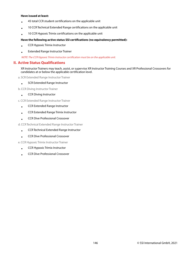#### **Have issued at least:**

- 45 total CCR student certifications on the applicable unit
- 10 CCR Technical Extended Range certifications on the applicable unit
- 10 CCR Hypoxic Trimix certifications on the applicable unit

#### **Have the following active status SSI certifications (no equivalency permitted):**

- CCR Hypoxic Trimix Instructor
- Extended Range Instructor Trainer

NOTE: The CCR Hypoxic Trimix Instructor certification must be on the applicable unit.

## **II. Active Status Qualifications**

XR Instructor Trainers may teach, assist, or supervise XR Instructor Training Courses and XR Professional Crossovers for candidates at or below the applicable certification level.

a. SCR Extended Range Instructor Trainer

• SCR Extended Range Instructor

b. CCR Diving Instructor Trainer

• CCR Diving Instructor

c. CCR Extended Range Instructor Trainer

- CCR Extended Range Instructor
- CCR Extended Range Trimix Instructor
- CCR Dive Professional Crossover

d. CCR Technical Extended Range Instructor Trainer

- CCR Technical Extended Range Instructor
- CCR Dive Professional Crossover

e. CCR Hypoxic Trimix Instructor Trainer

- CCR Hypoxic Trimix Instructor
- CCR Dive Professional Crossover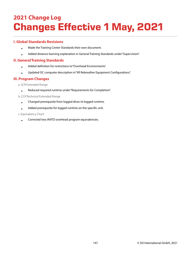# **2021 Change Log Changes Effective 1 May, 2021**

# **I. Global Standards Revisions**

- Made the Training Center Standards their own document.
- Added distance learning explanation in General Training Standards under "Supervision".

# **II. General Training Standards**

- Added definition for restrictions to "Overhead Environments".
- Updated OC computer description in "XR Rebreather Equipment Configurations".

# **III. Program Changes**

a. SCR Extended Range

• Reduced required runtime under "Requirements for Completion".

b. CCR Technical Extended Range

- Changed prerequisite from logged dives to logged runtime.
- Added prerequisite for logged runtime on the specific unit.

## c. Equivalency Chart

• Corrected two IANTD overhead program equivalencies.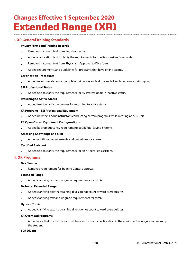# **Changes Effective 1 September, 2020 Extended Range (XR)**

# **I. XR General Training Standards**

## **Privacy Forms and Training Records**

- Removed incorrect text from Registration Form.
- Added clarification text to clarify the requirements for the Responsible Diver code.
- Removed incorrect text from Physician's Approval to Dive form.
- Added requirements and guidelines for programs that have online exams.

## **Certification Procedures**

• Added recommendation to complete training records at the end of each session or training day.

## **SSI Professional Status**

• Added text to clarify the requirements for SSI Professionals in inactive status.

## **Returning to Active Status**

• Added text to clarify the process for returning to active status.

## **XR Programs - SSI Professional Equipment**

• Added new text about instructor's conducting certain programs while wearing an SCR unit.

## **XR Open-Circuit Equipment Configurations**

• Added backup buoyancy requirements to XR Total Diving Systems.

## **Assessing Knowledge and Skill**

• Added additional requirements and guidelines for exams.

## **Certified Assistant**

• Added text to clarify the requirements for an XR certified assistant.

# **II. XR Programs**

## **Gas Blender**

• Removed requirement for Training Center approval.

## **Extended Range**

• Added clarifying text and upgrade requirements for trimix.

#### **Technical Extended Range**

- Added clarifying text that training dives do not count toward prerequisites.
- Added clarifying text and upgrade requirements for trimix.

## **Hypoxic Trimix**

• Added clarifying text that training dives do not count toward prerequisites.

## **XR Overhead Programs**

• Added note that the instructor must have an instructor certification in the equipment configuration worn by the student.

## **SCR Diving**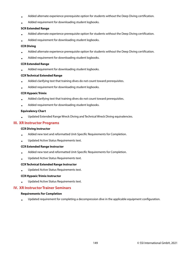- Added alternate experience prerequisite option for students without the Deep Diving certification.
- Added requirement for downloading student logbooks.

## **SCR Extended Range**

- Added alternate experience prerequisite option for students without the Deep Diving certification.
- Added requirement for downloading student logbooks.

## **CCR Diving**

- Added alternate experience prerequisite option for students without the Deep Diving certification.
- Added requirement for downloading student logbooks.

## **CCR Extended Range**

• Added requirement for downloading student logbooks.

## **CCR Technical Extended Range**

- Added clarifying text that training dives do not count toward prerequisites.
- Added requirement for downloading student logbooks.

#### **CCR Hypoxic Trimix**

- Added clarifying text that training dives do not count toward prerequisites.
- Added requirement for downloading student logbooks.

#### **Equivalency Chart**

• Updated Extended Range Wreck Diving and Technical Wreck Diving equivalencies.

## **III. XR Instructor Programs**

#### **CCR Diving Instructor**

- Added new text and reformatted Unit-Specific Requirements for Completion.
- Updated Active Status Requirements text.

#### **CCR Extended Range Instructor**

- Added new text and reformatted Unit-Specific Requirements for Completion.
- Updated Active Status Requirements text.

#### **CCR Technical Extended Range Instructor**

• Updated Active Status Requirements text.

#### **CCR Hypoxic Trimix Instructor**

• Updated Active Status Requirements text.

## **IV. XR Instructor Trainer Seminars**

## **Requirements For Completion**

• Updated requirement for completing a decompression dive in the applicable equipment configuration.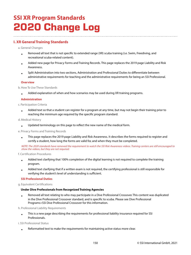# **SSI XR Program Standards 2020 Change Log**

# **I. XR General Training Standards**

a. General Changes

- Removed all text that is not specific to extended range (XR) scuba training (i.e. Swim, Freediving, and recreational scuba-related content).
- Added new page for Privacy Forms and Training Records. This page replaces the 2019 page Liability and Risk Awareness.
- Split Administration into two sections, Administration and Professional Duties to differentiate between administrative requirements for teaching and the administrative requirements for being an SSI Professional.

## **Overview**

b. How To Use These Standards

• Added explanation of when and how scenarios may be used during XR training programs.

## **Administration**

c. Participation Criteria

• Added text so that a student can register for a program at any time, but may not begin their training prior to reaching the minimum age required by the specific program standard.

d. Medical History

• Updated terminology on this page to reflect the new name of the medical form.

e. Privacy Forms and Training Records

• This page replaces the 2019 page Liability and Risk Awareness. It describes the forms required to register and certify a student, how long the forms are valid for, and when they must be completed.

NOTE: The 2020 standards have removed the requirement to watch the SSI Risk Awareness videos. Training centers are still encouraged to show the videos, but they are not required.

f. Certification Procedures

- Added text clarifying that 100% completion of the digital learning is not required to complete the training program.
- Added text clarifying that if a written exam is not required, the certifying professional is still responsible for verifying the student's level of understanding is sufficient.

## **SSI Professional Duties**

g. Equivalent Certifications

## **Under Dive Professionals from Recognized Training Agencies**

• Removed all text relating to who may participate in a Dive Professional Crossover. This content was duplicated in the Dive Professional Crossover standard, and is specific to scuba. Please see Dive Professional Programs>SSI Dive Professional Crossover for this information.

h. Professional Liability Requirements

• This is a new page describing the requirements for professional liability insurance required for SSI Professionals.

i. SSI Professional Status

• Reformatted text to make the requirements for maintaining active status more clear.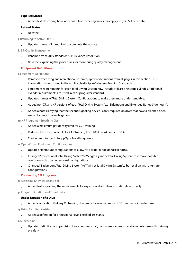## **Expelled Status**

• Added text describing how individuals from other agencies may apply to gain SSI active status.

## **Retired Status**

• New text.

j. Returning to Active Status

• Updated name of kit required to complete the update.

## k. SSI Quality Management

- Renamed from 2019 standards SSI Grievance Resolution.
- New text explaining the procedures for monitoring quality management.

## **Equipment Definitions**

l. Equipment Definitions

- Removed freediving and recreational scuba equipment definitions from all pages in this section. This information is now found in the applicable discipline's General Training Standards.
- Equipment requirements for each Total Diving System now include at least one stage cylinder. Additional cylinder requirements are listed in each program's standard.
- Updated names of Total Diving System Configurations to make them more understandable.
- Added non-XR and XR versions of each Total Diving System (e.g. Sidemount and Extended Range Sidemount).
- Added a note clarifying that the second signaling device is only required on dives that have a planned open water decompression obligation.

## m. XR Programs - Breathing Gas

- Added a maximum gas density limit for CCR training.
- Reduced the exposure limits for CCR training from 100% in 24 hours to 80%.
- Clarified requirements for  $\mathsf{ppO}_2$  of breathing gases.

## n. Open-Circuit Equipment Configurations

- Updated sidemount configurations to allow for a wider range of hose lengths.
- Changed "Recreational Total Diving System" to "Single-Cylinder Total Diving System" to remove possible confusion with true recreational configurations.
- Changed "Backmount Total Diving System" to "Twinset Total Diving System" to better align with alternate configurations.

## **Conducting SSI Programs**

o. Assessing Knowledge and Skill

• Added text explaining the requirements for expert-level and demonstration-level quality.

## p. Program Duration and Time Limits

## **Under Duration of a Dive**

• Added clarification that any XR training dives must have a minimum of 30 minutes of in-water time.

q. Using Certified Assistants

• Added a definition for professional-level certified assistants.

## r. Supervision

• Updated definition of supervision to account for small, hands-free cameras that do not interfere with training or safety.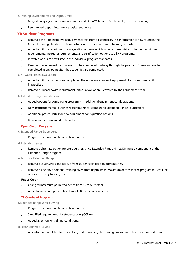#### s. Training Environments and Depth Limits

- Merged two pages (Pool, Confined Water, and Open Water and Depth Limits) into one new page.
- Reorganized depths into a more logical sequence.

## **II. XR Student Programs**

- Removed the 'Administrative Requirements' text from all standards. This information is now found in the General Training Standards—Administration—Privacy Forms and Training Records.
- Added additional equipment configuration options, which include prerequisites, minimum equipment requirements, instructor requirements, and certification options to all XR programs.
- In-water ratios are now listed in the individual program standards.
- Removed requirement for final exam to be completed partway through the program. Exam can now be completed at any point after the academics are completed.

#### a. XR Water Fitness Evaluation

- Added additional options for completing the underwater swim if equipment like dry suits makes it impractical.
- Removed Surface Swim requirement - fitness evaluation is covered by the Equipment Swim.

#### b. Extended Range Foundations

- Added options for completing program with additional equipment configurations.
- New instructor manual outlines requirements for completing Extended Range Foundations.
- Additional prerequisites for new equipment configuration options.
- New in-water ratios and depth limits.

#### **Open-Circuit Programs**

#### c. Extended Range Sidemount

• Program title now matches certification card.

#### d. Extended Range

• Removed alternate option for prerequisites, since Extended Range Nitrox Diving is a component of the Extended Range program.

#### e. Technical Extended Range

- Removed Diver Stress and Rescue from student certification prerequisites.
- Removed "and any additional training dives" from depth limits. Maximum depths for the program must still be observed on any training dive.

#### **Under Credit**

- Changed maximum permitted depth from 50 to 60 meters.
- Added a maximum penetration limit of 30 meters on air/nitrox.

#### **XR Overhead Programs**

#### f. Extended Range Wreck Diving

- Program title now matches certification card.
- Simplified requirements for students using CCR units.
- Added a section for training conditions.

#### g. Technical Wreck Diving

• Any information related to establishing or determining the training environment have been moved from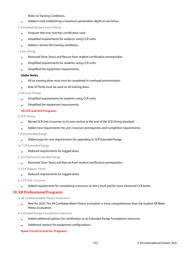Notes to Training Conditions.

• Added a note establishing a maximum penetration depth on air/nitrox.

## h. Extended Range Cavern Diving

- Program title now matches certification card.
- Simplified requirements for students using CCR units.
- Added a section for training conditions.

#### i. Cave Diving

- Removed Diver Stress and Rescue from student certification prerequisites.
- Simplified requirements for students using CCR units.
- Simplified the equipment requirements.

## **Under Notes**

- All six training dives must now be completed in overhead environments.
- Rule of Thirds must be used on all training dives.

#### j. Full Cave Diving

- Simplified requirements for students using CCR units.
- Simplified the equipment requirements.

## **XR CCR and SCR Programs**

k. SCR Diving

- Moved SCR Unit Crossover to its own section at the end of the SCR Diving standard.
- Added new requirements for unit crossover prerequisites and completion requirements.

#### l. SCR Extended Range

• Added page for new requirements for upgrading to SCR Extended Range.

## m. CCR Extended Range

• Reduced requirements for logged dives.

## n. CCR Technical Extended Range

• Removed Diver Stress and Rescue from student certification prerequisites.

o. CCR Hypoxic Trimix

• Reduced requirements for logged dives.

p. CCR Unit Crossover

• Added requirements for completing crossovers at entry level and for more advanced CCR levels.

# **III. XR Professional Programs**

a. XR Candidate Water Fitness Evaluation

• New for 2020. The XR Candidate Water Fitness evaluation is more comprehensive than the student XR Water Fitness Evaluation.

b. Extended Range Foundations Instructor

- Added additional options for certification as an Extended Range Foundations Instructor.
- Additional options for equipment configurations.

## **Open-Circuit Instructor Programs**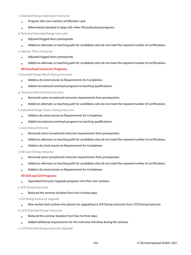#### c. Extended Range Sidemount Instructor

- Program title now matches certification card.
- Reformatted standard to align with other XR professional programs.

d. Technical Extended Range Instructor

- Adjusted logged dives prerequisite.
- Added an alternate co-teaching path for candidates who do not meet the required number of certifications.

## e. Hypoxic Trimix Instructor

- Adjusted logged dives prerequisite.
- Added an alternate co-teaching path for candidates who do not meet the required number of certifications.

## **XR Overhead Instructor Programs**

f. Extended Range Wreck Diving Instructor

- Added a dry land session to Requirements for Completion.
- Added recreational overhead programs to teaching qualifications.

#### g. Technical Wreck Diving Instructor

- Removed some recreational instructor requirements from prerequisites.
- Added an alternate co-teaching path for candidates who do not meet the required number of certifications.

#### h. Extended Range Cavern Diving Instructor

- Added a dry land session to Requirements for Completion.
- Added recreational overhead programs to teaching qualifications.

#### i. Cave Diving Instructor

- Removed some recreational instructor requirements from prerequisites.
- Added an alternate co-teaching path for candidates who do not meet the required number of certifications.
- Added a dry land session to Requirements for Completion.

#### j. Full Cave Diving Instructor

- Removed some recreational instructor requirements from prerequisites.
- Added an alternate co-teaching path for candidates who do not meet the required number of certifications.
- Added a dry land session to Requirements for Completion.

## **XR SCR and CCR Programs**

• Separated Instructor Upgrade programs into their own sections.

#### k. SCR Diving Instructor

• Reduced the seminar duration from four to three days.

#### l. SCR Diving Instructor Upgrade

• New section that outlines the options for upgrading to SCR Diving Instructor from CCR Diving Instructor.

#### m. SCR Extended Range Instructor

- Reduced the seminar duration from four to three days.
- Added additional requirements for the instructor-led dives during the seminar.

#### n. SCR Extended Range Instructor Upgrade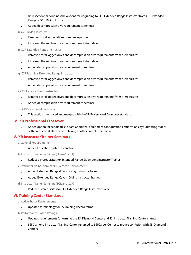- New section that outlines the options for upgrading to SCR Extended Range Instructor from CCR Extended Range or SCR Diving Instructor.
- Added decompression dive requirement to seminar.

## o. CCR Diving Instructor

- Removed total logged dives from prerequisites.
- Increased the seminar duration from three to four days.

## p. CCR Extended Range Instructor

- Removed total logged dives and decompression dive requirements from prerequisites.
- Increased the seminar duration from three to four days.
- Added decompression dive requirement to seminar.

## q. CCR Technical Extended Range Instructor

- Removed total logged dives and decompression dive requirements from prerequisites.
- Added decompression dive requirement to seminar.

## r. CCR Hypoxic Trimix Instructor

- Removed total logged dives and decompression dive requirements from prerequisites.
- Added decompression dive requirement to seminar.

## s. CCR Professional Crossover

• This section is removed and merged with the XR Professional Crossover standard.

## **IV. XR Professional Crossover**

• Added option for candidates to earn additional equipment configuration certifications by submitting videos of the required skills instead of taking another complete seminar.

# **V. XR Instructor Trainer Seminars**

a. General Requirements

• Added Education System Evaluation.

b. Instructor Trainer Seminars (Open-Circuit)

• Reduced prerequisites for Extended Range Sidemount Instructor Trainer.

c. Instructor Trainer Seminars (Overhead Environment)

- Added Extended Range Wreck Diving Instructor Trainer.
- Added Extended Range Cavern Diving Instructor Trainer.

d. Instructor Trainer Seminars (SCR and CCR)

• Reduced prerequisites for SCR Extended Range Instructor Trainer.

# **VI. Training Center Standards**

a. Active Status Requirements

• Updated terminology for SSI Training Record forms.

b. Performance-Based Ratings

- Updated requirements for earning the SSI Diamond Center and SSI Instructor Training Center statuses.
- SSI Diamond Instructor Training Center renamed to SSI Career Center to reduce confusion with SSI Diamond Centers.